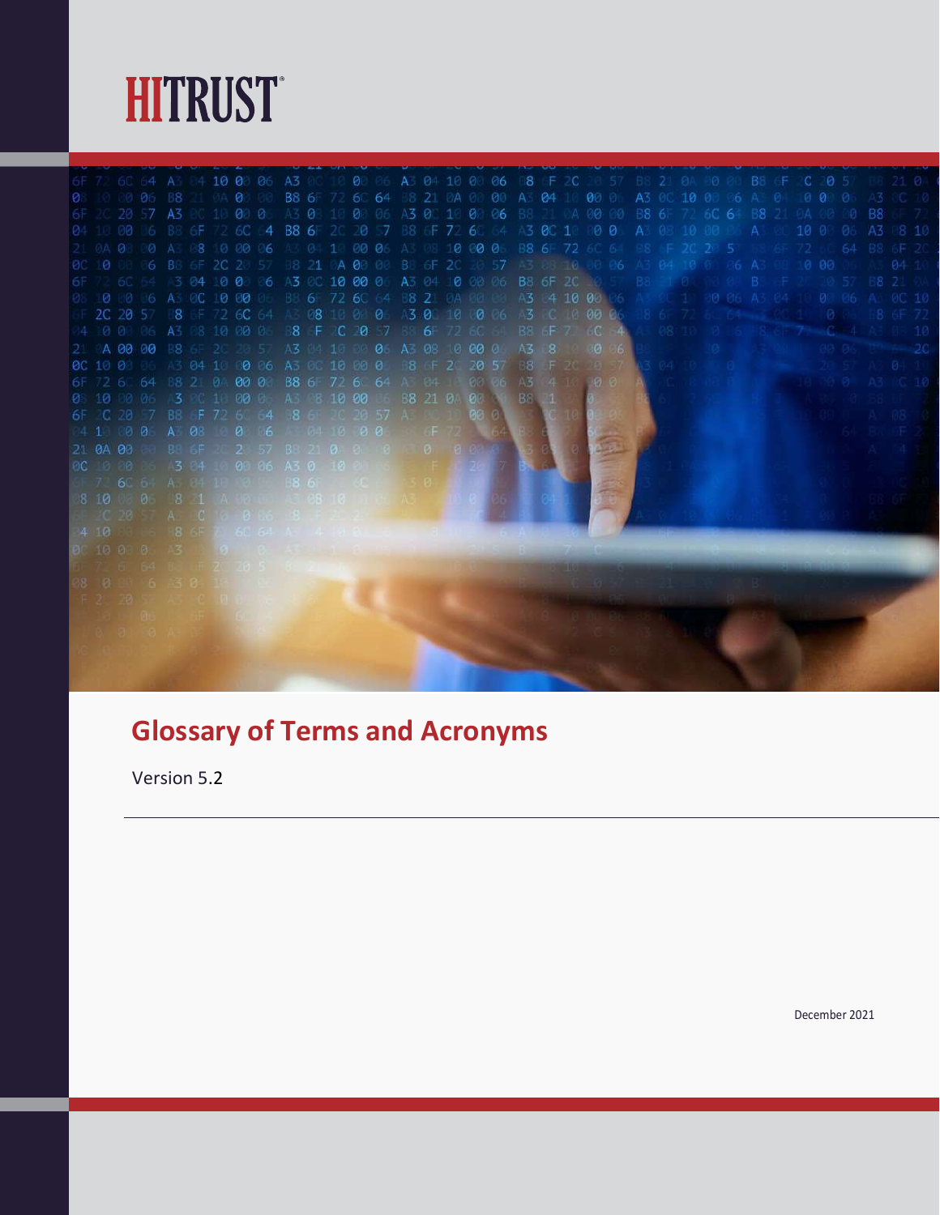

10 00 0 00 06 B8 6F 72 6C 64 B8 6F 2C 20 57 10 00 0 2 6C 64 A3 04 10 00 06 A3 0C 10 00 06 2.10 00 00 B8 6F 2C 20 57 A3 84 10 00 0<br>3.10 00 06 A3 04 10 00 06 A3 0C 10 00 0<br>3.2 6C 64 B8 21 0 00 00 B8 6F 72 6C 64<br>3.0 06 A3 0C 10 00 0 A3 8 10 00<br>3.2 6C 4 B8 21 0 00 0 A3 85 10 00<br>3.2 6C 4 B8 21 0 00 0 A3 85 10 00 0<br>4 00

#### Glossary of Terms and Acronyms

Version 5.2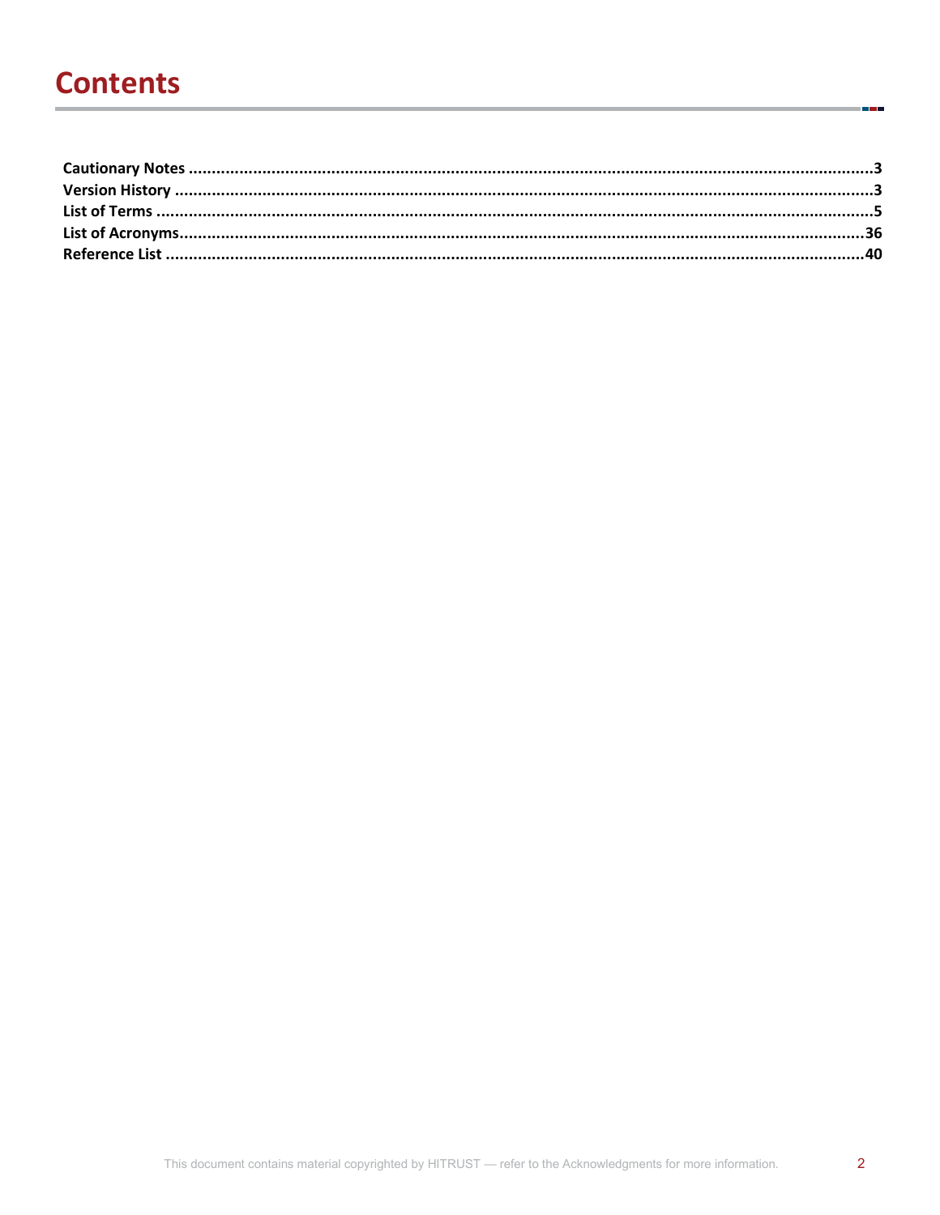### **Contents**

i.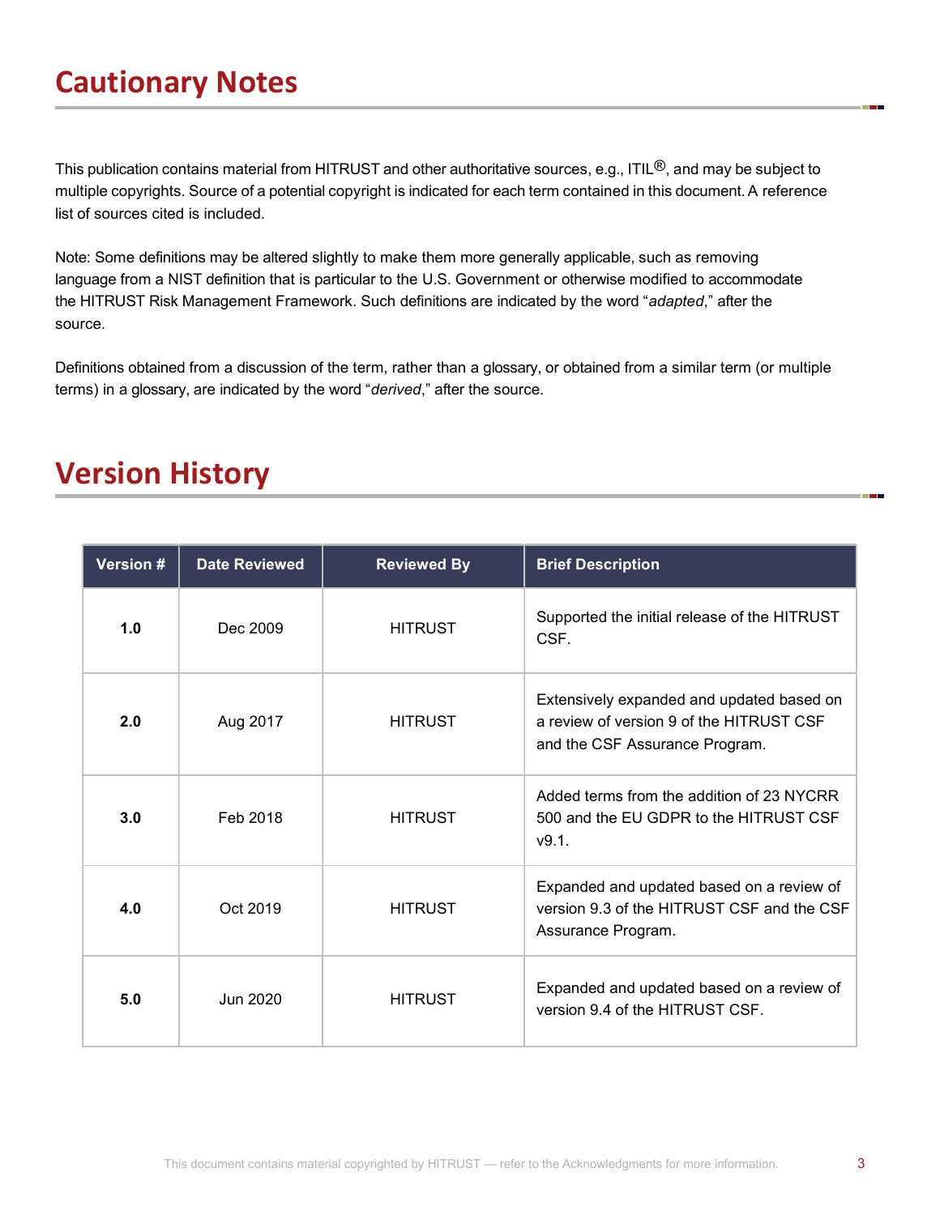## Cautionary Notes

This publication contains material from HITRUST and other authoritative sources, e.g., ITIL®, and may be subject to multiple copyrights. Source of a potential copyright is indicated for each term contained in this document. A reference list of sources cited is included.

Note: Some definitions may be altered slightly to make them more generally applicable, such as removing language from a NIST definition that is particular to the U.S. Government or otherwise modified to accommodate the HITRUST Risk Management Framework. Such definitions are indicated by the word "adapted," after the source.

Definitions obtained from a discussion of the term, rather than a glossary, or obtained from a similar term (or multiple terms) in a glossary, are indicated by the word "derived," after the source.

#### Version History

| Version # | <b>Date Reviewed</b> | <b>Reviewed By</b> | <b>Brief Description</b>                                                                                                |
|-----------|----------------------|--------------------|-------------------------------------------------------------------------------------------------------------------------|
| 1.0       | Dec 2009             | <b>HITRUST</b>     | Supported the initial release of the HITRUST<br>CSF.                                                                    |
| 2.0       | Aug 2017             | <b>HITRUST</b>     | Extensively expanded and updated based on<br>a review of version 9 of the HITRUST CSF<br>and the CSF Assurance Program. |
| 3.0       | Feb 2018             | <b>HITRUST</b>     | Added terms from the addition of 23 NYCRR<br>500 and the EU GDPR to the HITRUST CSF<br>v9.1.                            |
| 4.0       | Oct 2019             | <b>HITRUST</b>     | Expanded and updated based on a review of<br>version 9.3 of the HITRUST CSF and the CSF<br>Assurance Program.           |
| 5.0       | Jun 2020             | <b>HITRUST</b>     | Expanded and updated based on a review of<br>version 9.4 of the HITRUST CSF.                                            |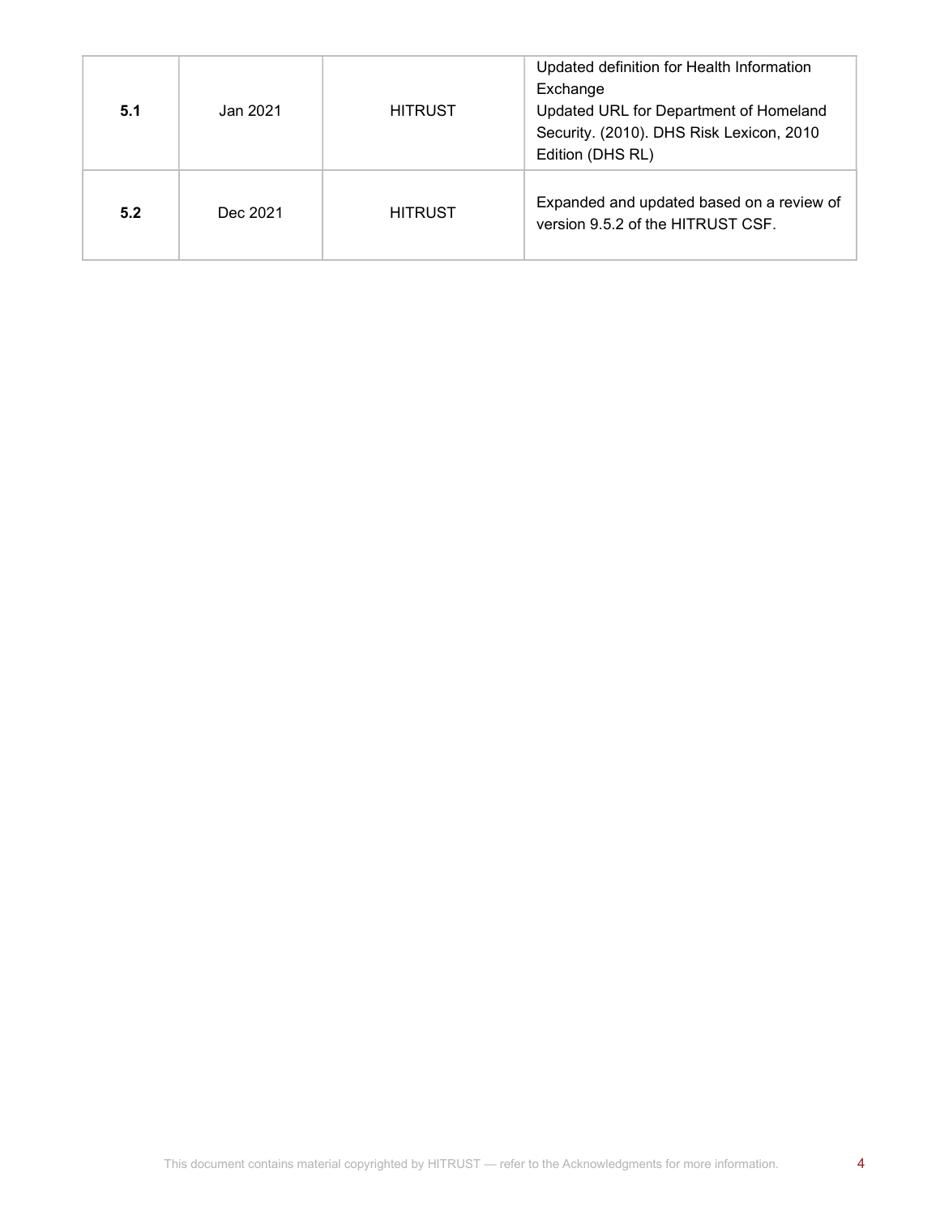| 5.1 | Jan 2021 | <b>HITRUST</b> | Updated definition for Health Information<br>Exchange<br>Updated URL for Department of Homeland<br>Security. (2010). DHS Risk Lexicon, 2010<br>Edition (DHS RL) |
|-----|----------|----------------|-----------------------------------------------------------------------------------------------------------------------------------------------------------------|
| 5.2 | Dec 2021 | <b>HITRUST</b> | Expanded and updated based on a review of<br>version 9.5.2 of the HITRUST CSF.                                                                                  |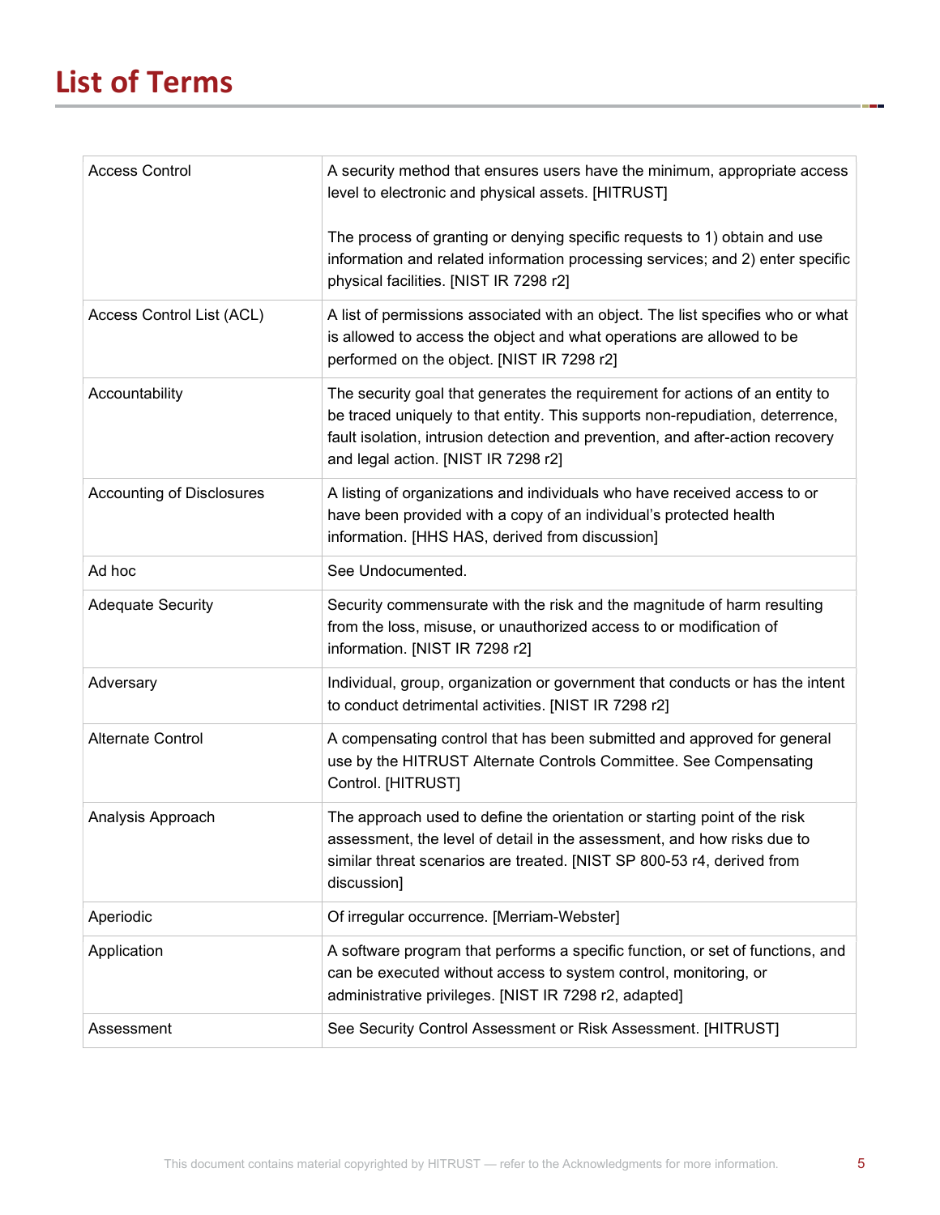## List of Terms

| <b>Access Control</b>            | A security method that ensures users have the minimum, appropriate access<br>level to electronic and physical assets. [HITRUST]                                                                                                                                                        |
|----------------------------------|----------------------------------------------------------------------------------------------------------------------------------------------------------------------------------------------------------------------------------------------------------------------------------------|
|                                  | The process of granting or denying specific requests to 1) obtain and use<br>information and related information processing services; and 2) enter specific<br>physical facilities. [NIST IR 7298 r2]                                                                                  |
| Access Control List (ACL)        | A list of permissions associated with an object. The list specifies who or what<br>is allowed to access the object and what operations are allowed to be<br>performed on the object. [NIST IR 7298 r2]                                                                                 |
| Accountability                   | The security goal that generates the requirement for actions of an entity to<br>be traced uniquely to that entity. This supports non-repudiation, deterrence,<br>fault isolation, intrusion detection and prevention, and after-action recovery<br>and legal action. [NIST IR 7298 r2] |
| <b>Accounting of Disclosures</b> | A listing of organizations and individuals who have received access to or<br>have been provided with a copy of an individual's protected health<br>information. [HHS HAS, derived from discussion]                                                                                     |
| Ad hoc                           | See Undocumented.                                                                                                                                                                                                                                                                      |
| <b>Adequate Security</b>         | Security commensurate with the risk and the magnitude of harm resulting<br>from the loss, misuse, or unauthorized access to or modification of<br>information. [NIST IR 7298 r2]                                                                                                       |
| Adversary                        | Individual, group, organization or government that conducts or has the intent<br>to conduct detrimental activities. [NIST IR 7298 r2]                                                                                                                                                  |
| <b>Alternate Control</b>         | A compensating control that has been submitted and approved for general<br>use by the HITRUST Alternate Controls Committee. See Compensating<br>Control. [HITRUST]                                                                                                                     |
| Analysis Approach                | The approach used to define the orientation or starting point of the risk<br>assessment, the level of detail in the assessment, and how risks due to<br>similar threat scenarios are treated. [NIST SP 800-53 r4, derived from<br>discussion]                                          |
| Aperiodic                        | Of irregular occurrence. [Merriam-Webster]                                                                                                                                                                                                                                             |
| Application                      | A software program that performs a specific function, or set of functions, and<br>can be executed without access to system control, monitoring, or<br>administrative privileges. [NIST IR 7298 r2, adapted]                                                                            |
| Assessment                       | See Security Control Assessment or Risk Assessment. [HITRUST]                                                                                                                                                                                                                          |

a p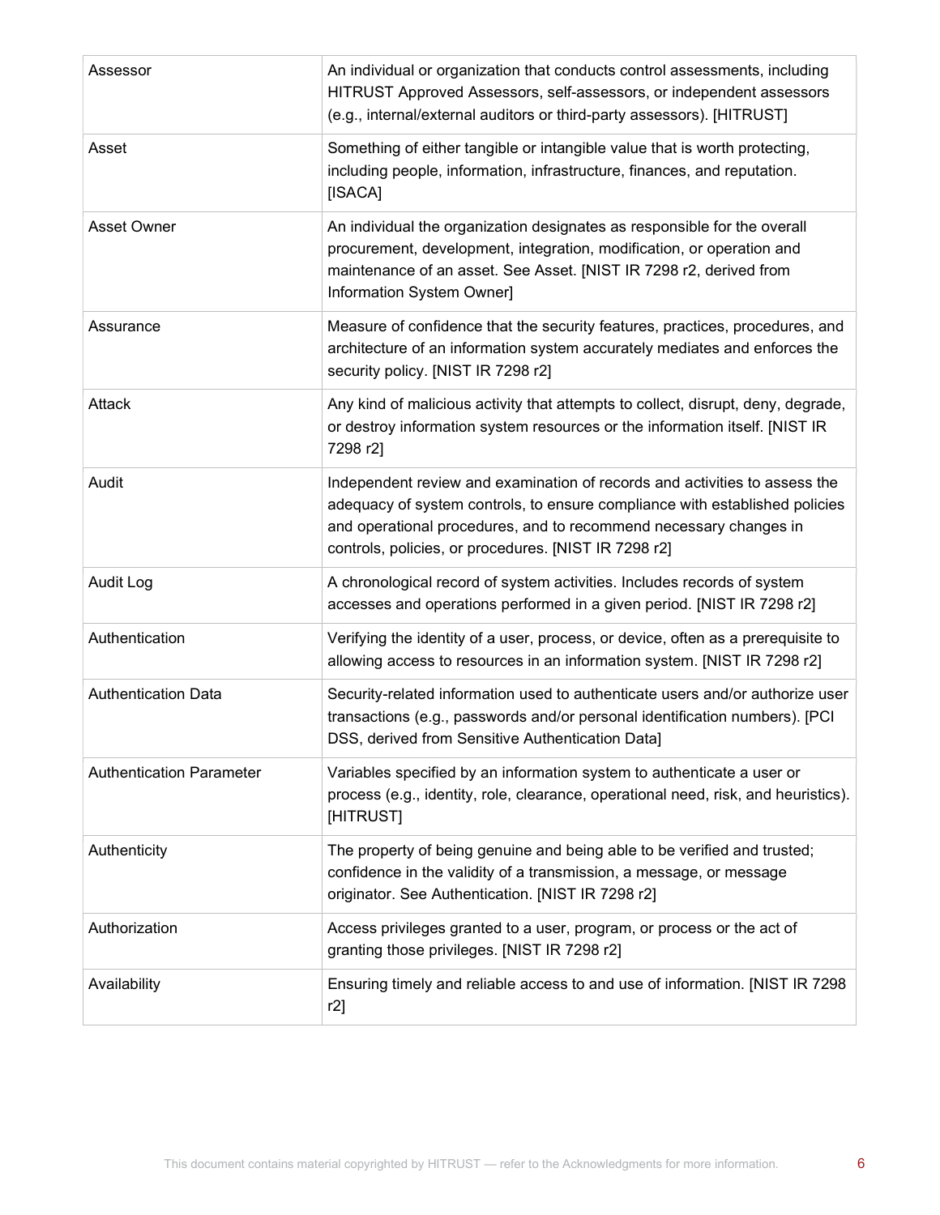| Assessor                        | An individual or organization that conducts control assessments, including<br>HITRUST Approved Assessors, self-assessors, or independent assessors<br>(e.g., internal/external auditors or third-party assessors). [HITRUST]                                                           |
|---------------------------------|----------------------------------------------------------------------------------------------------------------------------------------------------------------------------------------------------------------------------------------------------------------------------------------|
| Asset                           | Something of either tangible or intangible value that is worth protecting,<br>including people, information, infrastructure, finances, and reputation.<br>[ISACA]                                                                                                                      |
| Asset Owner                     | An individual the organization designates as responsible for the overall<br>procurement, development, integration, modification, or operation and<br>maintenance of an asset. See Asset. [NIST IR 7298 r2, derived from<br>Information System Owner]                                   |
| Assurance                       | Measure of confidence that the security features, practices, procedures, and<br>architecture of an information system accurately mediates and enforces the<br>security policy. [NIST IR 7298 r2]                                                                                       |
| Attack                          | Any kind of malicious activity that attempts to collect, disrupt, deny, degrade,<br>or destroy information system resources or the information itself. [NIST IR<br>7298 r2]                                                                                                            |
| Audit                           | Independent review and examination of records and activities to assess the<br>adequacy of system controls, to ensure compliance with established policies<br>and operational procedures, and to recommend necessary changes in<br>controls, policies, or procedures. [NIST IR 7298 r2] |
| <b>Audit Log</b>                | A chronological record of system activities. Includes records of system<br>accesses and operations performed in a given period. [NIST IR 7298 r2]                                                                                                                                      |
| Authentication                  | Verifying the identity of a user, process, or device, often as a prerequisite to<br>allowing access to resources in an information system. [NIST IR 7298 r2]                                                                                                                           |
| <b>Authentication Data</b>      | Security-related information used to authenticate users and/or authorize user<br>transactions (e.g., passwords and/or personal identification numbers). [PCI<br>DSS, derived from Sensitive Authentication Data]                                                                       |
| <b>Authentication Parameter</b> | Variables specified by an information system to authenticate a user or<br>process (e.g., identity, role, clearance, operational need, risk, and heuristics).<br>[HITRUST]                                                                                                              |
| Authenticity                    | The property of being genuine and being able to be verified and trusted;<br>confidence in the validity of a transmission, a message, or message<br>originator. See Authentication. [NIST IR 7298 r2]                                                                                   |
| Authorization                   | Access privileges granted to a user, program, or process or the act of<br>granting those privileges. [NIST IR 7298 r2]                                                                                                                                                                 |
| Availability                    | Ensuring timely and reliable access to and use of information. [NIST IR 7298<br>r2]                                                                                                                                                                                                    |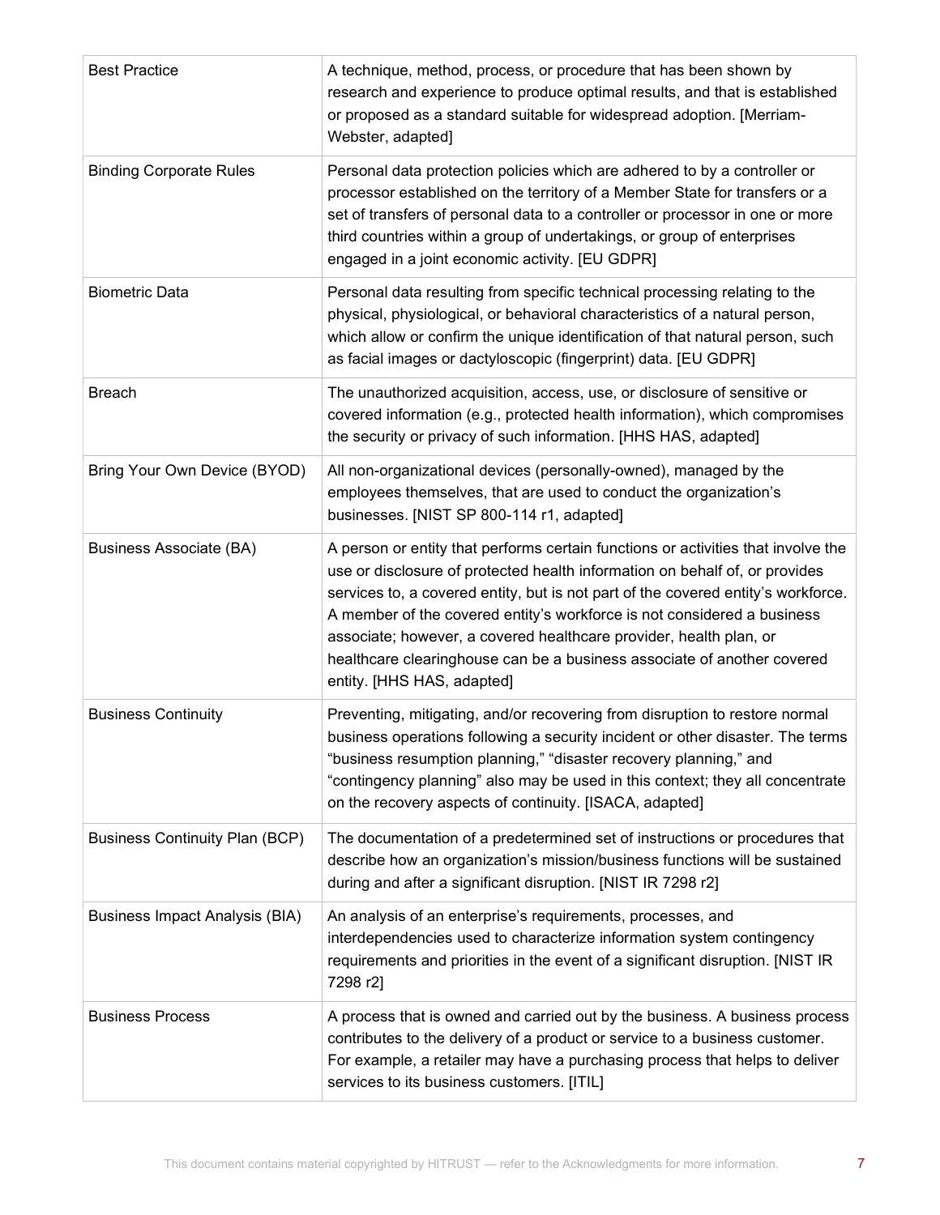| <b>Best Practice</b>                  | A technique, method, process, or procedure that has been shown by<br>research and experience to produce optimal results, and that is established<br>or proposed as a standard suitable for widespread adoption. [Merriam-<br>Webster, adapted]                                                                                                                                                                                                                                                                  |
|---------------------------------------|-----------------------------------------------------------------------------------------------------------------------------------------------------------------------------------------------------------------------------------------------------------------------------------------------------------------------------------------------------------------------------------------------------------------------------------------------------------------------------------------------------------------|
| <b>Binding Corporate Rules</b>        | Personal data protection policies which are adhered to by a controller or<br>processor established on the territory of a Member State for transfers or a<br>set of transfers of personal data to a controller or processor in one or more<br>third countries within a group of undertakings, or group of enterprises<br>engaged in a joint economic activity. [EU GDPR]                                                                                                                                         |
| <b>Biometric Data</b>                 | Personal data resulting from specific technical processing relating to the<br>physical, physiological, or behavioral characteristics of a natural person,<br>which allow or confirm the unique identification of that natural person, such<br>as facial images or dactyloscopic (fingerprint) data. [EU GDPR]                                                                                                                                                                                                   |
| <b>Breach</b>                         | The unauthorized acquisition, access, use, or disclosure of sensitive or<br>covered information (e.g., protected health information), which compromises<br>the security or privacy of such information. [HHS HAS, adapted]                                                                                                                                                                                                                                                                                      |
| Bring Your Own Device (BYOD)          | All non-organizational devices (personally-owned), managed by the<br>employees themselves, that are used to conduct the organization's<br>businesses. [NIST SP 800-114 r1, adapted]                                                                                                                                                                                                                                                                                                                             |
| <b>Business Associate (BA)</b>        | A person or entity that performs certain functions or activities that involve the<br>use or disclosure of protected health information on behalf of, or provides<br>services to, a covered entity, but is not part of the covered entity's workforce.<br>A member of the covered entity's workforce is not considered a business<br>associate; however, a covered healthcare provider, health plan, or<br>healthcare clearinghouse can be a business associate of another covered<br>entity. [HHS HAS, adapted] |
| <b>Business Continuity</b>            | Preventing, mitigating, and/or recovering from disruption to restore normal<br>business operations following a security incident or other disaster. The terms<br>"business resumption planning," "disaster recovery planning," and<br>"contingency planning" also may be used in this context; they all concentrate<br>on the recovery aspects of continuity. [ISACA, adapted]                                                                                                                                  |
| <b>Business Continuity Plan (BCP)</b> | The documentation of a predetermined set of instructions or procedures that<br>describe how an organization's mission/business functions will be sustained<br>during and after a significant disruption. [NIST IR 7298 r2]                                                                                                                                                                                                                                                                                      |
| <b>Business Impact Analysis (BIA)</b> | An analysis of an enterprise's requirements, processes, and<br>interdependencies used to characterize information system contingency<br>requirements and priorities in the event of a significant disruption. [NIST IR<br>7298 r2]                                                                                                                                                                                                                                                                              |
| <b>Business Process</b>               | A process that is owned and carried out by the business. A business process<br>contributes to the delivery of a product or service to a business customer.<br>For example, a retailer may have a purchasing process that helps to deliver<br>services to its business customers. [ITIL]                                                                                                                                                                                                                         |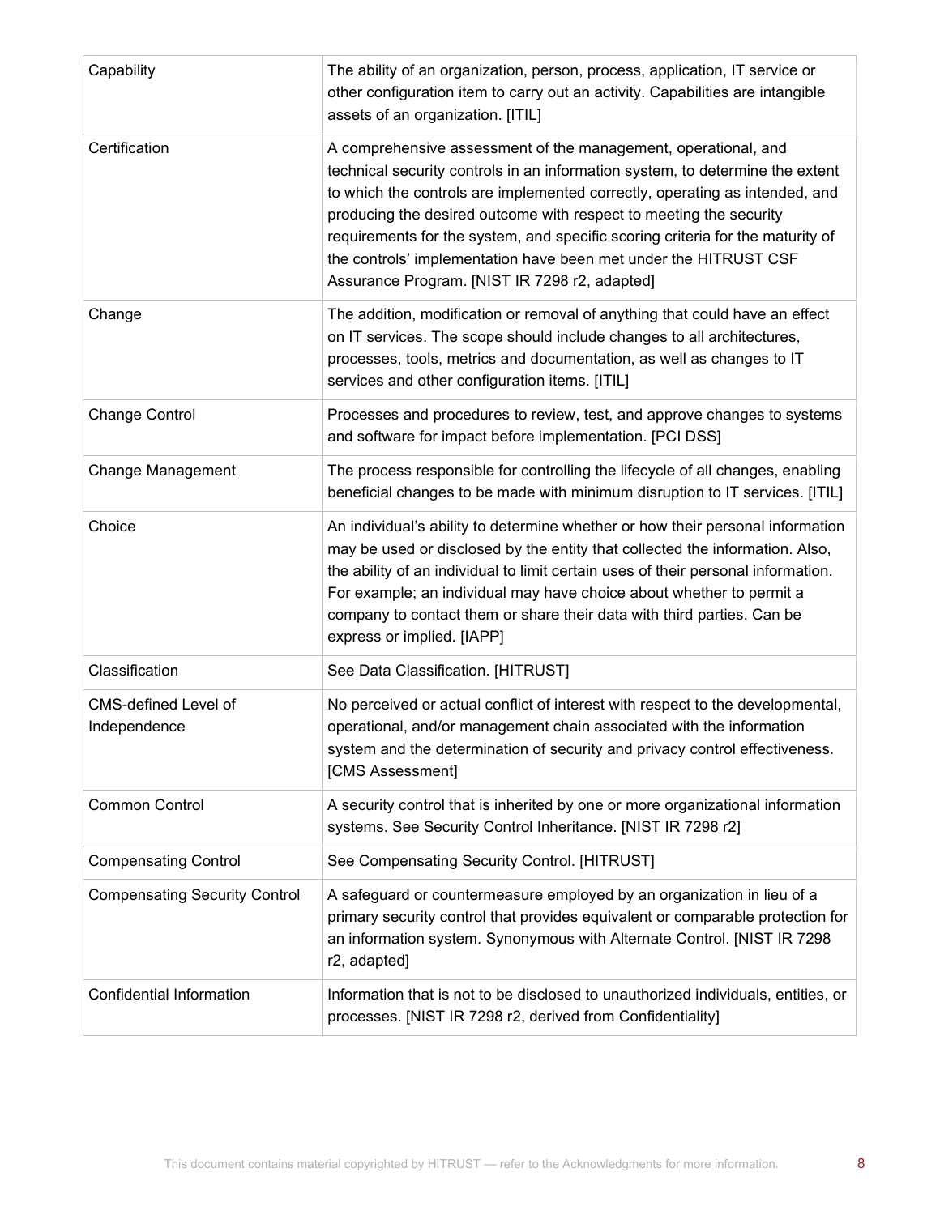| Capability                                  | The ability of an organization, person, process, application, IT service or<br>other configuration item to carry out an activity. Capabilities are intangible<br>assets of an organization. [ITIL]                                                                                                                                                                                                                                                                                                          |
|---------------------------------------------|-------------------------------------------------------------------------------------------------------------------------------------------------------------------------------------------------------------------------------------------------------------------------------------------------------------------------------------------------------------------------------------------------------------------------------------------------------------------------------------------------------------|
| Certification                               | A comprehensive assessment of the management, operational, and<br>technical security controls in an information system, to determine the extent<br>to which the controls are implemented correctly, operating as intended, and<br>producing the desired outcome with respect to meeting the security<br>requirements for the system, and specific scoring criteria for the maturity of<br>the controls' implementation have been met under the HITRUST CSF<br>Assurance Program. [NIST IR 7298 r2, adapted] |
| Change                                      | The addition, modification or removal of anything that could have an effect<br>on IT services. The scope should include changes to all architectures,<br>processes, tools, metrics and documentation, as well as changes to IT<br>services and other configuration items. [ITIL]                                                                                                                                                                                                                            |
| <b>Change Control</b>                       | Processes and procedures to review, test, and approve changes to systems<br>and software for impact before implementation. [PCI DSS]                                                                                                                                                                                                                                                                                                                                                                        |
| <b>Change Management</b>                    | The process responsible for controlling the lifecycle of all changes, enabling<br>beneficial changes to be made with minimum disruption to IT services. [ITIL]                                                                                                                                                                                                                                                                                                                                              |
| Choice                                      | An individual's ability to determine whether or how their personal information<br>may be used or disclosed by the entity that collected the information. Also,<br>the ability of an individual to limit certain uses of their personal information.<br>For example; an individual may have choice about whether to permit a<br>company to contact them or share their data with third parties. Can be<br>express or implied. [IAPP]                                                                         |
| Classification                              | See Data Classification. [HITRUST]                                                                                                                                                                                                                                                                                                                                                                                                                                                                          |
| <b>CMS-defined Level of</b><br>Independence | No perceived or actual conflict of interest with respect to the developmental,<br>operational, and/or management chain associated with the information<br>system and the determination of security and privacy control effectiveness.<br>[CMS Assessment]                                                                                                                                                                                                                                                   |
| <b>Common Control</b>                       | A security control that is inherited by one or more organizational information<br>systems. See Security Control Inheritance. [NIST IR 7298 r2]                                                                                                                                                                                                                                                                                                                                                              |
| <b>Compensating Control</b>                 | See Compensating Security Control. [HITRUST]                                                                                                                                                                                                                                                                                                                                                                                                                                                                |
| <b>Compensating Security Control</b>        | A safeguard or countermeasure employed by an organization in lieu of a<br>primary security control that provides equivalent or comparable protection for<br>an information system. Synonymous with Alternate Control. [NIST IR 7298<br>r2, adapted]                                                                                                                                                                                                                                                         |
| <b>Confidential Information</b>             | Information that is not to be disclosed to unauthorized individuals, entities, or<br>processes. [NIST IR 7298 r2, derived from Confidentiality]                                                                                                                                                                                                                                                                                                                                                             |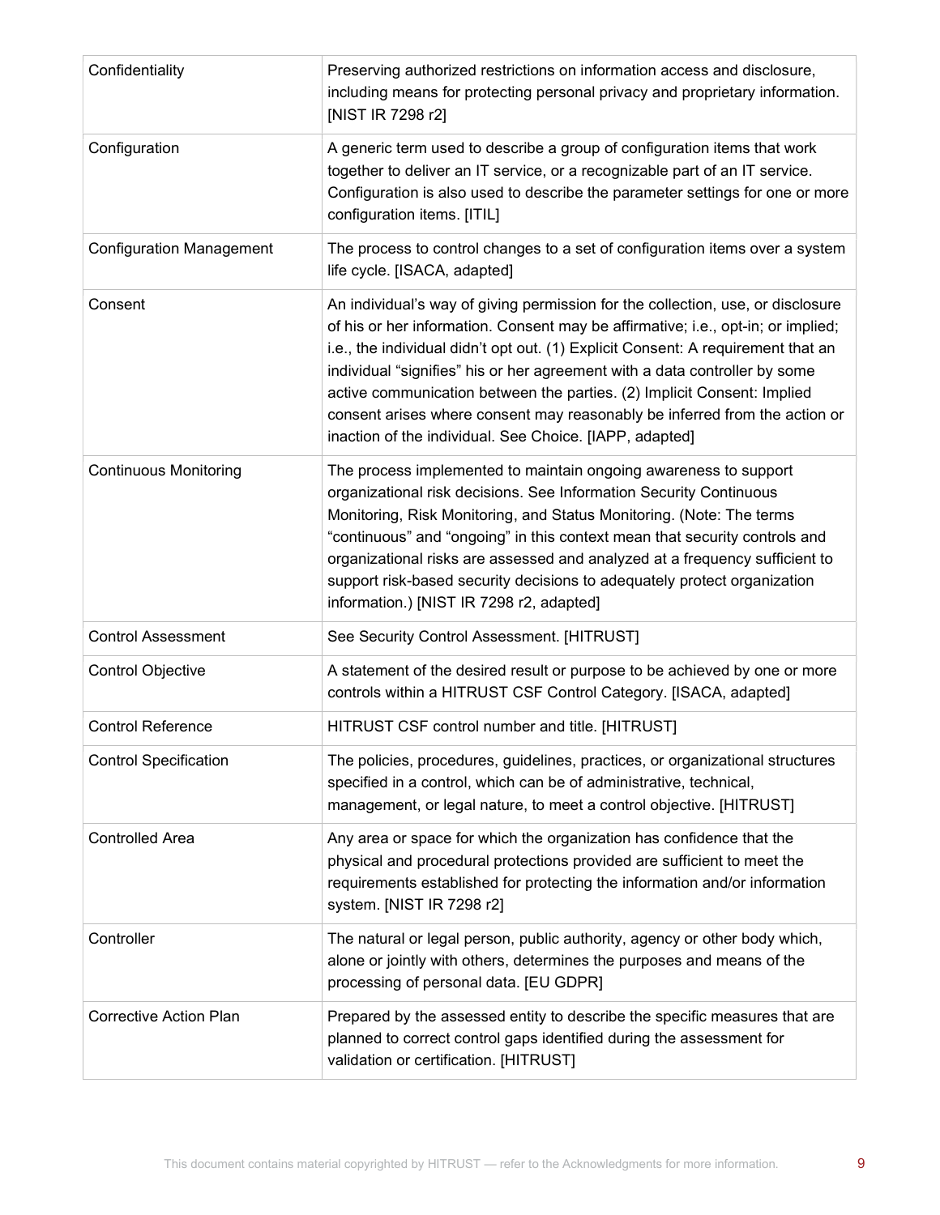| Confidentiality                 | Preserving authorized restrictions on information access and disclosure,<br>including means for protecting personal privacy and proprietary information.<br>[NIST IR 7298 r2]                                                                                                                                                                                                                                                                                                                                                                             |
|---------------------------------|-----------------------------------------------------------------------------------------------------------------------------------------------------------------------------------------------------------------------------------------------------------------------------------------------------------------------------------------------------------------------------------------------------------------------------------------------------------------------------------------------------------------------------------------------------------|
| Configuration                   | A generic term used to describe a group of configuration items that work<br>together to deliver an IT service, or a recognizable part of an IT service.<br>Configuration is also used to describe the parameter settings for one or more<br>configuration items. [ITIL]                                                                                                                                                                                                                                                                                   |
| <b>Configuration Management</b> | The process to control changes to a set of configuration items over a system<br>life cycle. [ISACA, adapted]                                                                                                                                                                                                                                                                                                                                                                                                                                              |
| Consent                         | An individual's way of giving permission for the collection, use, or disclosure<br>of his or her information. Consent may be affirmative; i.e., opt-in; or implied;<br>i.e., the individual didn't opt out. (1) Explicit Consent: A requirement that an<br>individual "signifies" his or her agreement with a data controller by some<br>active communication between the parties. (2) Implicit Consent: Implied<br>consent arises where consent may reasonably be inferred from the action or<br>inaction of the individual. See Choice. [IAPP, adapted] |
| <b>Continuous Monitoring</b>    | The process implemented to maintain ongoing awareness to support<br>organizational risk decisions. See Information Security Continuous<br>Monitoring, Risk Monitoring, and Status Monitoring. (Note: The terms<br>"continuous" and "ongoing" in this context mean that security controls and<br>organizational risks are assessed and analyzed at a frequency sufficient to<br>support risk-based security decisions to adequately protect organization<br>information.) [NIST IR 7298 r2, adapted]                                                       |
| <b>Control Assessment</b>       | See Security Control Assessment. [HITRUST]                                                                                                                                                                                                                                                                                                                                                                                                                                                                                                                |
| <b>Control Objective</b>        | A statement of the desired result or purpose to be achieved by one or more<br>controls within a HITRUST CSF Control Category. [ISACA, adapted]                                                                                                                                                                                                                                                                                                                                                                                                            |
| <b>Control Reference</b>        | HITRUST CSF control number and title. [HITRUST]                                                                                                                                                                                                                                                                                                                                                                                                                                                                                                           |
| <b>Control Specification</b>    | The policies, procedures, guidelines, practices, or organizational structures<br>specified in a control, which can be of administrative, technical,<br>management, or legal nature, to meet a control objective. [HITRUST]                                                                                                                                                                                                                                                                                                                                |
| <b>Controlled Area</b>          | Any area or space for which the organization has confidence that the<br>physical and procedural protections provided are sufficient to meet the<br>requirements established for protecting the information and/or information<br>system. [NIST IR 7298 r2]                                                                                                                                                                                                                                                                                                |
| Controller                      | The natural or legal person, public authority, agency or other body which,<br>alone or jointly with others, determines the purposes and means of the<br>processing of personal data. [EU GDPR]                                                                                                                                                                                                                                                                                                                                                            |
| <b>Corrective Action Plan</b>   | Prepared by the assessed entity to describe the specific measures that are<br>planned to correct control gaps identified during the assessment for<br>validation or certification. [HITRUST]                                                                                                                                                                                                                                                                                                                                                              |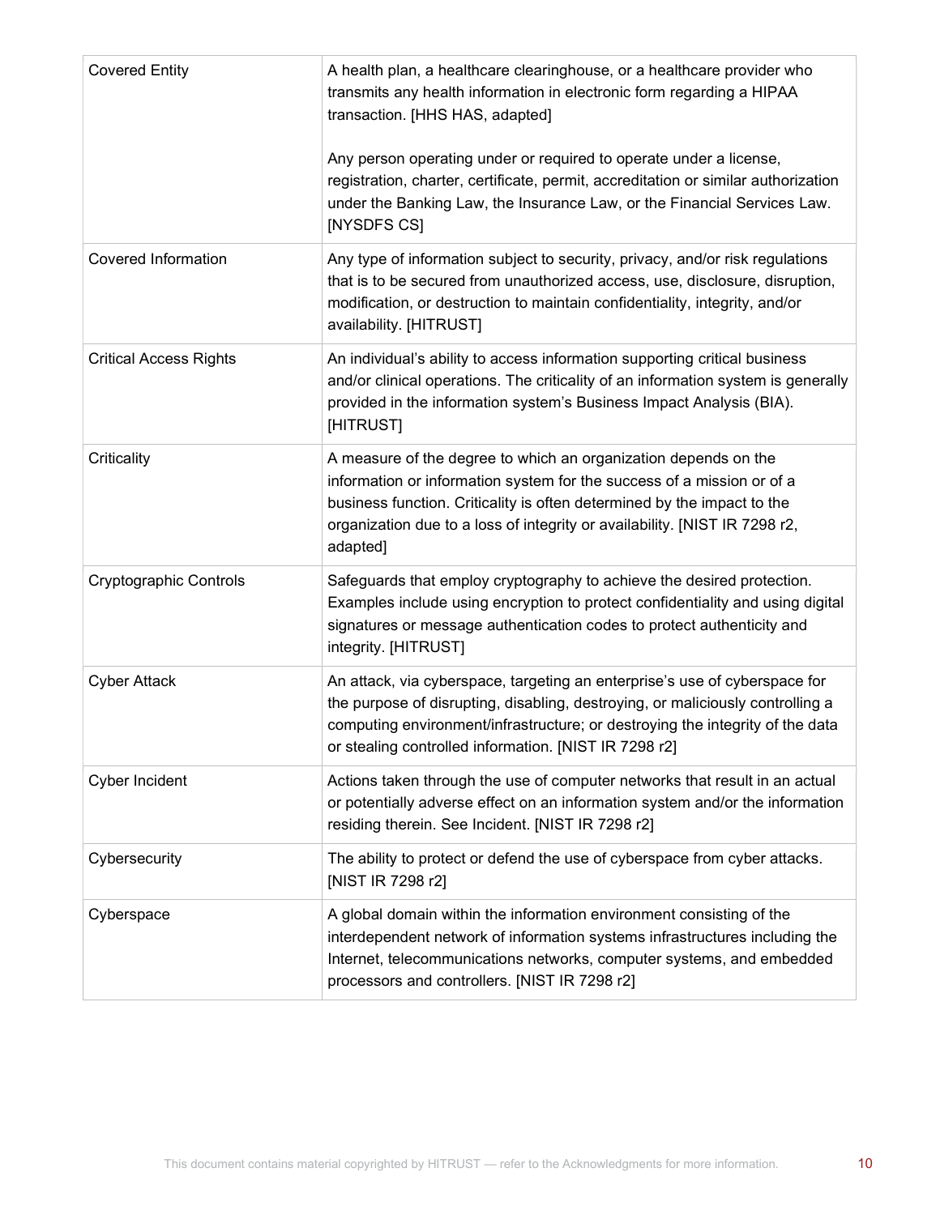| <b>Covered Entity</b>         | A health plan, a healthcare clearinghouse, or a healthcare provider who<br>transmits any health information in electronic form regarding a HIPAA<br>transaction. [HHS HAS, adapted]                                                                                                                            |
|-------------------------------|----------------------------------------------------------------------------------------------------------------------------------------------------------------------------------------------------------------------------------------------------------------------------------------------------------------|
|                               | Any person operating under or required to operate under a license,<br>registration, charter, certificate, permit, accreditation or similar authorization<br>under the Banking Law, the Insurance Law, or the Financial Services Law.<br>[NYSDFS CS]                                                            |
| <b>Covered Information</b>    | Any type of information subject to security, privacy, and/or risk regulations<br>that is to be secured from unauthorized access, use, disclosure, disruption,<br>modification, or destruction to maintain confidentiality, integrity, and/or<br>availability. [HITRUST]                                        |
| <b>Critical Access Rights</b> | An individual's ability to access information supporting critical business<br>and/or clinical operations. The criticality of an information system is generally<br>provided in the information system's Business Impact Analysis (BIA).<br>[HITRUST]                                                           |
| Criticality                   | A measure of the degree to which an organization depends on the<br>information or information system for the success of a mission or of a<br>business function. Criticality is often determined by the impact to the<br>organization due to a loss of integrity or availability. [NIST IR 7298 r2,<br>adapted] |
| Cryptographic Controls        | Safeguards that employ cryptography to achieve the desired protection.<br>Examples include using encryption to protect confidentiality and using digital<br>signatures or message authentication codes to protect authenticity and<br>integrity. [HITRUST]                                                     |
| <b>Cyber Attack</b>           | An attack, via cyberspace, targeting an enterprise's use of cyberspace for<br>the purpose of disrupting, disabling, destroying, or maliciously controlling a<br>computing environment/infrastructure; or destroying the integrity of the data<br>or stealing controlled information. [NIST IR 7298 r2]         |
| Cyber Incident                | Actions taken through the use of computer networks that result in an actual<br>or potentially adverse effect on an information system and/or the information<br>residing therein. See Incident. [NIST IR 7298 r2]                                                                                              |
| Cybersecurity                 | The ability to protect or defend the use of cyberspace from cyber attacks.<br>[NIST IR 7298 r2]                                                                                                                                                                                                                |
| Cyberspace                    | A global domain within the information environment consisting of the<br>interdependent network of information systems infrastructures including the<br>Internet, telecommunications networks, computer systems, and embedded<br>processors and controllers. [NIST IR 7298 r2]                                  |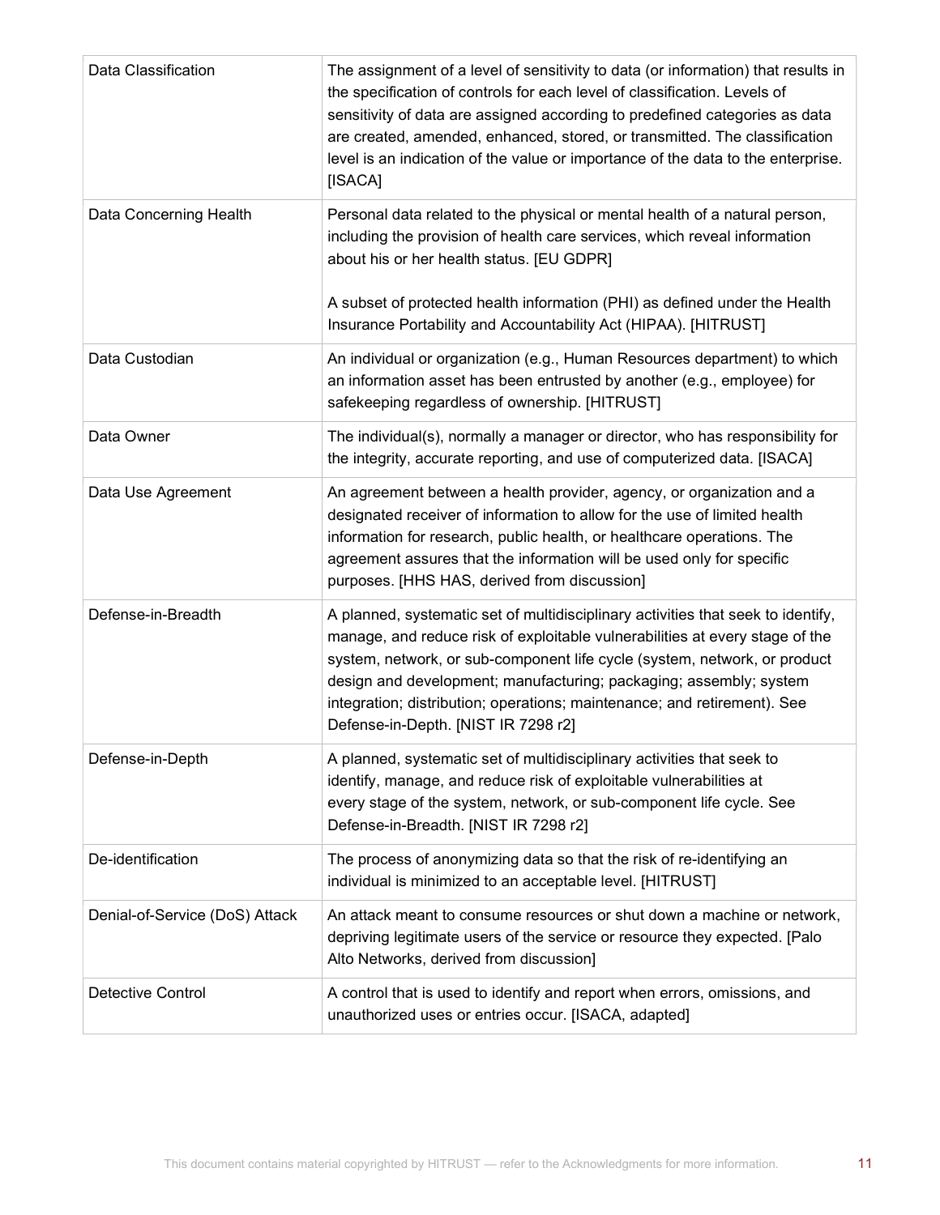| Data Classification            | The assignment of a level of sensitivity to data (or information) that results in<br>the specification of controls for each level of classification. Levels of<br>sensitivity of data are assigned according to predefined categories as data<br>are created, amended, enhanced, stored, or transmitted. The classification<br>level is an indication of the value or importance of the data to the enterprise.<br>[ISACA]             |
|--------------------------------|----------------------------------------------------------------------------------------------------------------------------------------------------------------------------------------------------------------------------------------------------------------------------------------------------------------------------------------------------------------------------------------------------------------------------------------|
| Data Concerning Health         | Personal data related to the physical or mental health of a natural person,<br>including the provision of health care services, which reveal information<br>about his or her health status. [EU GDPR]<br>A subset of protected health information (PHI) as defined under the Health<br>Insurance Portability and Accountability Act (HIPAA). [HITRUST]                                                                                 |
| Data Custodian                 | An individual or organization (e.g., Human Resources department) to which<br>an information asset has been entrusted by another (e.g., employee) for<br>safekeeping regardless of ownership. [HITRUST]                                                                                                                                                                                                                                 |
| Data Owner                     | The individual(s), normally a manager or director, who has responsibility for<br>the integrity, accurate reporting, and use of computerized data. [ISACA]                                                                                                                                                                                                                                                                              |
| Data Use Agreement             | An agreement between a health provider, agency, or organization and a<br>designated receiver of information to allow for the use of limited health<br>information for research, public health, or healthcare operations. The<br>agreement assures that the information will be used only for specific<br>purposes. [HHS HAS, derived from discussion]                                                                                  |
| Defense-in-Breadth             | A planned, systematic set of multidisciplinary activities that seek to identify,<br>manage, and reduce risk of exploitable vulnerabilities at every stage of the<br>system, network, or sub-component life cycle (system, network, or product<br>design and development; manufacturing; packaging; assembly; system<br>integration; distribution; operations; maintenance; and retirement). See<br>Defense-in-Depth. [NIST IR 7298 r2] |
| Defense-in-Depth               | A planned, systematic set of multidisciplinary activities that seek to<br>identify, manage, and reduce risk of exploitable vulnerabilities at<br>every stage of the system, network, or sub-component life cycle. See<br>Defense-in-Breadth. [NIST IR 7298 r2]                                                                                                                                                                         |
| De-identification              | The process of anonymizing data so that the risk of re-identifying an<br>individual is minimized to an acceptable level. [HITRUST]                                                                                                                                                                                                                                                                                                     |
| Denial-of-Service (DoS) Attack | An attack meant to consume resources or shut down a machine or network,<br>depriving legitimate users of the service or resource they expected. [Palo<br>Alto Networks, derived from discussion]                                                                                                                                                                                                                                       |
| <b>Detective Control</b>       | A control that is used to identify and report when errors, omissions, and<br>unauthorized uses or entries occur. [ISACA, adapted]                                                                                                                                                                                                                                                                                                      |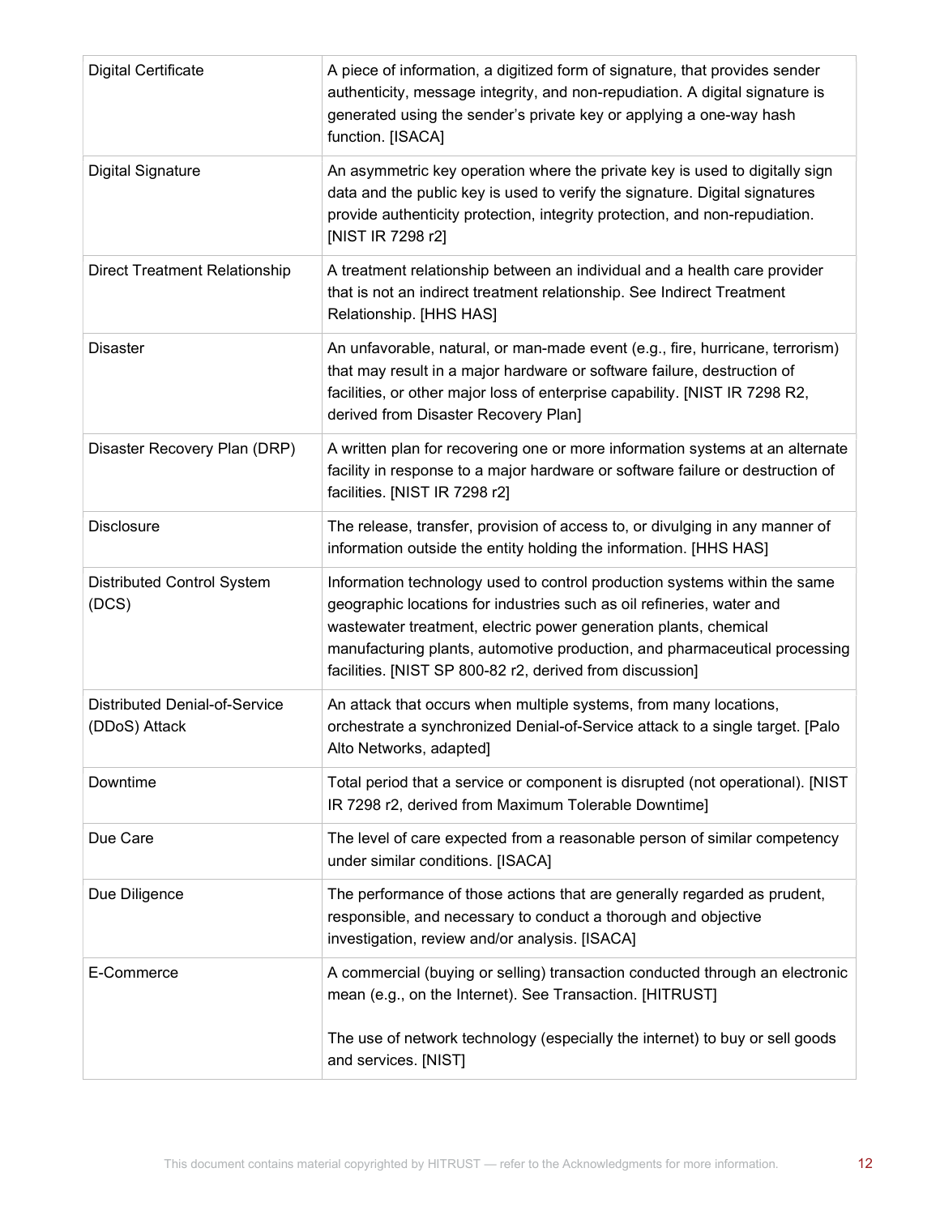| <b>Digital Certificate</b>                            | A piece of information, a digitized form of signature, that provides sender<br>authenticity, message integrity, and non-repudiation. A digital signature is<br>generated using the sender's private key or applying a one-way hash<br>function. [ISACA]                                                                                                          |
|-------------------------------------------------------|------------------------------------------------------------------------------------------------------------------------------------------------------------------------------------------------------------------------------------------------------------------------------------------------------------------------------------------------------------------|
| <b>Digital Signature</b>                              | An asymmetric key operation where the private key is used to digitally sign<br>data and the public key is used to verify the signature. Digital signatures<br>provide authenticity protection, integrity protection, and non-repudiation.<br>[NIST IR 7298 r2]                                                                                                   |
| <b>Direct Treatment Relationship</b>                  | A treatment relationship between an individual and a health care provider<br>that is not an indirect treatment relationship. See Indirect Treatment<br>Relationship. [HHS HAS]                                                                                                                                                                                   |
| <b>Disaster</b>                                       | An unfavorable, natural, or man-made event (e.g., fire, hurricane, terrorism)<br>that may result in a major hardware or software failure, destruction of<br>facilities, or other major loss of enterprise capability. [NIST IR 7298 R2,<br>derived from Disaster Recovery Plan]                                                                                  |
| Disaster Recovery Plan (DRP)                          | A written plan for recovering one or more information systems at an alternate<br>facility in response to a major hardware or software failure or destruction of<br>facilities. [NIST IR 7298 r2]                                                                                                                                                                 |
| <b>Disclosure</b>                                     | The release, transfer, provision of access to, or divulging in any manner of<br>information outside the entity holding the information. [HHS HAS]                                                                                                                                                                                                                |
| <b>Distributed Control System</b><br>(DCS)            | Information technology used to control production systems within the same<br>geographic locations for industries such as oil refineries, water and<br>wastewater treatment, electric power generation plants, chemical<br>manufacturing plants, automotive production, and pharmaceutical processing<br>facilities. [NIST SP 800-82 r2, derived from discussion] |
| <b>Distributed Denial-of-Service</b><br>(DDoS) Attack | An attack that occurs when multiple systems, from many locations,<br>orchestrate a synchronized Denial-of-Service attack to a single target. [Palo<br>Alto Networks, adapted]                                                                                                                                                                                    |
| Downtime                                              | Total period that a service or component is disrupted (not operational). [NIST<br>IR 7298 r2, derived from Maximum Tolerable Downtime]                                                                                                                                                                                                                           |
| Due Care                                              | The level of care expected from a reasonable person of similar competency<br>under similar conditions. [ISACA]                                                                                                                                                                                                                                                   |
| Due Diligence                                         | The performance of those actions that are generally regarded as prudent,<br>responsible, and necessary to conduct a thorough and objective<br>investigation, review and/or analysis. [ISACA]                                                                                                                                                                     |
| E-Commerce                                            | A commercial (buying or selling) transaction conducted through an electronic<br>mean (e.g., on the Internet). See Transaction. [HITRUST]                                                                                                                                                                                                                         |
|                                                       | The use of network technology (especially the internet) to buy or sell goods<br>and services. [NIST]                                                                                                                                                                                                                                                             |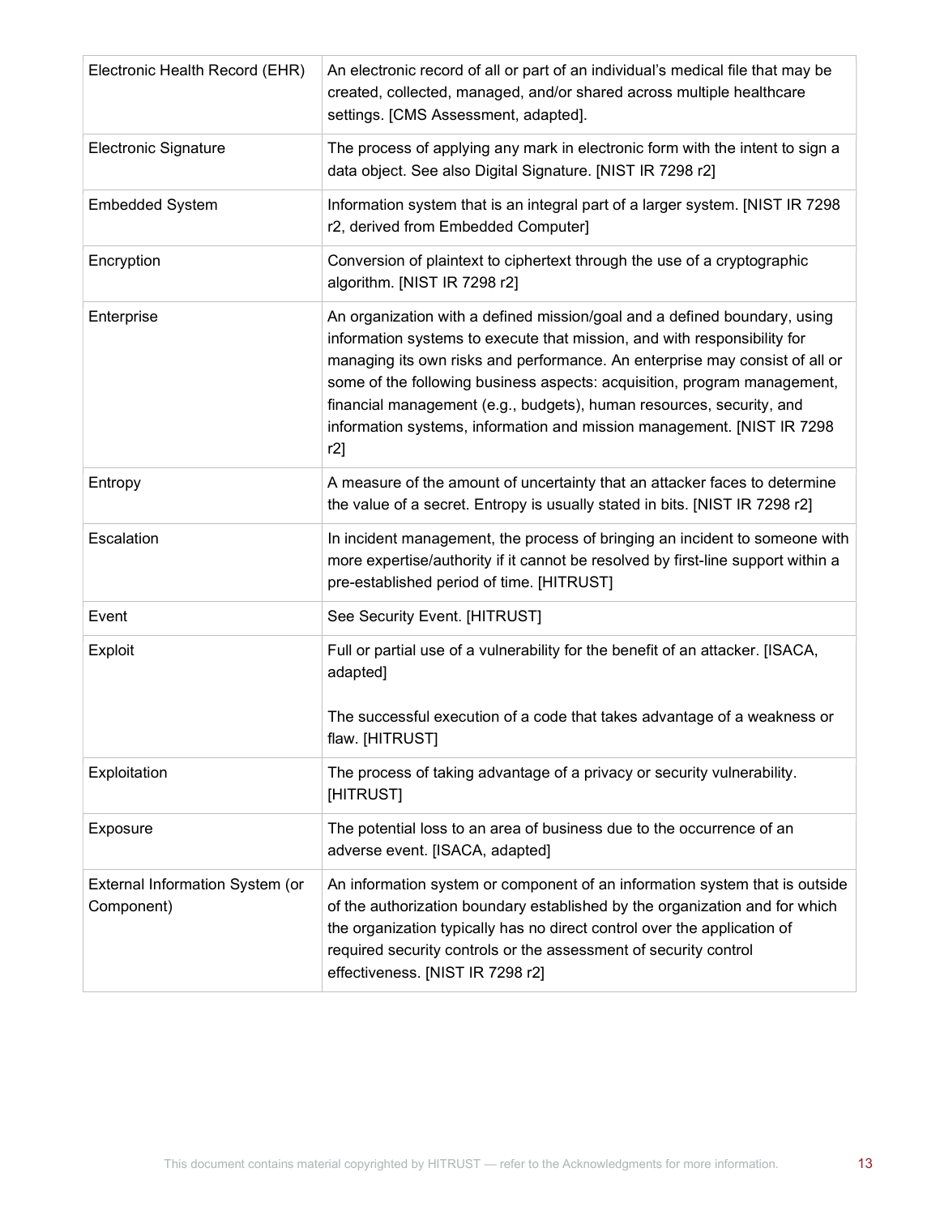| Electronic Health Record (EHR)                | An electronic record of all or part of an individual's medical file that may be<br>created, collected, managed, and/or shared across multiple healthcare<br>settings. [CMS Assessment, adapted].                                                                                                                                                                                                                                                                          |
|-----------------------------------------------|---------------------------------------------------------------------------------------------------------------------------------------------------------------------------------------------------------------------------------------------------------------------------------------------------------------------------------------------------------------------------------------------------------------------------------------------------------------------------|
| <b>Electronic Signature</b>                   | The process of applying any mark in electronic form with the intent to sign a<br>data object. See also Digital Signature. [NIST IR 7298 r2]                                                                                                                                                                                                                                                                                                                               |
| <b>Embedded System</b>                        | Information system that is an integral part of a larger system. [NIST IR 7298<br>r2, derived from Embedded Computer]                                                                                                                                                                                                                                                                                                                                                      |
| Encryption                                    | Conversion of plaintext to ciphertext through the use of a cryptographic<br>algorithm. [NIST IR 7298 r2]                                                                                                                                                                                                                                                                                                                                                                  |
| Enterprise                                    | An organization with a defined mission/goal and a defined boundary, using<br>information systems to execute that mission, and with responsibility for<br>managing its own risks and performance. An enterprise may consist of all or<br>some of the following business aspects: acquisition, program management,<br>financial management (e.g., budgets), human resources, security, and<br>information systems, information and mission management. [NIST IR 7298<br>r2] |
| Entropy                                       | A measure of the amount of uncertainty that an attacker faces to determine<br>the value of a secret. Entropy is usually stated in bits. [NIST IR 7298 r2]                                                                                                                                                                                                                                                                                                                 |
| Escalation                                    | In incident management, the process of bringing an incident to someone with<br>more expertise/authority if it cannot be resolved by first-line support within a<br>pre-established period of time. [HITRUST]                                                                                                                                                                                                                                                              |
| Event                                         | See Security Event. [HITRUST]                                                                                                                                                                                                                                                                                                                                                                                                                                             |
| Exploit                                       | Full or partial use of a vulnerability for the benefit of an attacker. [ISACA,<br>adapted]<br>The successful execution of a code that takes advantage of a weakness or<br>flaw. [HITRUST]                                                                                                                                                                                                                                                                                 |
| Exploitation                                  | The process of taking advantage of a privacy or security vulnerability.<br>[HITRUST]                                                                                                                                                                                                                                                                                                                                                                                      |
| Exposure                                      | The potential loss to an area of business due to the occurrence of an<br>adverse event. [ISACA, adapted]                                                                                                                                                                                                                                                                                                                                                                  |
| External Information System (or<br>Component) | An information system or component of an information system that is outside<br>of the authorization boundary established by the organization and for which<br>the organization typically has no direct control over the application of<br>required security controls or the assessment of security control<br>effectiveness. [NIST IR 7298 r2]                                                                                                                            |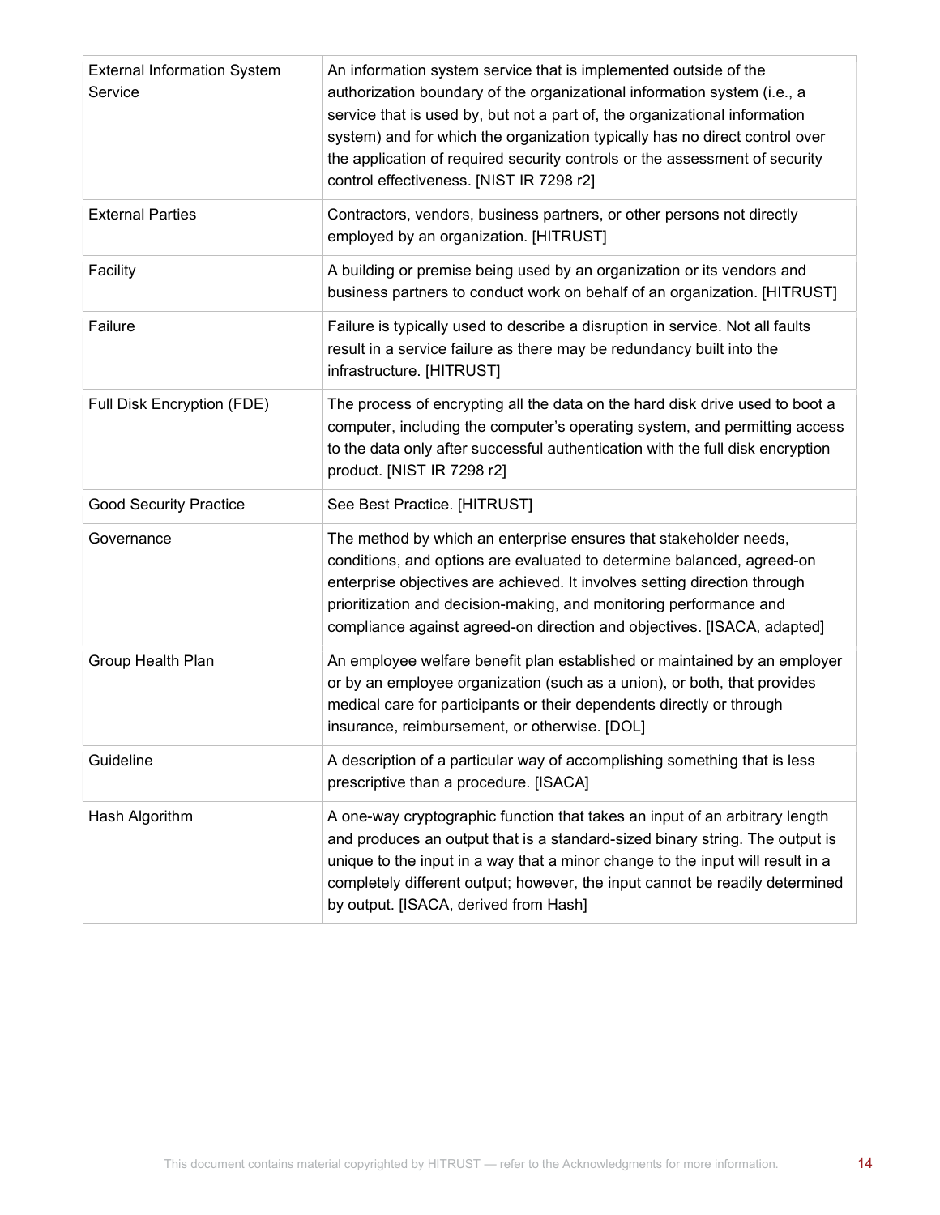| <b>External Information System</b><br>Service | An information system service that is implemented outside of the<br>authorization boundary of the organizational information system (i.e., a<br>service that is used by, but not a part of, the organizational information<br>system) and for which the organization typically has no direct control over<br>the application of required security controls or the assessment of security<br>control effectiveness. [NIST IR 7298 r2] |
|-----------------------------------------------|--------------------------------------------------------------------------------------------------------------------------------------------------------------------------------------------------------------------------------------------------------------------------------------------------------------------------------------------------------------------------------------------------------------------------------------|
| <b>External Parties</b>                       | Contractors, vendors, business partners, or other persons not directly<br>employed by an organization. [HITRUST]                                                                                                                                                                                                                                                                                                                     |
| Facility                                      | A building or premise being used by an organization or its vendors and<br>business partners to conduct work on behalf of an organization. [HITRUST]                                                                                                                                                                                                                                                                                  |
| Failure                                       | Failure is typically used to describe a disruption in service. Not all faults<br>result in a service failure as there may be redundancy built into the<br>infrastructure. [HITRUST]                                                                                                                                                                                                                                                  |
| Full Disk Encryption (FDE)                    | The process of encrypting all the data on the hard disk drive used to boot a<br>computer, including the computer's operating system, and permitting access<br>to the data only after successful authentication with the full disk encryption<br>product. [NIST IR 7298 r2]                                                                                                                                                           |
| <b>Good Security Practice</b>                 | See Best Practice. [HITRUST]                                                                                                                                                                                                                                                                                                                                                                                                         |
| Governance                                    | The method by which an enterprise ensures that stakeholder needs,<br>conditions, and options are evaluated to determine balanced, agreed-on<br>enterprise objectives are achieved. It involves setting direction through<br>prioritization and decision-making, and monitoring performance and<br>compliance against agreed-on direction and objectives. [ISACA, adapted]                                                            |
| Group Health Plan                             | An employee welfare benefit plan established or maintained by an employer<br>or by an employee organization (such as a union), or both, that provides<br>medical care for participants or their dependents directly or through<br>insurance, reimbursement, or otherwise. [DOL]                                                                                                                                                      |
| Guideline                                     | A description of a particular way of accomplishing something that is less<br>prescriptive than a procedure. [ISACA]                                                                                                                                                                                                                                                                                                                  |
| Hash Algorithm                                | A one-way cryptographic function that takes an input of an arbitrary length<br>and produces an output that is a standard-sized binary string. The output is<br>unique to the input in a way that a minor change to the input will result in a<br>completely different output; however, the input cannot be readily determined<br>by output. [ISACA, derived from Hash]                                                               |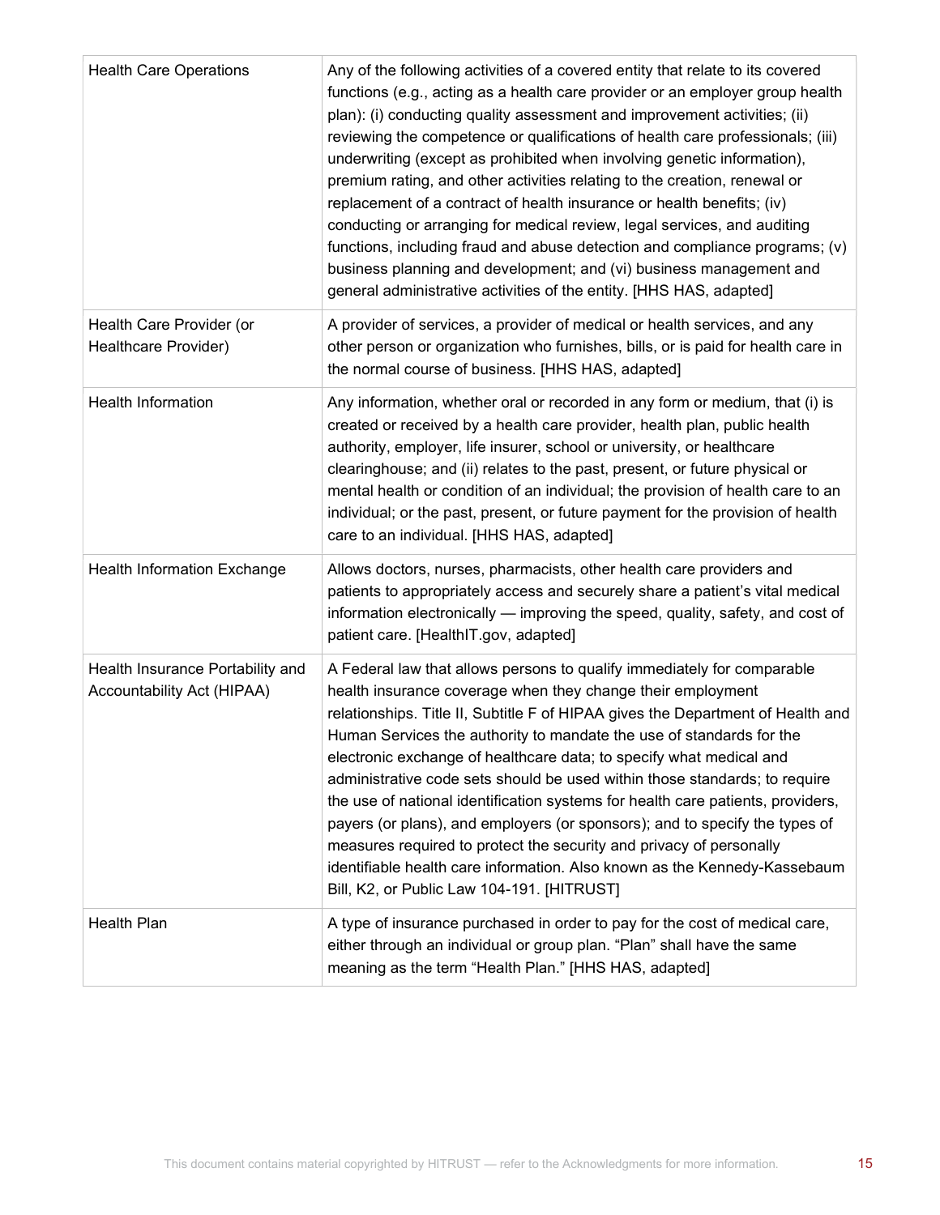| <b>Health Care Operations</b>                                  | Any of the following activities of a covered entity that relate to its covered<br>functions (e.g., acting as a health care provider or an employer group health<br>plan): (i) conducting quality assessment and improvement activities; (ii)<br>reviewing the competence or qualifications of health care professionals; (iii)<br>underwriting (except as prohibited when involving genetic information),<br>premium rating, and other activities relating to the creation, renewal or<br>replacement of a contract of health insurance or health benefits; (iv)<br>conducting or arranging for medical review, legal services, and auditing<br>functions, including fraud and abuse detection and compliance programs; (v)<br>business planning and development; and (vi) business management and<br>general administrative activities of the entity. [HHS HAS, adapted] |
|----------------------------------------------------------------|---------------------------------------------------------------------------------------------------------------------------------------------------------------------------------------------------------------------------------------------------------------------------------------------------------------------------------------------------------------------------------------------------------------------------------------------------------------------------------------------------------------------------------------------------------------------------------------------------------------------------------------------------------------------------------------------------------------------------------------------------------------------------------------------------------------------------------------------------------------------------|
| Health Care Provider (or<br>Healthcare Provider)               | A provider of services, a provider of medical or health services, and any<br>other person or organization who furnishes, bills, or is paid for health care in<br>the normal course of business. [HHS HAS, adapted]                                                                                                                                                                                                                                                                                                                                                                                                                                                                                                                                                                                                                                                        |
| <b>Health Information</b>                                      | Any information, whether oral or recorded in any form or medium, that (i) is<br>created or received by a health care provider, health plan, public health<br>authority, employer, life insurer, school or university, or healthcare<br>clearinghouse; and (ii) relates to the past, present, or future physical or<br>mental health or condition of an individual; the provision of health care to an<br>individual; or the past, present, or future payment for the provision of health<br>care to an individual. [HHS HAS, adapted]                                                                                                                                                                                                                                                                                                                                     |
| Health Information Exchange                                    | Allows doctors, nurses, pharmacists, other health care providers and<br>patients to appropriately access and securely share a patient's vital medical<br>information electronically - improving the speed, quality, safety, and cost of<br>patient care. [HealthIT.gov, adapted]                                                                                                                                                                                                                                                                                                                                                                                                                                                                                                                                                                                          |
| Health Insurance Portability and<br>Accountability Act (HIPAA) | A Federal law that allows persons to qualify immediately for comparable<br>health insurance coverage when they change their employment<br>relationships. Title II, Subtitle F of HIPAA gives the Department of Health and<br>Human Services the authority to mandate the use of standards for the<br>electronic exchange of healthcare data; to specify what medical and<br>administrative code sets should be used within those standards; to require<br>the use of national identification systems for health care patients, providers,<br>payers (or plans), and employers (or sponsors); and to specify the types of<br>measures required to protect the security and privacy of personally<br>identifiable health care information. Also known as the Kennedy-Kassebaum<br>Bill, K2, or Public Law 104-191. [HITRUST]                                                |
| <b>Health Plan</b>                                             | A type of insurance purchased in order to pay for the cost of medical care,<br>either through an individual or group plan. "Plan" shall have the same<br>meaning as the term "Health Plan." [HHS HAS, adapted]                                                                                                                                                                                                                                                                                                                                                                                                                                                                                                                                                                                                                                                            |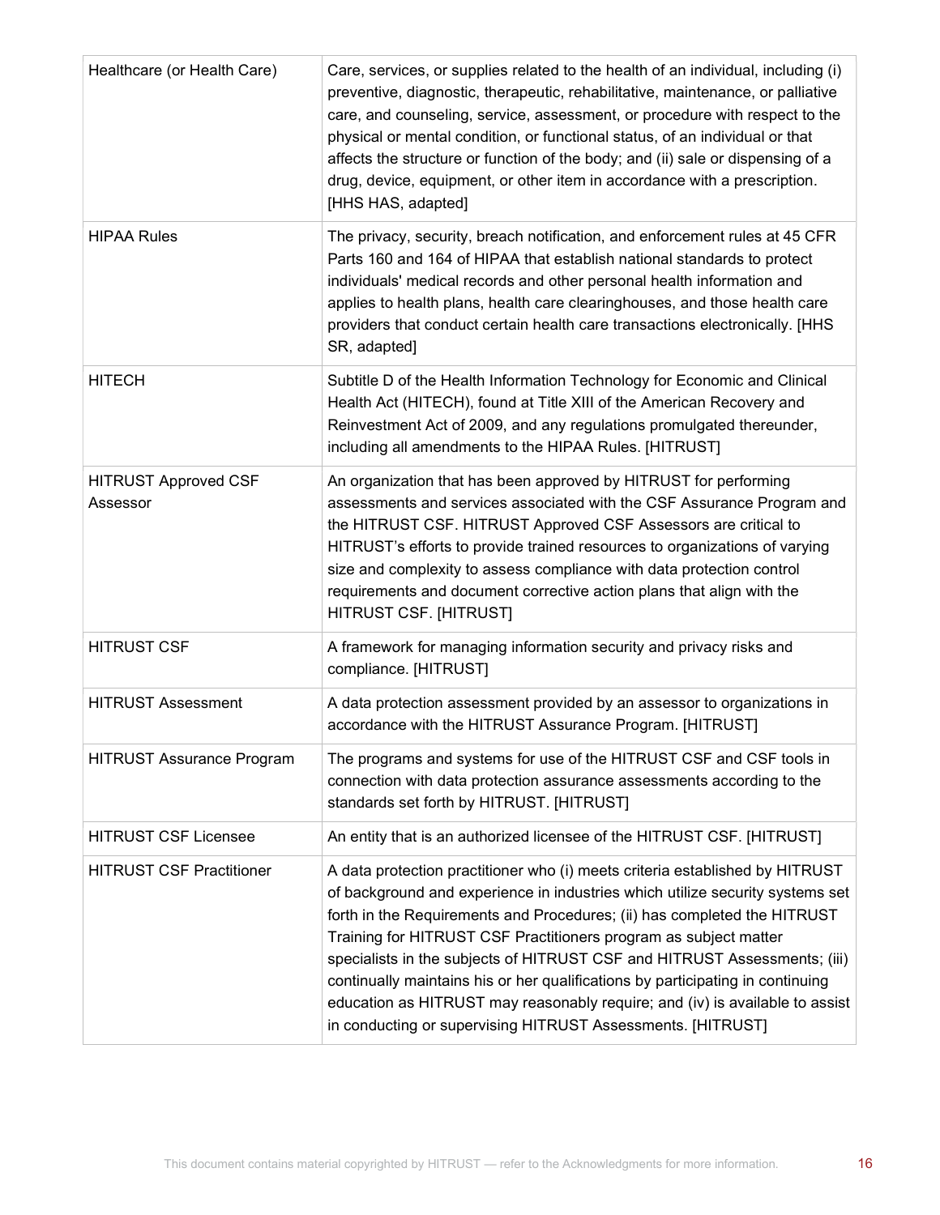| Healthcare (or Health Care)             | Care, services, or supplies related to the health of an individual, including (i)<br>preventive, diagnostic, therapeutic, rehabilitative, maintenance, or palliative<br>care, and counseling, service, assessment, or procedure with respect to the<br>physical or mental condition, or functional status, of an individual or that<br>affects the structure or function of the body; and (ii) sale or dispensing of a<br>drug, device, equipment, or other item in accordance with a prescription.<br>[HHS HAS, adapted]                                                                                                   |
|-----------------------------------------|-----------------------------------------------------------------------------------------------------------------------------------------------------------------------------------------------------------------------------------------------------------------------------------------------------------------------------------------------------------------------------------------------------------------------------------------------------------------------------------------------------------------------------------------------------------------------------------------------------------------------------|
| <b>HIPAA Rules</b>                      | The privacy, security, breach notification, and enforcement rules at 45 CFR<br>Parts 160 and 164 of HIPAA that establish national standards to protect<br>individuals' medical records and other personal health information and<br>applies to health plans, health care clearinghouses, and those health care<br>providers that conduct certain health care transactions electronically. [HHS<br>SR, adapted]                                                                                                                                                                                                              |
| <b>HITECH</b>                           | Subtitle D of the Health Information Technology for Economic and Clinical<br>Health Act (HITECH), found at Title XIII of the American Recovery and<br>Reinvestment Act of 2009, and any regulations promulgated thereunder,<br>including all amendments to the HIPAA Rules. [HITRUST]                                                                                                                                                                                                                                                                                                                                       |
| <b>HITRUST Approved CSF</b><br>Assessor | An organization that has been approved by HITRUST for performing<br>assessments and services associated with the CSF Assurance Program and<br>the HITRUST CSF. HITRUST Approved CSF Assessors are critical to<br>HITRUST's efforts to provide trained resources to organizations of varying<br>size and complexity to assess compliance with data protection control<br>requirements and document corrective action plans that align with the<br>HITRUST CSF. [HITRUST]                                                                                                                                                     |
| <b>HITRUST CSF</b>                      | A framework for managing information security and privacy risks and<br>compliance. [HITRUST]                                                                                                                                                                                                                                                                                                                                                                                                                                                                                                                                |
| <b>HITRUST Assessment</b>               | A data protection assessment provided by an assessor to organizations in<br>accordance with the HITRUST Assurance Program. [HITRUST]                                                                                                                                                                                                                                                                                                                                                                                                                                                                                        |
| <b>HITRUST Assurance Program</b>        | The programs and systems for use of the HITRUST CSF and CSF tools in<br>connection with data protection assurance assessments according to the<br>standards set forth by HITRUST. [HITRUST]                                                                                                                                                                                                                                                                                                                                                                                                                                 |
| <b>HITRUST CSF Licensee</b>             | An entity that is an authorized licensee of the HITRUST CSF. [HITRUST]                                                                                                                                                                                                                                                                                                                                                                                                                                                                                                                                                      |
| <b>HITRUST CSF Practitioner</b>         | A data protection practitioner who (i) meets criteria established by HITRUST<br>of background and experience in industries which utilize security systems set<br>forth in the Requirements and Procedures; (ii) has completed the HITRUST<br>Training for HITRUST CSF Practitioners program as subject matter<br>specialists in the subjects of HITRUST CSF and HITRUST Assessments; (iii)<br>continually maintains his or her qualifications by participating in continuing<br>education as HITRUST may reasonably require; and (iv) is available to assist<br>in conducting or supervising HITRUST Assessments. [HITRUST] |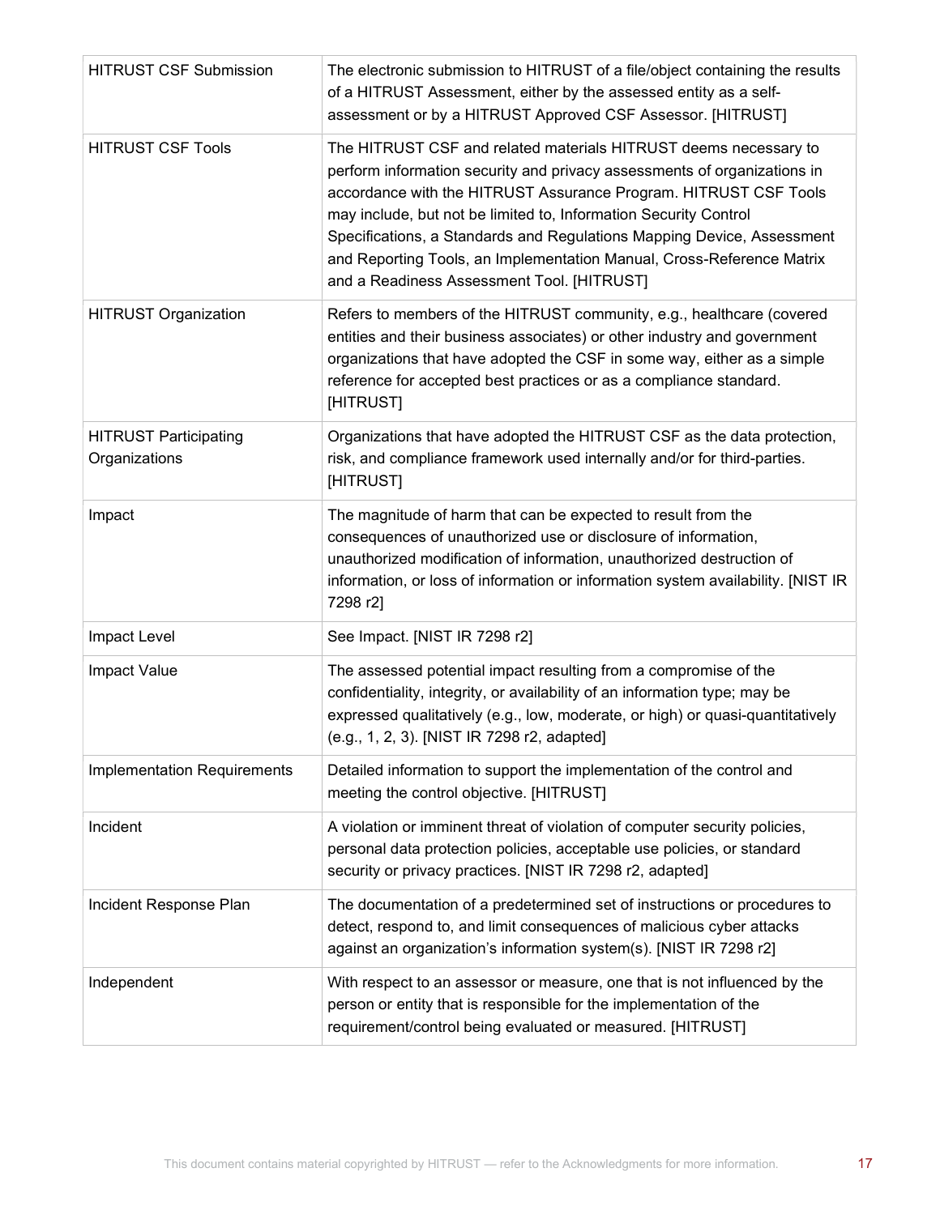| <b>HITRUST CSF Submission</b>                 | The electronic submission to HITRUST of a file/object containing the results<br>of a HITRUST Assessment, either by the assessed entity as a self-<br>assessment or by a HITRUST Approved CSF Assessor. [HITRUST]                                                                                                                                                                                                                                                                      |
|-----------------------------------------------|---------------------------------------------------------------------------------------------------------------------------------------------------------------------------------------------------------------------------------------------------------------------------------------------------------------------------------------------------------------------------------------------------------------------------------------------------------------------------------------|
| <b>HITRUST CSF Tools</b>                      | The HITRUST CSF and related materials HITRUST deems necessary to<br>perform information security and privacy assessments of organizations in<br>accordance with the HITRUST Assurance Program. HITRUST CSF Tools<br>may include, but not be limited to, Information Security Control<br>Specifications, a Standards and Regulations Mapping Device, Assessment<br>and Reporting Tools, an Implementation Manual, Cross-Reference Matrix<br>and a Readiness Assessment Tool. [HITRUST] |
| <b>HITRUST Organization</b>                   | Refers to members of the HITRUST community, e.g., healthcare (covered<br>entities and their business associates) or other industry and government<br>organizations that have adopted the CSF in some way, either as a simple<br>reference for accepted best practices or as a compliance standard.<br>[HITRUST]                                                                                                                                                                       |
| <b>HITRUST Participating</b><br>Organizations | Organizations that have adopted the HITRUST CSF as the data protection,<br>risk, and compliance framework used internally and/or for third-parties.<br>[HITRUST]                                                                                                                                                                                                                                                                                                                      |
| Impact                                        | The magnitude of harm that can be expected to result from the<br>consequences of unauthorized use or disclosure of information,<br>unauthorized modification of information, unauthorized destruction of<br>information, or loss of information or information system availability. [NIST IR<br>7298 r2]                                                                                                                                                                              |
| Impact Level                                  | See Impact. [NIST IR 7298 r2]                                                                                                                                                                                                                                                                                                                                                                                                                                                         |
| <b>Impact Value</b>                           | The assessed potential impact resulting from a compromise of the<br>confidentiality, integrity, or availability of an information type; may be<br>expressed qualitatively (e.g., low, moderate, or high) or quasi-quantitatively<br>(e.g., 1, 2, 3). [NIST IR 7298 r2, adapted]                                                                                                                                                                                                       |
| Implementation Requirements                   | Detailed information to support the implementation of the control and<br>meeting the control objective. [HITRUST]                                                                                                                                                                                                                                                                                                                                                                     |
| Incident                                      | A violation or imminent threat of violation of computer security policies,<br>personal data protection policies, acceptable use policies, or standard<br>security or privacy practices. [NIST IR 7298 r2, adapted]                                                                                                                                                                                                                                                                    |
| Incident Response Plan                        | The documentation of a predetermined set of instructions or procedures to<br>detect, respond to, and limit consequences of malicious cyber attacks<br>against an organization's information system(s). [NIST IR 7298 r2]                                                                                                                                                                                                                                                              |
| Independent                                   | With respect to an assessor or measure, one that is not influenced by the<br>person or entity that is responsible for the implementation of the<br>requirement/control being evaluated or measured. [HITRUST]                                                                                                                                                                                                                                                                         |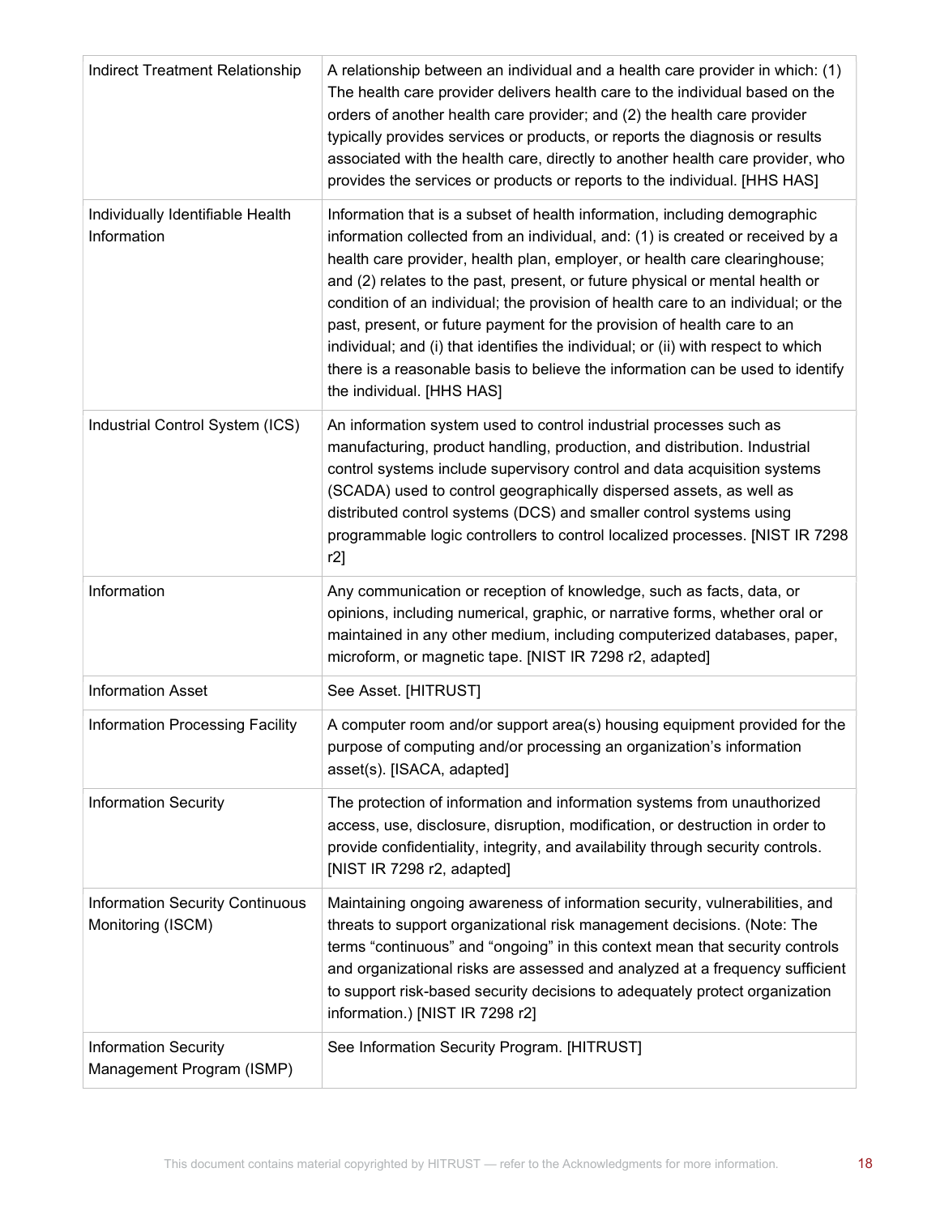| <b>Indirect Treatment Relationship</b>                      | A relationship between an individual and a health care provider in which: (1)<br>The health care provider delivers health care to the individual based on the<br>orders of another health care provider; and (2) the health care provider<br>typically provides services or products, or reports the diagnosis or results<br>associated with the health care, directly to another health care provider, who<br>provides the services or products or reports to the individual. [HHS HAS]                                                                                                                                                                                                      |
|-------------------------------------------------------------|-----------------------------------------------------------------------------------------------------------------------------------------------------------------------------------------------------------------------------------------------------------------------------------------------------------------------------------------------------------------------------------------------------------------------------------------------------------------------------------------------------------------------------------------------------------------------------------------------------------------------------------------------------------------------------------------------|
| Individually Identifiable Health<br>Information             | Information that is a subset of health information, including demographic<br>information collected from an individual, and: (1) is created or received by a<br>health care provider, health plan, employer, or health care clearinghouse;<br>and (2) relates to the past, present, or future physical or mental health or<br>condition of an individual; the provision of health care to an individual; or the<br>past, present, or future payment for the provision of health care to an<br>individual; and (i) that identifies the individual; or (ii) with respect to which<br>there is a reasonable basis to believe the information can be used to identify<br>the individual. [HHS HAS] |
| Industrial Control System (ICS)                             | An information system used to control industrial processes such as<br>manufacturing, product handling, production, and distribution. Industrial<br>control systems include supervisory control and data acquisition systems<br>(SCADA) used to control geographically dispersed assets, as well as<br>distributed control systems (DCS) and smaller control systems using<br>programmable logic controllers to control localized processes. [NIST IR 7298<br>r2]                                                                                                                                                                                                                              |
| Information                                                 | Any communication or reception of knowledge, such as facts, data, or<br>opinions, including numerical, graphic, or narrative forms, whether oral or<br>maintained in any other medium, including computerized databases, paper,<br>microform, or magnetic tape. [NIST IR 7298 r2, adapted]                                                                                                                                                                                                                                                                                                                                                                                                    |
| <b>Information Asset</b>                                    | See Asset. [HITRUST]                                                                                                                                                                                                                                                                                                                                                                                                                                                                                                                                                                                                                                                                          |
| Information Processing Facility                             | A computer room and/or support area(s) housing equipment provided for the<br>purpose of computing and/or processing an organization's information<br>asset(s). [ISACA, adapted]                                                                                                                                                                                                                                                                                                                                                                                                                                                                                                               |
| <b>Information Security</b>                                 | The protection of information and information systems from unauthorized<br>access, use, disclosure, disruption, modification, or destruction in order to<br>provide confidentiality, integrity, and availability through security controls.<br>[NIST IR 7298 r2, adapted]                                                                                                                                                                                                                                                                                                                                                                                                                     |
| <b>Information Security Continuous</b><br>Monitoring (ISCM) | Maintaining ongoing awareness of information security, vulnerabilities, and<br>threats to support organizational risk management decisions. (Note: The<br>terms "continuous" and "ongoing" in this context mean that security controls<br>and organizational risks are assessed and analyzed at a frequency sufficient<br>to support risk-based security decisions to adequately protect organization<br>information.) [NIST IR 7298 r2]                                                                                                                                                                                                                                                      |
| <b>Information Security</b><br>Management Program (ISMP)    | See Information Security Program. [HITRUST]                                                                                                                                                                                                                                                                                                                                                                                                                                                                                                                                                                                                                                                   |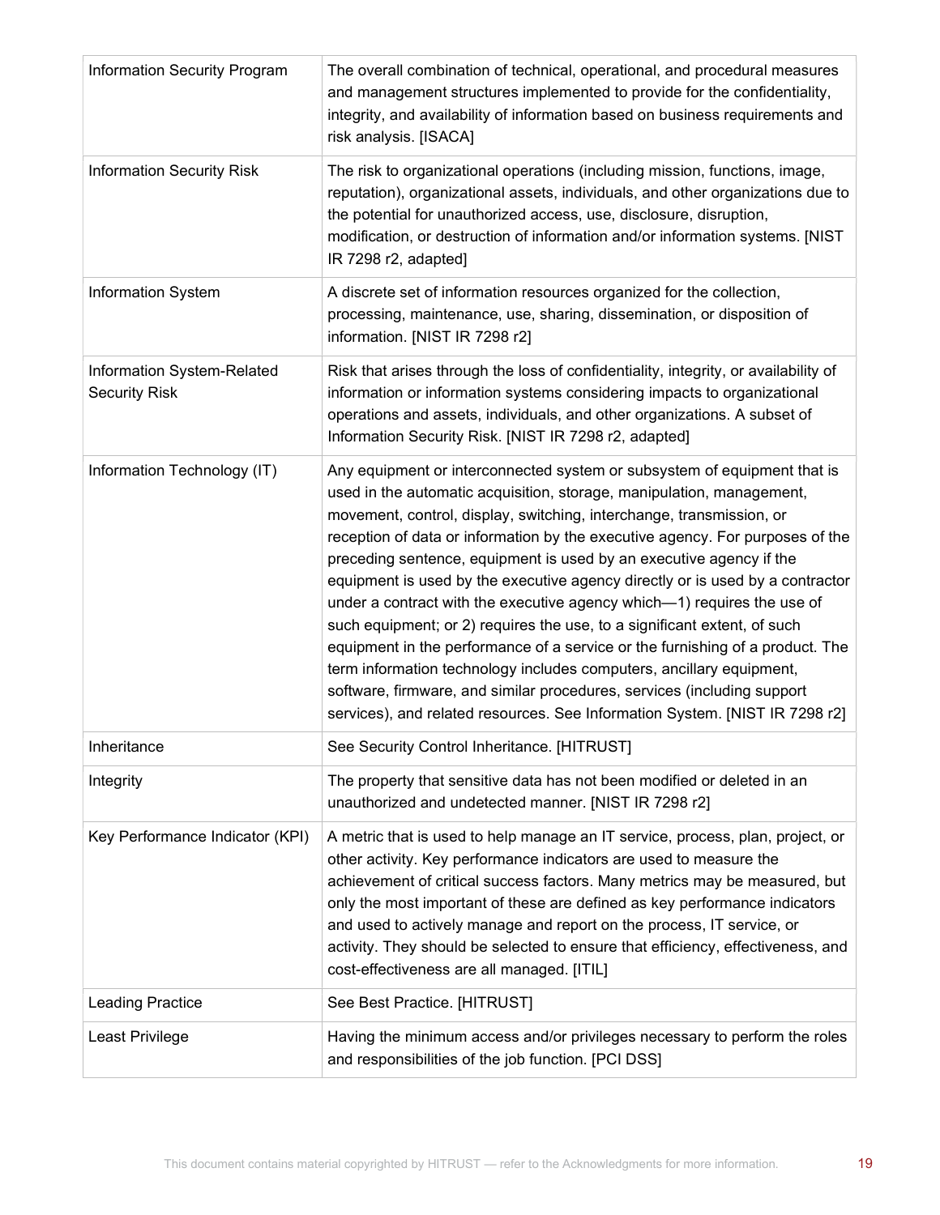| <b>Information Security Program</b>                | The overall combination of technical, operational, and procedural measures<br>and management structures implemented to provide for the confidentiality,<br>integrity, and availability of information based on business requirements and<br>risk analysis. [ISACA]                                                                                                                                                                                                                                                                                                                                                                                                                                                                                                                                                                                                                                                                           |
|----------------------------------------------------|----------------------------------------------------------------------------------------------------------------------------------------------------------------------------------------------------------------------------------------------------------------------------------------------------------------------------------------------------------------------------------------------------------------------------------------------------------------------------------------------------------------------------------------------------------------------------------------------------------------------------------------------------------------------------------------------------------------------------------------------------------------------------------------------------------------------------------------------------------------------------------------------------------------------------------------------|
| <b>Information Security Risk</b>                   | The risk to organizational operations (including mission, functions, image,<br>reputation), organizational assets, individuals, and other organizations due to<br>the potential for unauthorized access, use, disclosure, disruption,<br>modification, or destruction of information and/or information systems. [NIST<br>IR 7298 r2, adapted]                                                                                                                                                                                                                                                                                                                                                                                                                                                                                                                                                                                               |
| <b>Information System</b>                          | A discrete set of information resources organized for the collection,<br>processing, maintenance, use, sharing, dissemination, or disposition of<br>information. [NIST IR 7298 r2]                                                                                                                                                                                                                                                                                                                                                                                                                                                                                                                                                                                                                                                                                                                                                           |
| Information System-Related<br><b>Security Risk</b> | Risk that arises through the loss of confidentiality, integrity, or availability of<br>information or information systems considering impacts to organizational<br>operations and assets, individuals, and other organizations. A subset of<br>Information Security Risk. [NIST IR 7298 r2, adapted]                                                                                                                                                                                                                                                                                                                                                                                                                                                                                                                                                                                                                                         |
| Information Technology (IT)                        | Any equipment or interconnected system or subsystem of equipment that is<br>used in the automatic acquisition, storage, manipulation, management,<br>movement, control, display, switching, interchange, transmission, or<br>reception of data or information by the executive agency. For purposes of the<br>preceding sentence, equipment is used by an executive agency if the<br>equipment is used by the executive agency directly or is used by a contractor<br>under a contract with the executive agency which-1) requires the use of<br>such equipment; or 2) requires the use, to a significant extent, of such<br>equipment in the performance of a service or the furnishing of a product. The<br>term information technology includes computers, ancillary equipment,<br>software, firmware, and similar procedures, services (including support<br>services), and related resources. See Information System. [NIST IR 7298 r2] |
| Inheritance                                        | See Security Control Inheritance. [HITRUST]                                                                                                                                                                                                                                                                                                                                                                                                                                                                                                                                                                                                                                                                                                                                                                                                                                                                                                  |
| Integrity                                          | The property that sensitive data has not been modified or deleted in an<br>unauthorized and undetected manner. [NIST IR 7298 r2]                                                                                                                                                                                                                                                                                                                                                                                                                                                                                                                                                                                                                                                                                                                                                                                                             |
| Key Performance Indicator (KPI)                    | A metric that is used to help manage an IT service, process, plan, project, or<br>other activity. Key performance indicators are used to measure the<br>achievement of critical success factors. Many metrics may be measured, but<br>only the most important of these are defined as key performance indicators<br>and used to actively manage and report on the process, IT service, or<br>activity. They should be selected to ensure that efficiency, effectiveness, and<br>cost-effectiveness are all managed. [ITIL]                                                                                                                                                                                                                                                                                                                                                                                                                   |
| <b>Leading Practice</b>                            | See Best Practice. [HITRUST]                                                                                                                                                                                                                                                                                                                                                                                                                                                                                                                                                                                                                                                                                                                                                                                                                                                                                                                 |
| Least Privilege                                    | Having the minimum access and/or privileges necessary to perform the roles<br>and responsibilities of the job function. [PCI DSS]                                                                                                                                                                                                                                                                                                                                                                                                                                                                                                                                                                                                                                                                                                                                                                                                            |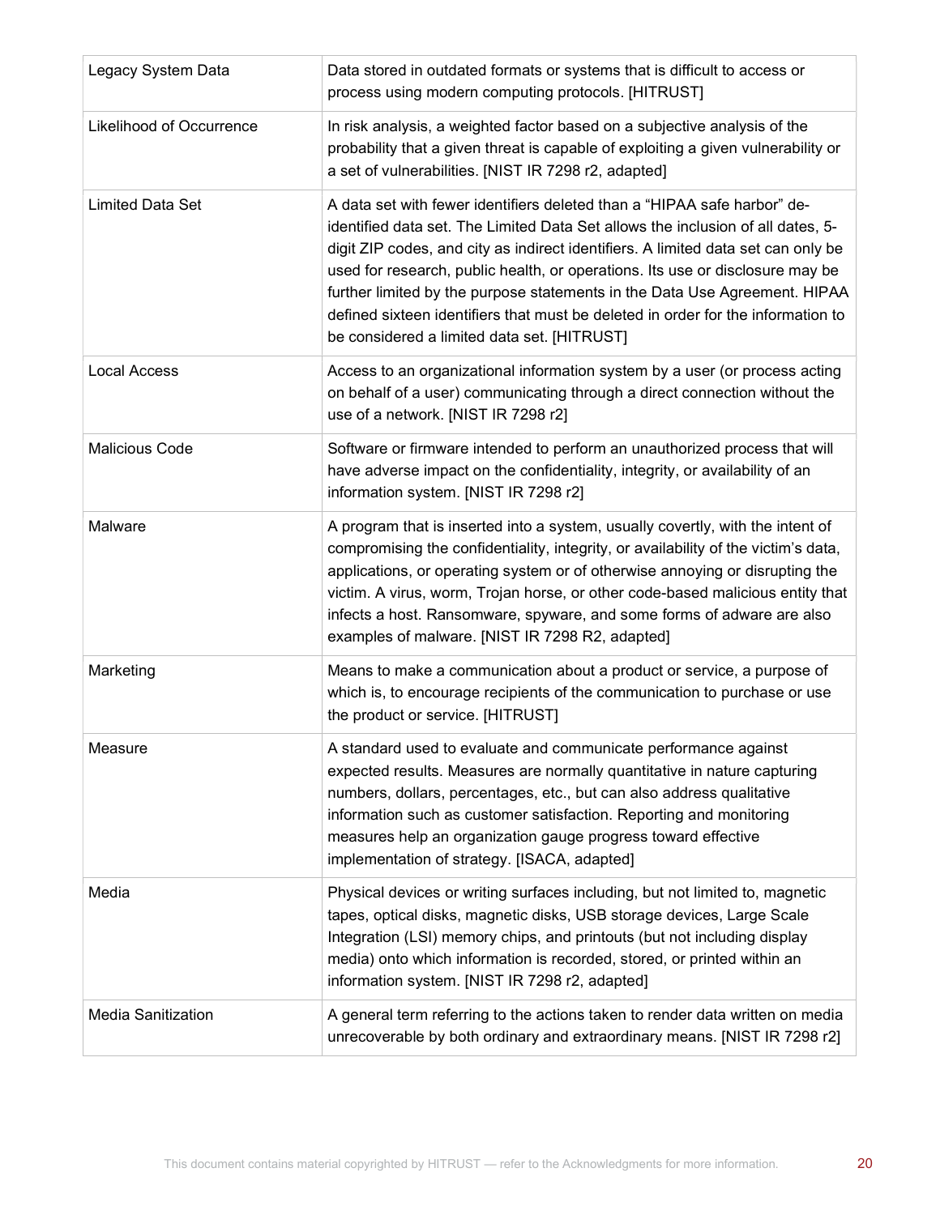| Legacy System Data        | Data stored in outdated formats or systems that is difficult to access or<br>process using modern computing protocols. [HITRUST]                                                                                                                                                                                                                                                                                                                                                                                                                   |
|---------------------------|----------------------------------------------------------------------------------------------------------------------------------------------------------------------------------------------------------------------------------------------------------------------------------------------------------------------------------------------------------------------------------------------------------------------------------------------------------------------------------------------------------------------------------------------------|
| Likelihood of Occurrence  | In risk analysis, a weighted factor based on a subjective analysis of the<br>probability that a given threat is capable of exploiting a given vulnerability or<br>a set of vulnerabilities. [NIST IR 7298 r2, adapted]                                                                                                                                                                                                                                                                                                                             |
| <b>Limited Data Set</b>   | A data set with fewer identifiers deleted than a "HIPAA safe harbor" de-<br>identified data set. The Limited Data Set allows the inclusion of all dates, 5-<br>digit ZIP codes, and city as indirect identifiers. A limited data set can only be<br>used for research, public health, or operations. Its use or disclosure may be<br>further limited by the purpose statements in the Data Use Agreement. HIPAA<br>defined sixteen identifiers that must be deleted in order for the information to<br>be considered a limited data set. [HITRUST] |
| <b>Local Access</b>       | Access to an organizational information system by a user (or process acting<br>on behalf of a user) communicating through a direct connection without the<br>use of a network. [NIST IR 7298 r2]                                                                                                                                                                                                                                                                                                                                                   |
| <b>Malicious Code</b>     | Software or firmware intended to perform an unauthorized process that will<br>have adverse impact on the confidentiality, integrity, or availability of an<br>information system. [NIST IR 7298 r2]                                                                                                                                                                                                                                                                                                                                                |
| Malware                   | A program that is inserted into a system, usually covertly, with the intent of<br>compromising the confidentiality, integrity, or availability of the victim's data,<br>applications, or operating system or of otherwise annoying or disrupting the<br>victim. A virus, worm, Trojan horse, or other code-based malicious entity that<br>infects a host. Ransomware, spyware, and some forms of adware are also<br>examples of malware. [NIST IR 7298 R2, adapted]                                                                                |
| Marketing                 | Means to make a communication about a product or service, a purpose of<br>which is, to encourage recipients of the communication to purchase or use<br>the product or service. [HITRUST]                                                                                                                                                                                                                                                                                                                                                           |
| Measure                   | A standard used to evaluate and communicate performance against<br>expected results. Measures are normally quantitative in nature capturing<br>numbers, dollars, percentages, etc., but can also address qualitative<br>information such as customer satisfaction. Reporting and monitoring<br>measures help an organization gauge progress toward effective<br>implementation of strategy. [ISACA, adapted]                                                                                                                                       |
| Media                     | Physical devices or writing surfaces including, but not limited to, magnetic<br>tapes, optical disks, magnetic disks, USB storage devices, Large Scale<br>Integration (LSI) memory chips, and printouts (but not including display<br>media) onto which information is recorded, stored, or printed within an<br>information system. [NIST IR 7298 r2, adapted]                                                                                                                                                                                    |
| <b>Media Sanitization</b> | A general term referring to the actions taken to render data written on media<br>unrecoverable by both ordinary and extraordinary means. [NIST IR 7298 r2]                                                                                                                                                                                                                                                                                                                                                                                         |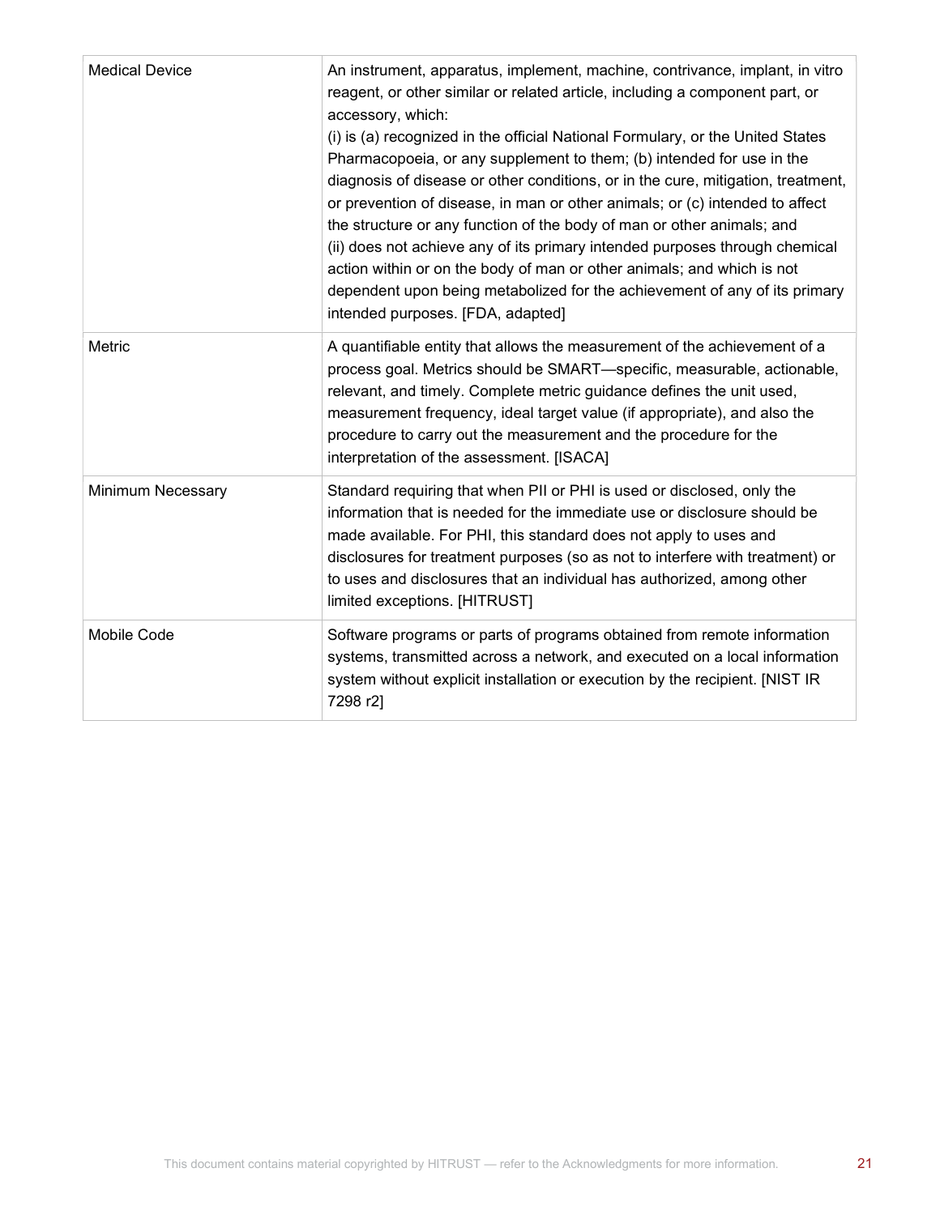| <b>Medical Device</b>    | An instrument, apparatus, implement, machine, contrivance, implant, in vitro<br>reagent, or other similar or related article, including a component part, or<br>accessory, which:<br>(i) is (a) recognized in the official National Formulary, or the United States<br>Pharmacopoeia, or any supplement to them; (b) intended for use in the<br>diagnosis of disease or other conditions, or in the cure, mitigation, treatment,<br>or prevention of disease, in man or other animals; or (c) intended to affect<br>the structure or any function of the body of man or other animals; and<br>(ii) does not achieve any of its primary intended purposes through chemical<br>action within or on the body of man or other animals; and which is not<br>dependent upon being metabolized for the achievement of any of its primary<br>intended purposes. [FDA, adapted] |
|--------------------------|------------------------------------------------------------------------------------------------------------------------------------------------------------------------------------------------------------------------------------------------------------------------------------------------------------------------------------------------------------------------------------------------------------------------------------------------------------------------------------------------------------------------------------------------------------------------------------------------------------------------------------------------------------------------------------------------------------------------------------------------------------------------------------------------------------------------------------------------------------------------|
| Metric                   | A quantifiable entity that allows the measurement of the achievement of a<br>process goal. Metrics should be SMART-specific, measurable, actionable,<br>relevant, and timely. Complete metric guidance defines the unit used,<br>measurement frequency, ideal target value (if appropriate), and also the<br>procedure to carry out the measurement and the procedure for the<br>interpretation of the assessment. [ISACA]                                                                                                                                                                                                                                                                                                                                                                                                                                             |
| <b>Minimum Necessary</b> | Standard requiring that when PII or PHI is used or disclosed, only the<br>information that is needed for the immediate use or disclosure should be<br>made available. For PHI, this standard does not apply to uses and<br>disclosures for treatment purposes (so as not to interfere with treatment) or<br>to uses and disclosures that an individual has authorized, among other<br>limited exceptions. [HITRUST]                                                                                                                                                                                                                                                                                                                                                                                                                                                    |
| Mobile Code              | Software programs or parts of programs obtained from remote information<br>systems, transmitted across a network, and executed on a local information<br>system without explicit installation or execution by the recipient. [NIST IR<br>7298 r2]                                                                                                                                                                                                                                                                                                                                                                                                                                                                                                                                                                                                                      |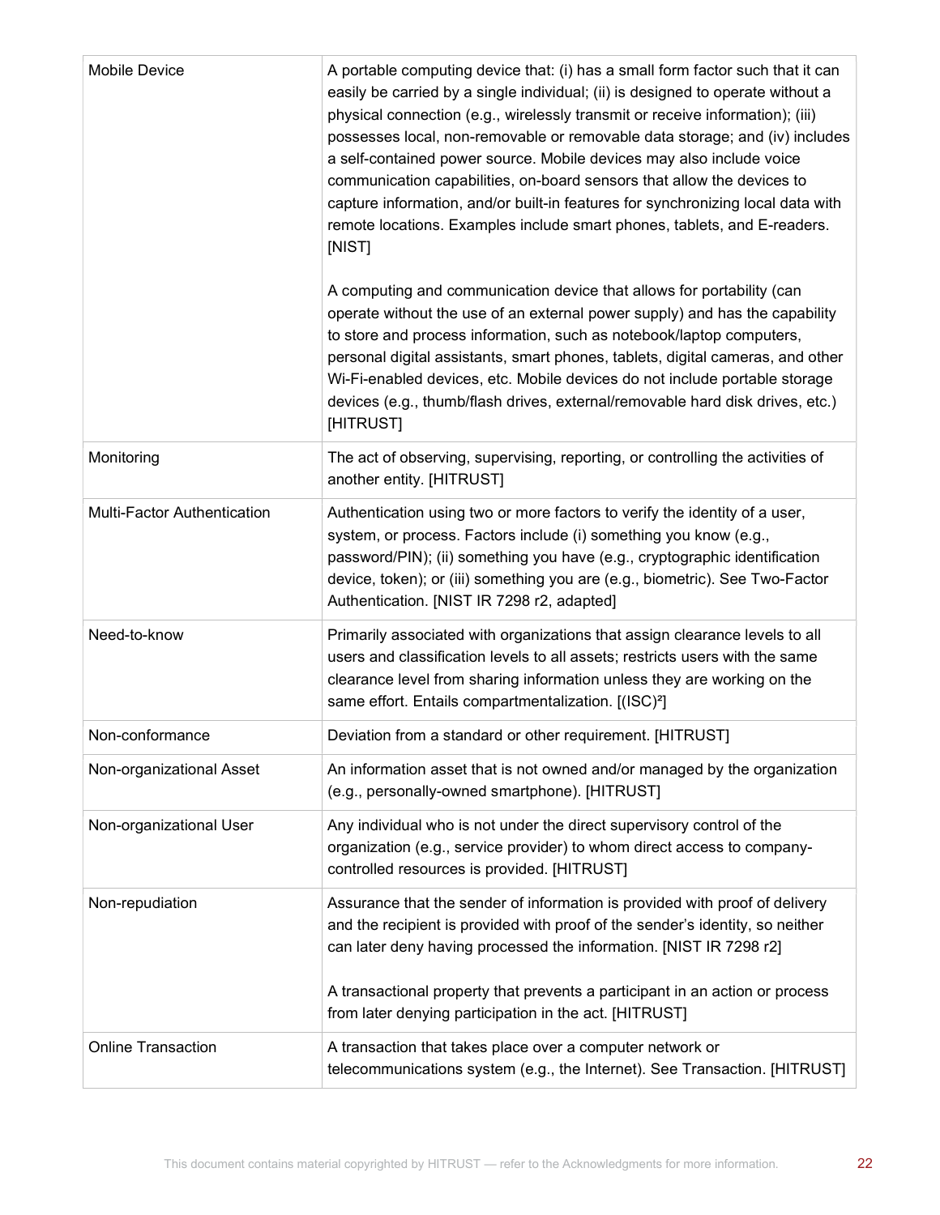| Mobile Device               | A portable computing device that: (i) has a small form factor such that it can<br>easily be carried by a single individual; (ii) is designed to operate without a<br>physical connection (e.g., wirelessly transmit or receive information); (iii)<br>possesses local, non-removable or removable data storage; and (iv) includes<br>a self-contained power source. Mobile devices may also include voice<br>communication capabilities, on-board sensors that allow the devices to<br>capture information, and/or built-in features for synchronizing local data with<br>remote locations. Examples include smart phones, tablets, and E-readers.<br>[NIST] |
|-----------------------------|--------------------------------------------------------------------------------------------------------------------------------------------------------------------------------------------------------------------------------------------------------------------------------------------------------------------------------------------------------------------------------------------------------------------------------------------------------------------------------------------------------------------------------------------------------------------------------------------------------------------------------------------------------------|
|                             | A computing and communication device that allows for portability (can<br>operate without the use of an external power supply) and has the capability<br>to store and process information, such as notebook/laptop computers,<br>personal digital assistants, smart phones, tablets, digital cameras, and other<br>Wi-Fi-enabled devices, etc. Mobile devices do not include portable storage<br>devices (e.g., thumb/flash drives, external/removable hard disk drives, etc.)<br>[HITRUST]                                                                                                                                                                   |
| Monitoring                  | The act of observing, supervising, reporting, or controlling the activities of<br>another entity. [HITRUST]                                                                                                                                                                                                                                                                                                                                                                                                                                                                                                                                                  |
| Multi-Factor Authentication | Authentication using two or more factors to verify the identity of a user,<br>system, or process. Factors include (i) something you know (e.g.,<br>password/PIN); (ii) something you have (e.g., cryptographic identification<br>device, token); or (iii) something you are (e.g., biometric). See Two-Factor<br>Authentication. [NIST IR 7298 r2, adapted]                                                                                                                                                                                                                                                                                                  |
| Need-to-know                | Primarily associated with organizations that assign clearance levels to all<br>users and classification levels to all assets; restricts users with the same<br>clearance level from sharing information unless they are working on the<br>same effort. Entails compartmentalization. [(ISC) <sup>2</sup> ]                                                                                                                                                                                                                                                                                                                                                   |
| Non-conformance             | Deviation from a standard or other requirement. [HITRUST]                                                                                                                                                                                                                                                                                                                                                                                                                                                                                                                                                                                                    |
| Non-organizational Asset    | An information asset that is not owned and/or managed by the organization<br>(e.g., personally-owned smartphone). [HITRUST]                                                                                                                                                                                                                                                                                                                                                                                                                                                                                                                                  |
| Non-organizational User     | Any individual who is not under the direct supervisory control of the<br>organization (e.g., service provider) to whom direct access to company-<br>controlled resources is provided. [HITRUST]                                                                                                                                                                                                                                                                                                                                                                                                                                                              |
| Non-repudiation             | Assurance that the sender of information is provided with proof of delivery<br>and the recipient is provided with proof of the sender's identity, so neither<br>can later deny having processed the information. [NIST IR 7298 r2]<br>A transactional property that prevents a participant in an action or process<br>from later denying participation in the act. [HITRUST]                                                                                                                                                                                                                                                                                 |
| <b>Online Transaction</b>   | A transaction that takes place over a computer network or<br>telecommunications system (e.g., the Internet). See Transaction. [HITRUST]                                                                                                                                                                                                                                                                                                                                                                                                                                                                                                                      |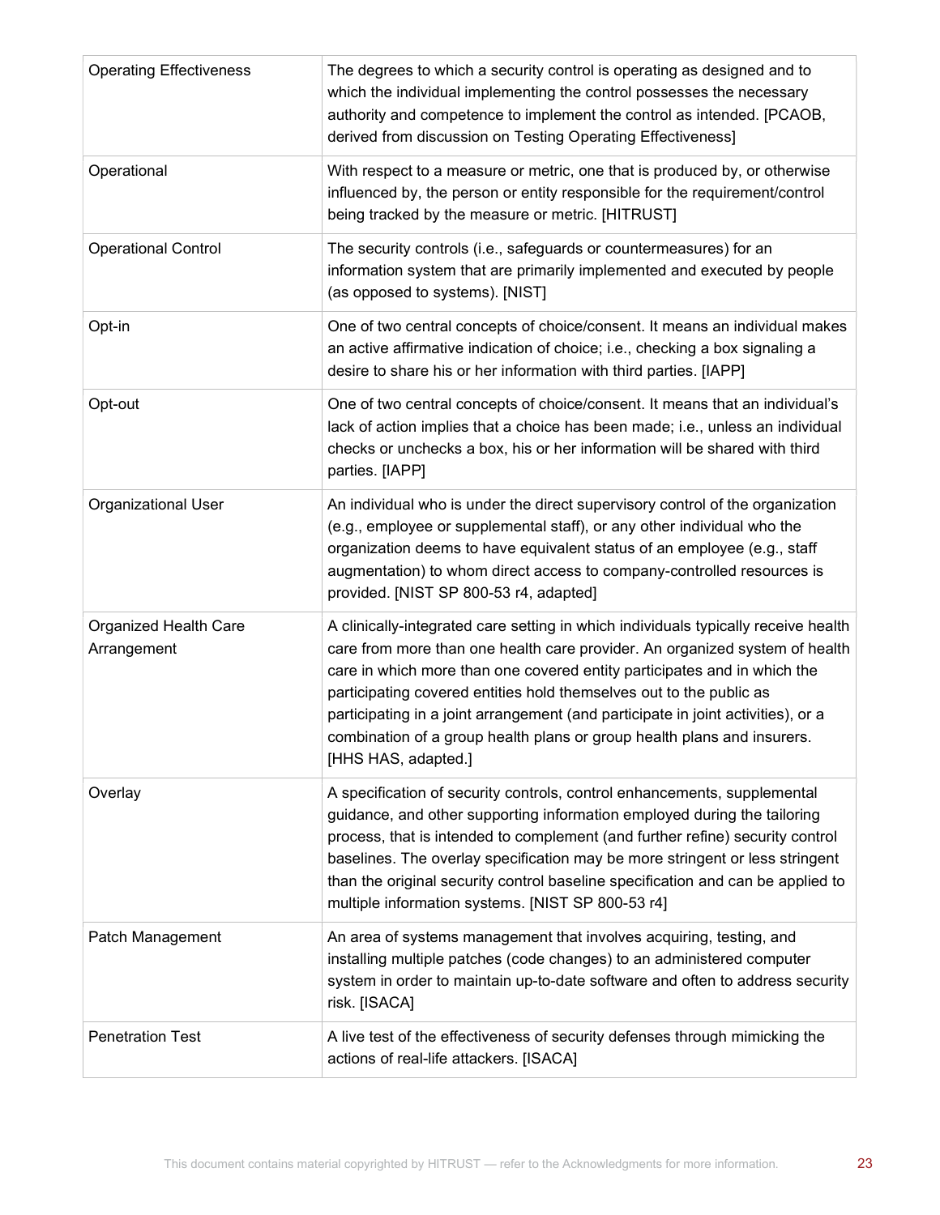| <b>Operating Effectiveness</b>       | The degrees to which a security control is operating as designed and to<br>which the individual implementing the control possesses the necessary<br>authority and competence to implement the control as intended. [PCAOB,<br>derived from discussion on Testing Operating Effectiveness]                                                                                                                                                                                                                  |
|--------------------------------------|------------------------------------------------------------------------------------------------------------------------------------------------------------------------------------------------------------------------------------------------------------------------------------------------------------------------------------------------------------------------------------------------------------------------------------------------------------------------------------------------------------|
| Operational                          | With respect to a measure or metric, one that is produced by, or otherwise<br>influenced by, the person or entity responsible for the requirement/control<br>being tracked by the measure or metric. [HITRUST]                                                                                                                                                                                                                                                                                             |
| <b>Operational Control</b>           | The security controls (i.e., safeguards or countermeasures) for an<br>information system that are primarily implemented and executed by people<br>(as opposed to systems). [NIST]                                                                                                                                                                                                                                                                                                                          |
| Opt-in                               | One of two central concepts of choice/consent. It means an individual makes<br>an active affirmative indication of choice; i.e., checking a box signaling a<br>desire to share his or her information with third parties. [IAPP]                                                                                                                                                                                                                                                                           |
| Opt-out                              | One of two central concepts of choice/consent. It means that an individual's<br>lack of action implies that a choice has been made; i.e., unless an individual<br>checks or unchecks a box, his or her information will be shared with third<br>parties. [IAPP]                                                                                                                                                                                                                                            |
| Organizational User                  | An individual who is under the direct supervisory control of the organization<br>(e.g., employee or supplemental staff), or any other individual who the<br>organization deems to have equivalent status of an employee (e.g., staff<br>augmentation) to whom direct access to company-controlled resources is<br>provided. [NIST SP 800-53 r4, adapted]                                                                                                                                                   |
| Organized Health Care<br>Arrangement | A clinically-integrated care setting in which individuals typically receive health<br>care from more than one health care provider. An organized system of health<br>care in which more than one covered entity participates and in which the<br>participating covered entities hold themselves out to the public as<br>participating in a joint arrangement (and participate in joint activities), or a<br>combination of a group health plans or group health plans and insurers.<br>[HHS HAS, adapted.] |
| Overlay                              | A specification of security controls, control enhancements, supplemental<br>guidance, and other supporting information employed during the tailoring<br>process, that is intended to complement (and further refine) security control<br>baselines. The overlay specification may be more stringent or less stringent<br>than the original security control baseline specification and can be applied to<br>multiple information systems. [NIST SP 800-53 r4]                                              |
| Patch Management                     | An area of systems management that involves acquiring, testing, and<br>installing multiple patches (code changes) to an administered computer<br>system in order to maintain up-to-date software and often to address security<br>risk. [ISACA]                                                                                                                                                                                                                                                            |
| <b>Penetration Test</b>              | A live test of the effectiveness of security defenses through mimicking the<br>actions of real-life attackers. [ISACA]                                                                                                                                                                                                                                                                                                                                                                                     |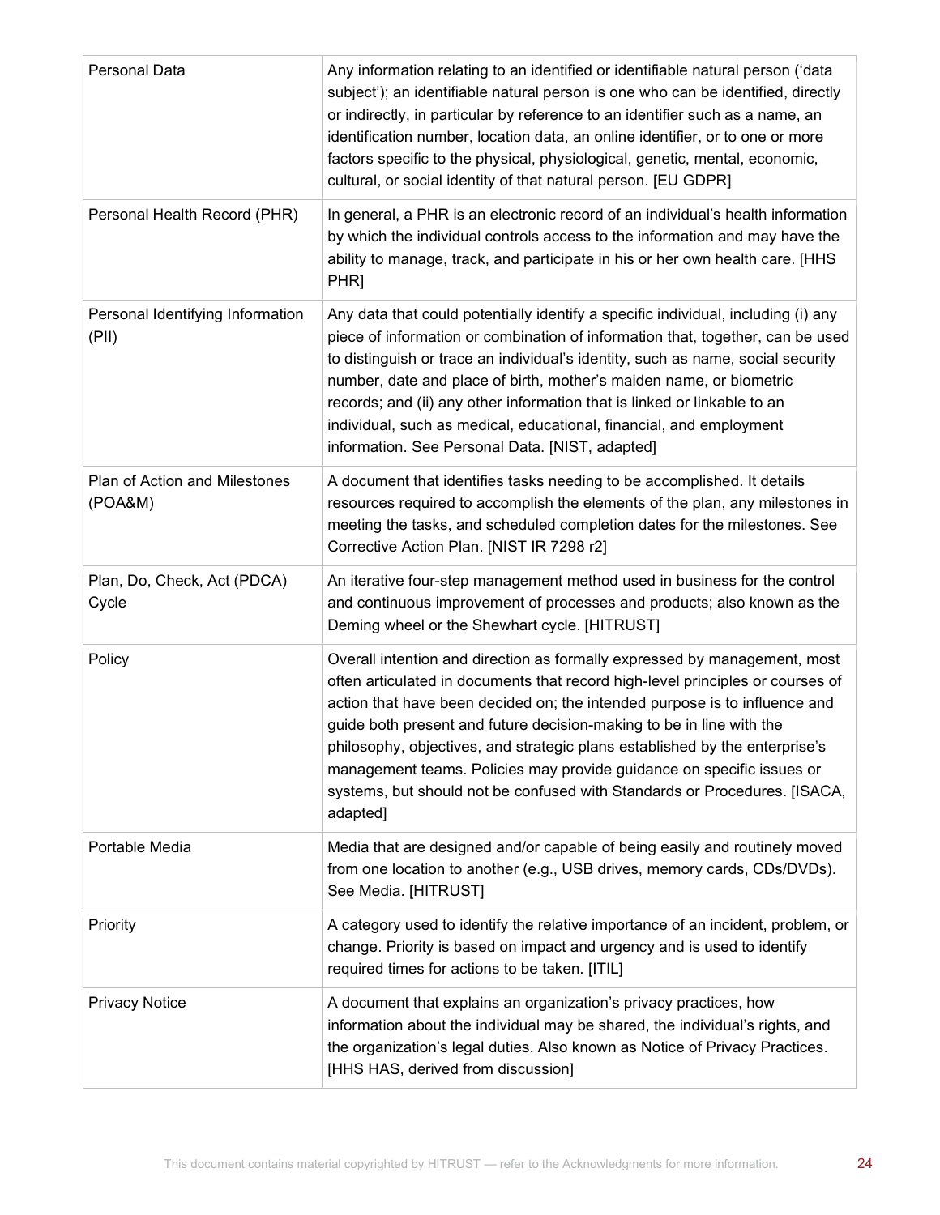| Personal Data                             | Any information relating to an identified or identifiable natural person ('data<br>subject'); an identifiable natural person is one who can be identified, directly<br>or indirectly, in particular by reference to an identifier such as a name, an<br>identification number, location data, an online identifier, or to one or more<br>factors specific to the physical, physiological, genetic, mental, economic,<br>cultural, or social identity of that natural person. [EU GDPR]                                                                             |
|-------------------------------------------|--------------------------------------------------------------------------------------------------------------------------------------------------------------------------------------------------------------------------------------------------------------------------------------------------------------------------------------------------------------------------------------------------------------------------------------------------------------------------------------------------------------------------------------------------------------------|
| Personal Health Record (PHR)              | In general, a PHR is an electronic record of an individual's health information<br>by which the individual controls access to the information and may have the<br>ability to manage, track, and participate in his or her own health care. [HHS<br>PHR]                                                                                                                                                                                                                                                                                                            |
| Personal Identifying Information<br>(PII) | Any data that could potentially identify a specific individual, including (i) any<br>piece of information or combination of information that, together, can be used<br>to distinguish or trace an individual's identity, such as name, social security<br>number, date and place of birth, mother's maiden name, or biometric<br>records; and (ii) any other information that is linked or linkable to an<br>individual, such as medical, educational, financial, and employment<br>information. See Personal Data. [NIST, adapted]                                |
| Plan of Action and Milestones<br>(POA&M)  | A document that identifies tasks needing to be accomplished. It details<br>resources required to accomplish the elements of the plan, any milestones in<br>meeting the tasks, and scheduled completion dates for the milestones. See<br>Corrective Action Plan. [NIST IR 7298 r2]                                                                                                                                                                                                                                                                                  |
| Plan, Do, Check, Act (PDCA)<br>Cycle      | An iterative four-step management method used in business for the control<br>and continuous improvement of processes and products; also known as the<br>Deming wheel or the Shewhart cycle. [HITRUST]                                                                                                                                                                                                                                                                                                                                                              |
| Policy                                    | Overall intention and direction as formally expressed by management, most<br>often articulated in documents that record high-level principles or courses of<br>action that have been decided on; the intended purpose is to influence and<br>guide both present and future decision-making to be in line with the<br>philosophy, objectives, and strategic plans established by the enterprise's<br>management teams. Policies may provide guidance on specific issues or<br>systems, but should not be confused with Standards or Procedures. [ISACA,<br>adapted] |
| Portable Media                            | Media that are designed and/or capable of being easily and routinely moved<br>from one location to another (e.g., USB drives, memory cards, CDs/DVDs).<br>See Media. [HITRUST]                                                                                                                                                                                                                                                                                                                                                                                     |
| Priority                                  | A category used to identify the relative importance of an incident, problem, or<br>change. Priority is based on impact and urgency and is used to identify<br>required times for actions to be taken. [ITIL]                                                                                                                                                                                                                                                                                                                                                       |
| <b>Privacy Notice</b>                     | A document that explains an organization's privacy practices, how<br>information about the individual may be shared, the individual's rights, and<br>the organization's legal duties. Also known as Notice of Privacy Practices.<br>[HHS HAS, derived from discussion]                                                                                                                                                                                                                                                                                             |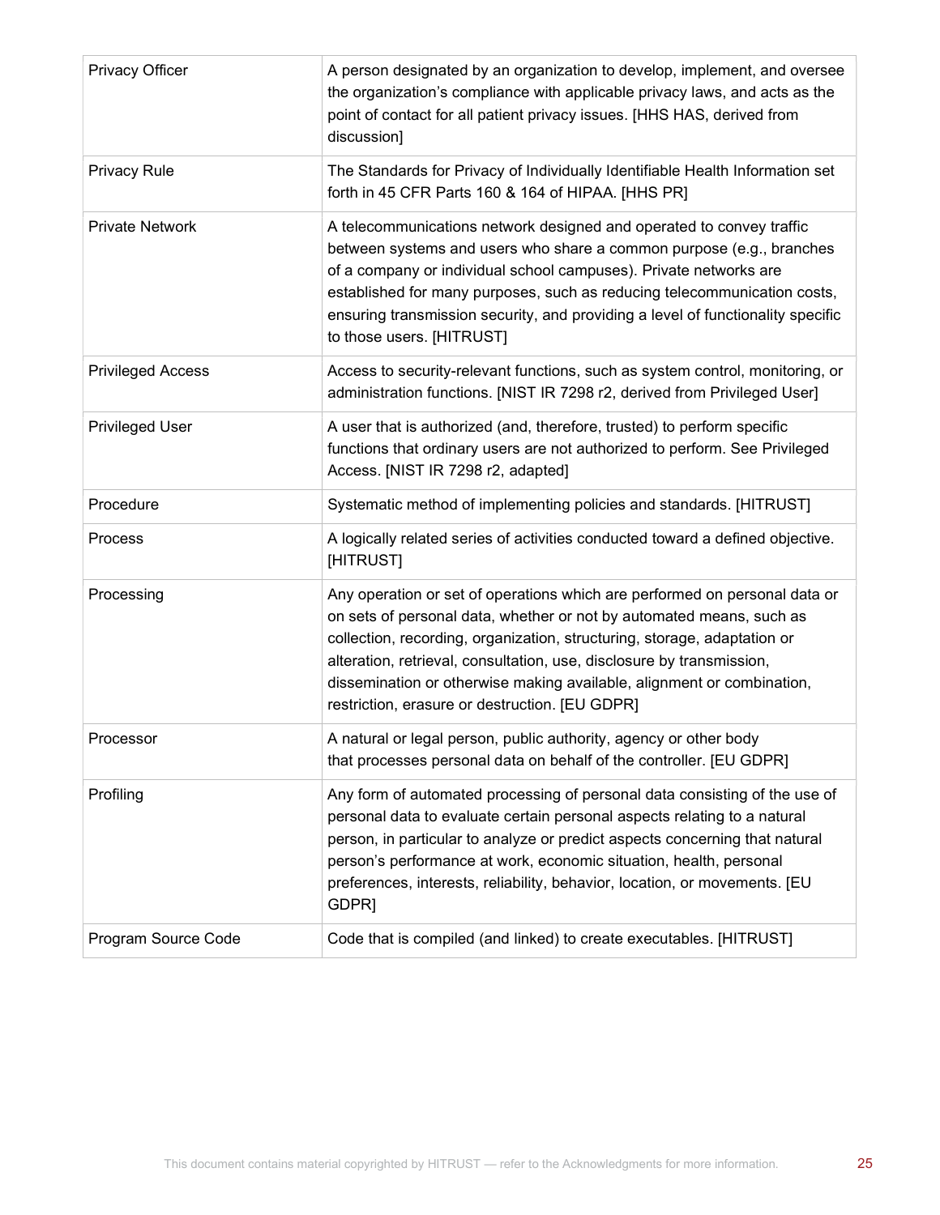| Privacy Officer          | A person designated by an organization to develop, implement, and oversee<br>the organization's compliance with applicable privacy laws, and acts as the<br>point of contact for all patient privacy issues. [HHS HAS, derived from<br>discussion]                                                                                                                                                                                  |
|--------------------------|-------------------------------------------------------------------------------------------------------------------------------------------------------------------------------------------------------------------------------------------------------------------------------------------------------------------------------------------------------------------------------------------------------------------------------------|
| Privacy Rule             | The Standards for Privacy of Individually Identifiable Health Information set<br>forth in 45 CFR Parts 160 & 164 of HIPAA. [HHS PR]                                                                                                                                                                                                                                                                                                 |
| <b>Private Network</b>   | A telecommunications network designed and operated to convey traffic<br>between systems and users who share a common purpose (e.g., branches<br>of a company or individual school campuses). Private networks are<br>established for many purposes, such as reducing telecommunication costs,<br>ensuring transmission security, and providing a level of functionality specific<br>to those users. [HITRUST]                       |
| <b>Privileged Access</b> | Access to security-relevant functions, such as system control, monitoring, or<br>administration functions. [NIST IR 7298 r2, derived from Privileged User]                                                                                                                                                                                                                                                                          |
| Privileged User          | A user that is authorized (and, therefore, trusted) to perform specific<br>functions that ordinary users are not authorized to perform. See Privileged<br>Access. [NIST IR 7298 r2, adapted]                                                                                                                                                                                                                                        |
| Procedure                | Systematic method of implementing policies and standards. [HITRUST]                                                                                                                                                                                                                                                                                                                                                                 |
| Process                  | A logically related series of activities conducted toward a defined objective.<br>[HITRUST]                                                                                                                                                                                                                                                                                                                                         |
| Processing               | Any operation or set of operations which are performed on personal data or<br>on sets of personal data, whether or not by automated means, such as<br>collection, recording, organization, structuring, storage, adaptation or<br>alteration, retrieval, consultation, use, disclosure by transmission,<br>dissemination or otherwise making available, alignment or combination,<br>restriction, erasure or destruction. [EU GDPR] |
| Processor                | A natural or legal person, public authority, agency or other body<br>that processes personal data on behalf of the controller. [EU GDPR]                                                                                                                                                                                                                                                                                            |
| Profiling                | Any form of automated processing of personal data consisting of the use of<br>personal data to evaluate certain personal aspects relating to a natural<br>person, in particular to analyze or predict aspects concerning that natural<br>person's performance at work, economic situation, health, personal<br>preferences, interests, reliability, behavior, location, or movements. [EU<br>GDPR]                                  |
| Program Source Code      | Code that is compiled (and linked) to create executables. [HITRUST]                                                                                                                                                                                                                                                                                                                                                                 |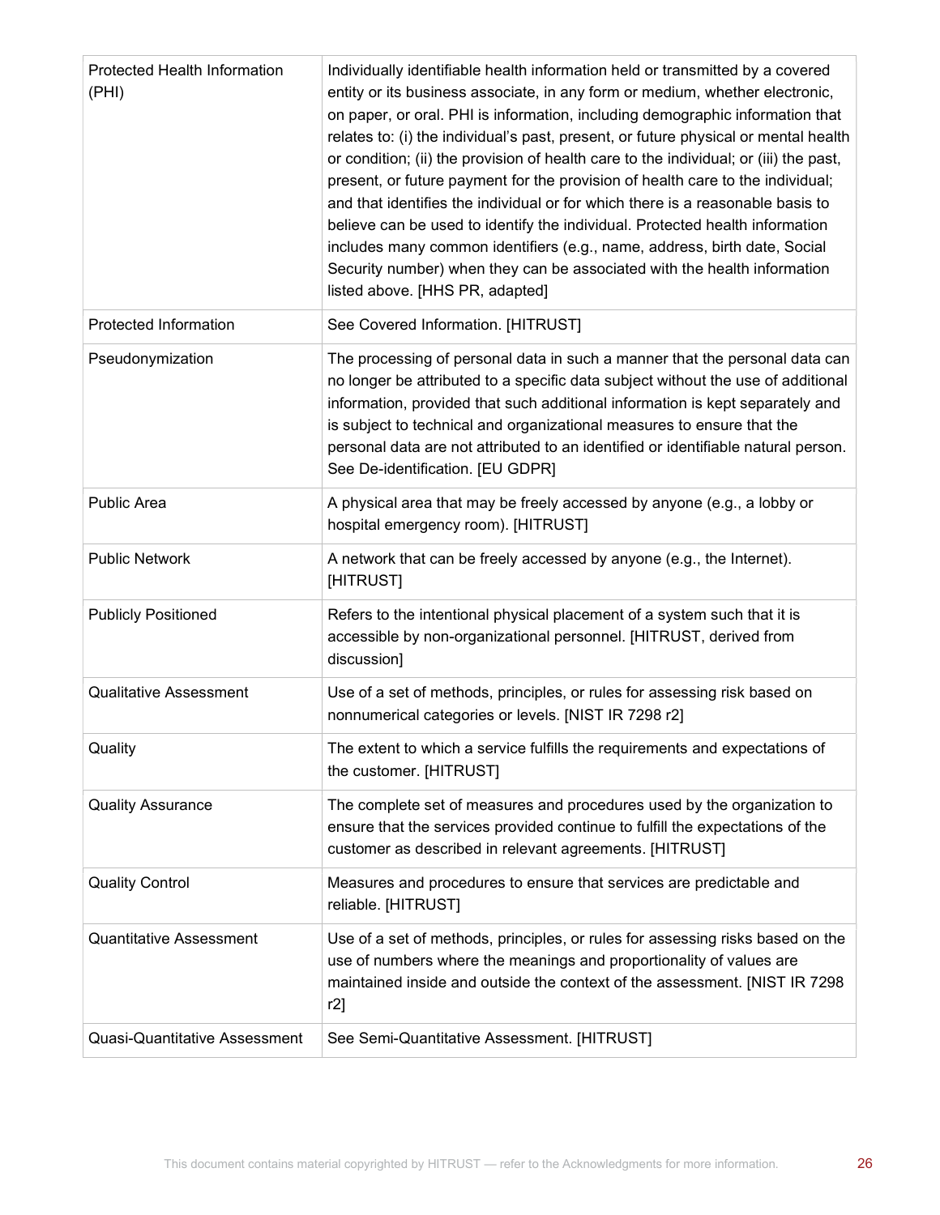| <b>Protected Health Information</b><br>(PHI) | Individually identifiable health information held or transmitted by a covered<br>entity or its business associate, in any form or medium, whether electronic,<br>on paper, or oral. PHI is information, including demographic information that<br>relates to: (i) the individual's past, present, or future physical or mental health<br>or condition; (ii) the provision of health care to the individual; or (iii) the past,<br>present, or future payment for the provision of health care to the individual;<br>and that identifies the individual or for which there is a reasonable basis to<br>believe can be used to identify the individual. Protected health information<br>includes many common identifiers (e.g., name, address, birth date, Social<br>Security number) when they can be associated with the health information<br>listed above. [HHS PR, adapted] |
|----------------------------------------------|--------------------------------------------------------------------------------------------------------------------------------------------------------------------------------------------------------------------------------------------------------------------------------------------------------------------------------------------------------------------------------------------------------------------------------------------------------------------------------------------------------------------------------------------------------------------------------------------------------------------------------------------------------------------------------------------------------------------------------------------------------------------------------------------------------------------------------------------------------------------------------|
| Protected Information                        | See Covered Information. [HITRUST]                                                                                                                                                                                                                                                                                                                                                                                                                                                                                                                                                                                                                                                                                                                                                                                                                                             |
| Pseudonymization                             | The processing of personal data in such a manner that the personal data can<br>no longer be attributed to a specific data subject without the use of additional<br>information, provided that such additional information is kept separately and<br>is subject to technical and organizational measures to ensure that the<br>personal data are not attributed to an identified or identifiable natural person.<br>See De-identification. [EU GDPR]                                                                                                                                                                                                                                                                                                                                                                                                                            |
| <b>Public Area</b>                           | A physical area that may be freely accessed by anyone (e.g., a lobby or<br>hospital emergency room). [HITRUST]                                                                                                                                                                                                                                                                                                                                                                                                                                                                                                                                                                                                                                                                                                                                                                 |
| <b>Public Network</b>                        | A network that can be freely accessed by anyone (e.g., the Internet).<br>[HITRUST]                                                                                                                                                                                                                                                                                                                                                                                                                                                                                                                                                                                                                                                                                                                                                                                             |
| <b>Publicly Positioned</b>                   | Refers to the intentional physical placement of a system such that it is<br>accessible by non-organizational personnel. [HITRUST, derived from<br>discussion]                                                                                                                                                                                                                                                                                                                                                                                                                                                                                                                                                                                                                                                                                                                  |
| <b>Qualitative Assessment</b>                | Use of a set of methods, principles, or rules for assessing risk based on<br>nonnumerical categories or levels. [NIST IR 7298 r2]                                                                                                                                                                                                                                                                                                                                                                                                                                                                                                                                                                                                                                                                                                                                              |
| Quality                                      | The extent to which a service fulfills the requirements and expectations of<br>the customer. [HITRUST]                                                                                                                                                                                                                                                                                                                                                                                                                                                                                                                                                                                                                                                                                                                                                                         |
| <b>Quality Assurance</b>                     | The complete set of measures and procedures used by the organization to<br>ensure that the services provided continue to fulfill the expectations of the<br>customer as described in relevant agreements. [HITRUST]                                                                                                                                                                                                                                                                                                                                                                                                                                                                                                                                                                                                                                                            |
| <b>Quality Control</b>                       | Measures and procedures to ensure that services are predictable and<br>reliable. [HITRUST]                                                                                                                                                                                                                                                                                                                                                                                                                                                                                                                                                                                                                                                                                                                                                                                     |
| <b>Quantitative Assessment</b>               | Use of a set of methods, principles, or rules for assessing risks based on the<br>use of numbers where the meanings and proportionality of values are<br>maintained inside and outside the context of the assessment. [NIST IR 7298<br>r2]                                                                                                                                                                                                                                                                                                                                                                                                                                                                                                                                                                                                                                     |
| Quasi-Quantitative Assessment                | See Semi-Quantitative Assessment. [HITRUST]                                                                                                                                                                                                                                                                                                                                                                                                                                                                                                                                                                                                                                                                                                                                                                                                                                    |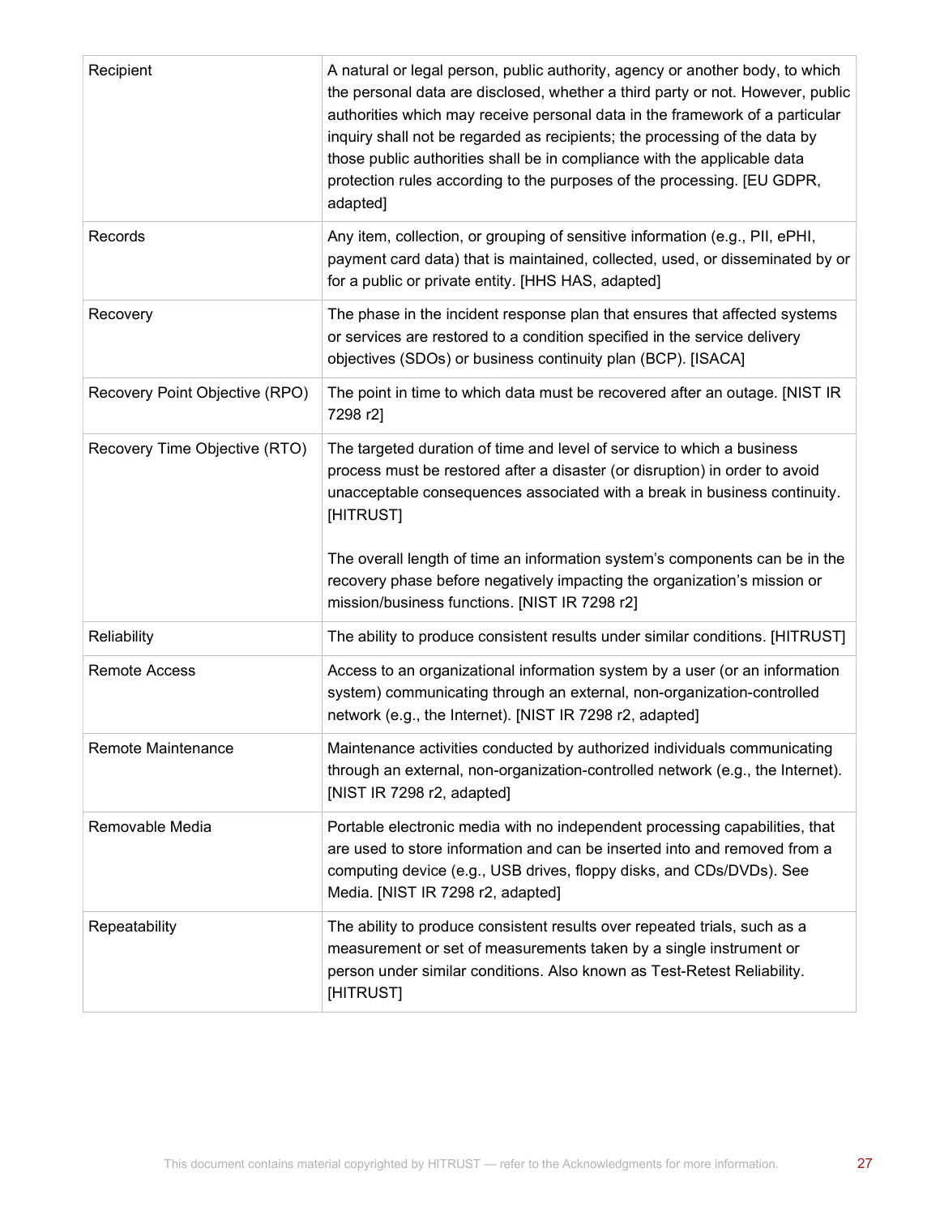| Recipient                      | A natural or legal person, public authority, agency or another body, to which<br>the personal data are disclosed, whether a third party or not. However, public<br>authorities which may receive personal data in the framework of a particular<br>inquiry shall not be regarded as recipients; the processing of the data by<br>those public authorities shall be in compliance with the applicable data<br>protection rules according to the purposes of the processing. [EU GDPR,<br>adapted] |
|--------------------------------|--------------------------------------------------------------------------------------------------------------------------------------------------------------------------------------------------------------------------------------------------------------------------------------------------------------------------------------------------------------------------------------------------------------------------------------------------------------------------------------------------|
| Records                        | Any item, collection, or grouping of sensitive information (e.g., PII, ePHI,<br>payment card data) that is maintained, collected, used, or disseminated by or<br>for a public or private entity. [HHS HAS, adapted]                                                                                                                                                                                                                                                                              |
| Recovery                       | The phase in the incident response plan that ensures that affected systems<br>or services are restored to a condition specified in the service delivery<br>objectives (SDOs) or business continuity plan (BCP). [ISACA]                                                                                                                                                                                                                                                                          |
| Recovery Point Objective (RPO) | The point in time to which data must be recovered after an outage. [NIST IR<br>7298 r2]                                                                                                                                                                                                                                                                                                                                                                                                          |
| Recovery Time Objective (RTO)  | The targeted duration of time and level of service to which a business<br>process must be restored after a disaster (or disruption) in order to avoid<br>unacceptable consequences associated with a break in business continuity.<br>[HITRUST]<br>The overall length of time an information system's components can be in the                                                                                                                                                                   |
|                                | recovery phase before negatively impacting the organization's mission or<br>mission/business functions. [NIST IR 7298 r2]                                                                                                                                                                                                                                                                                                                                                                        |
| Reliability                    | The ability to produce consistent results under similar conditions. [HITRUST]                                                                                                                                                                                                                                                                                                                                                                                                                    |
| <b>Remote Access</b>           | Access to an organizational information system by a user (or an information<br>system) communicating through an external, non-organization-controlled<br>network (e.g., the Internet). [NIST IR 7298 r2, adapted]                                                                                                                                                                                                                                                                                |
| Remote Maintenance             | Maintenance activities conducted by authorized individuals communicating<br>through an external, non-organization-controlled network (e.g., the Internet).<br>[NIST IR 7298 r2, adapted]                                                                                                                                                                                                                                                                                                         |
| Removable Media                | Portable electronic media with no independent processing capabilities, that<br>are used to store information and can be inserted into and removed from a<br>computing device (e.g., USB drives, floppy disks, and CDs/DVDs). See<br>Media. [NIST IR 7298 r2, adapted]                                                                                                                                                                                                                            |
| Repeatability                  | The ability to produce consistent results over repeated trials, such as a<br>measurement or set of measurements taken by a single instrument or<br>person under similar conditions. Also known as Test-Retest Reliability.<br>[HITRUST]                                                                                                                                                                                                                                                          |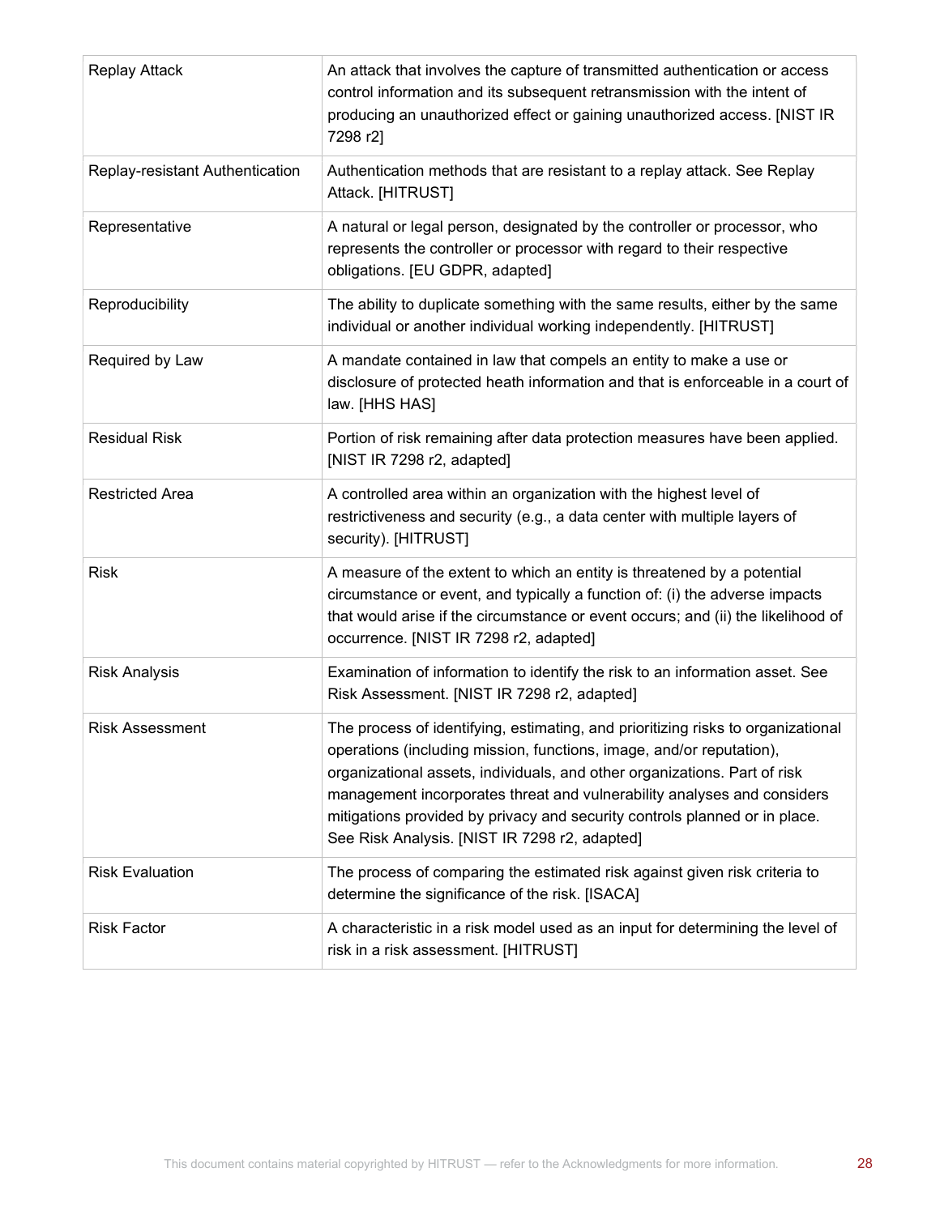| <b>Replay Attack</b>            | An attack that involves the capture of transmitted authentication or access<br>control information and its subsequent retransmission with the intent of<br>producing an unauthorized effect or gaining unauthorized access. [NIST IR<br>7298 r2]                                                                                                                                                                                                |
|---------------------------------|-------------------------------------------------------------------------------------------------------------------------------------------------------------------------------------------------------------------------------------------------------------------------------------------------------------------------------------------------------------------------------------------------------------------------------------------------|
| Replay-resistant Authentication | Authentication methods that are resistant to a replay attack. See Replay<br>Attack. [HITRUST]                                                                                                                                                                                                                                                                                                                                                   |
| Representative                  | A natural or legal person, designated by the controller or processor, who<br>represents the controller or processor with regard to their respective<br>obligations. [EU GDPR, adapted]                                                                                                                                                                                                                                                          |
| Reproducibility                 | The ability to duplicate something with the same results, either by the same<br>individual or another individual working independently. [HITRUST]                                                                                                                                                                                                                                                                                               |
| Required by Law                 | A mandate contained in law that compels an entity to make a use or<br>disclosure of protected heath information and that is enforceable in a court of<br>law. [HHS HAS]                                                                                                                                                                                                                                                                         |
| <b>Residual Risk</b>            | Portion of risk remaining after data protection measures have been applied.<br>[NIST IR 7298 r2, adapted]                                                                                                                                                                                                                                                                                                                                       |
| <b>Restricted Area</b>          | A controlled area within an organization with the highest level of<br>restrictiveness and security (e.g., a data center with multiple layers of<br>security). [HITRUST]                                                                                                                                                                                                                                                                         |
| <b>Risk</b>                     | A measure of the extent to which an entity is threatened by a potential<br>circumstance or event, and typically a function of: (i) the adverse impacts<br>that would arise if the circumstance or event occurs; and (ii) the likelihood of<br>occurrence. [NIST IR 7298 r2, adapted]                                                                                                                                                            |
| <b>Risk Analysis</b>            | Examination of information to identify the risk to an information asset. See<br>Risk Assessment. [NIST IR 7298 r2, adapted]                                                                                                                                                                                                                                                                                                                     |
| <b>Risk Assessment</b>          | The process of identifying, estimating, and prioritizing risks to organizational<br>operations (including mission, functions, image, and/or reputation),<br>organizational assets, individuals, and other organizations. Part of risk<br>management incorporates threat and vulnerability analyses and considers<br>mitigations provided by privacy and security controls planned or in place.<br>See Risk Analysis. [NIST IR 7298 r2, adapted] |
| <b>Risk Evaluation</b>          | The process of comparing the estimated risk against given risk criteria to<br>determine the significance of the risk. [ISACA]                                                                                                                                                                                                                                                                                                                   |
| <b>Risk Factor</b>              | A characteristic in a risk model used as an input for determining the level of<br>risk in a risk assessment. [HITRUST]                                                                                                                                                                                                                                                                                                                          |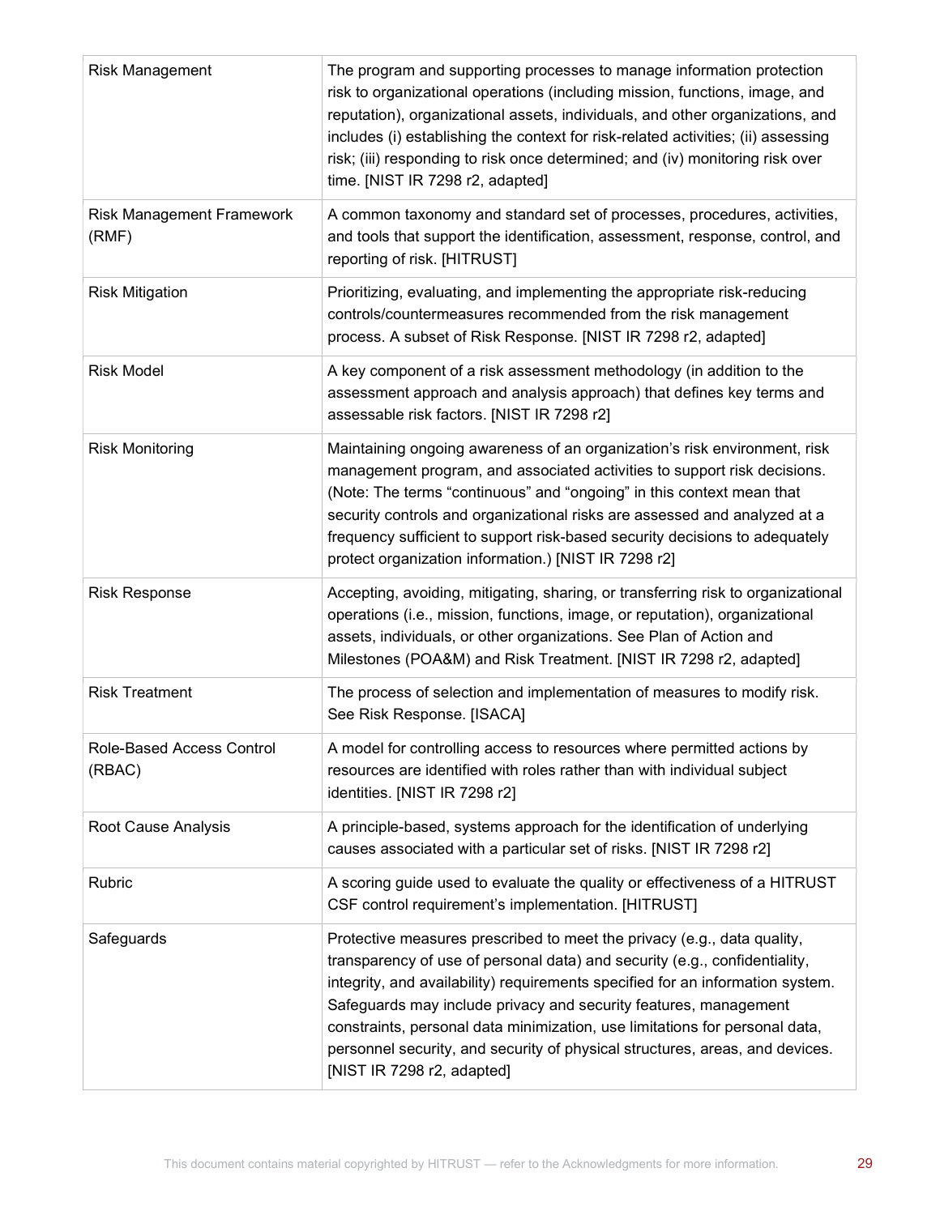| <b>Risk Management</b>              | The program and supporting processes to manage information protection<br>risk to organizational operations (including mission, functions, image, and<br>reputation), organizational assets, individuals, and other organizations, and<br>includes (i) establishing the context for risk-related activities; (ii) assessing<br>risk; (iii) responding to risk once determined; and (iv) monitoring risk over<br>time. [NIST IR 7298 r2, adapted]                                                          |
|-------------------------------------|----------------------------------------------------------------------------------------------------------------------------------------------------------------------------------------------------------------------------------------------------------------------------------------------------------------------------------------------------------------------------------------------------------------------------------------------------------------------------------------------------------|
| Risk Management Framework<br>(RMF)  | A common taxonomy and standard set of processes, procedures, activities,<br>and tools that support the identification, assessment, response, control, and<br>reporting of risk. [HITRUST]                                                                                                                                                                                                                                                                                                                |
| <b>Risk Mitigation</b>              | Prioritizing, evaluating, and implementing the appropriate risk-reducing<br>controls/countermeasures recommended from the risk management<br>process. A subset of Risk Response. [NIST IR 7298 r2, adapted]                                                                                                                                                                                                                                                                                              |
| <b>Risk Model</b>                   | A key component of a risk assessment methodology (in addition to the<br>assessment approach and analysis approach) that defines key terms and<br>assessable risk factors. [NIST IR 7298 r2]                                                                                                                                                                                                                                                                                                              |
| <b>Risk Monitoring</b>              | Maintaining ongoing awareness of an organization's risk environment, risk<br>management program, and associated activities to support risk decisions.<br>(Note: The terms "continuous" and "ongoing" in this context mean that<br>security controls and organizational risks are assessed and analyzed at a<br>frequency sufficient to support risk-based security decisions to adequately<br>protect organization information.) [NIST IR 7298 r2]                                                       |
| <b>Risk Response</b>                | Accepting, avoiding, mitigating, sharing, or transferring risk to organizational<br>operations (i.e., mission, functions, image, or reputation), organizational<br>assets, individuals, or other organizations. See Plan of Action and<br>Milestones (POA&M) and Risk Treatment. [NIST IR 7298 r2, adapted]                                                                                                                                                                                              |
| <b>Risk Treatment</b>               | The process of selection and implementation of measures to modify risk.<br>See Risk Response. [ISACA]                                                                                                                                                                                                                                                                                                                                                                                                    |
| Role-Based Access Control<br>(RBAC) | A model for controlling access to resources where permitted actions by<br>resources are identified with roles rather than with individual subject<br>identities. [NIST IR 7298 r2]                                                                                                                                                                                                                                                                                                                       |
| Root Cause Analysis                 | A principle-based, systems approach for the identification of underlying<br>causes associated with a particular set of risks. [NIST IR 7298 r2]                                                                                                                                                                                                                                                                                                                                                          |
| Rubric                              | A scoring guide used to evaluate the quality or effectiveness of a HITRUST<br>CSF control requirement's implementation. [HITRUST]                                                                                                                                                                                                                                                                                                                                                                        |
| Safeguards                          | Protective measures prescribed to meet the privacy (e.g., data quality,<br>transparency of use of personal data) and security (e.g., confidentiality,<br>integrity, and availability) requirements specified for an information system.<br>Safeguards may include privacy and security features, management<br>constraints, personal data minimization, use limitations for personal data,<br>personnel security, and security of physical structures, areas, and devices.<br>[NIST IR 7298 r2, adapted] |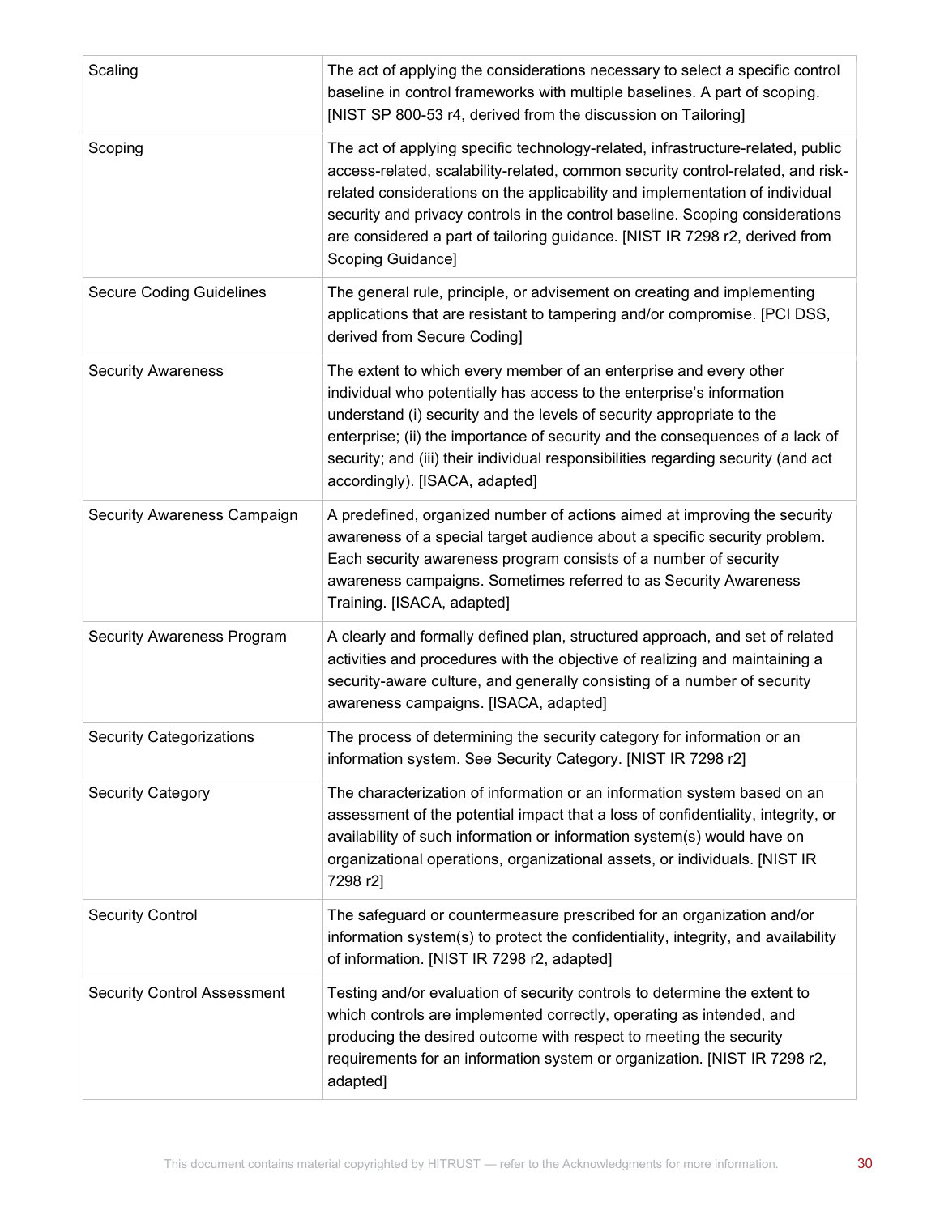| Scaling                            | The act of applying the considerations necessary to select a specific control<br>baseline in control frameworks with multiple baselines. A part of scoping.<br>[NIST SP 800-53 r4, derived from the discussion on Tailoring]                                                                                                                                                                                                            |
|------------------------------------|-----------------------------------------------------------------------------------------------------------------------------------------------------------------------------------------------------------------------------------------------------------------------------------------------------------------------------------------------------------------------------------------------------------------------------------------|
| Scoping                            | The act of applying specific technology-related, infrastructure-related, public<br>access-related, scalability-related, common security control-related, and risk-<br>related considerations on the applicability and implementation of individual<br>security and privacy controls in the control baseline. Scoping considerations<br>are considered a part of tailoring guidance. [NIST IR 7298 r2, derived from<br>Scoping Guidance] |
| <b>Secure Coding Guidelines</b>    | The general rule, principle, or advisement on creating and implementing<br>applications that are resistant to tampering and/or compromise. [PCI DSS,<br>derived from Secure Coding]                                                                                                                                                                                                                                                     |
| <b>Security Awareness</b>          | The extent to which every member of an enterprise and every other<br>individual who potentially has access to the enterprise's information<br>understand (i) security and the levels of security appropriate to the<br>enterprise; (ii) the importance of security and the consequences of a lack of<br>security; and (iii) their individual responsibilities regarding security (and act<br>accordingly). [ISACA, adapted]             |
| Security Awareness Campaign        | A predefined, organized number of actions aimed at improving the security<br>awareness of a special target audience about a specific security problem.<br>Each security awareness program consists of a number of security<br>awareness campaigns. Sometimes referred to as Security Awareness<br>Training. [ISACA, adapted]                                                                                                            |
| Security Awareness Program         | A clearly and formally defined plan, structured approach, and set of related<br>activities and procedures with the objective of realizing and maintaining a<br>security-aware culture, and generally consisting of a number of security<br>awareness campaigns. [ISACA, adapted]                                                                                                                                                        |
| <b>Security Categorizations</b>    | The process of determining the security category for information or an<br>information system. See Security Category. [NIST IR 7298 r2]                                                                                                                                                                                                                                                                                                  |
| <b>Security Category</b>           | The characterization of information or an information system based on an<br>assessment of the potential impact that a loss of confidentiality, integrity, or<br>availability of such information or information system(s) would have on<br>organizational operations, organizational assets, or individuals. [NIST IR<br>7298 r2]                                                                                                       |
| <b>Security Control</b>            | The safeguard or countermeasure prescribed for an organization and/or<br>information system(s) to protect the confidentiality, integrity, and availability<br>of information. [NIST IR 7298 r2, adapted]                                                                                                                                                                                                                                |
| <b>Security Control Assessment</b> | Testing and/or evaluation of security controls to determine the extent to<br>which controls are implemented correctly, operating as intended, and<br>producing the desired outcome with respect to meeting the security<br>requirements for an information system or organization. [NIST IR 7298 r2,<br>adapted]                                                                                                                        |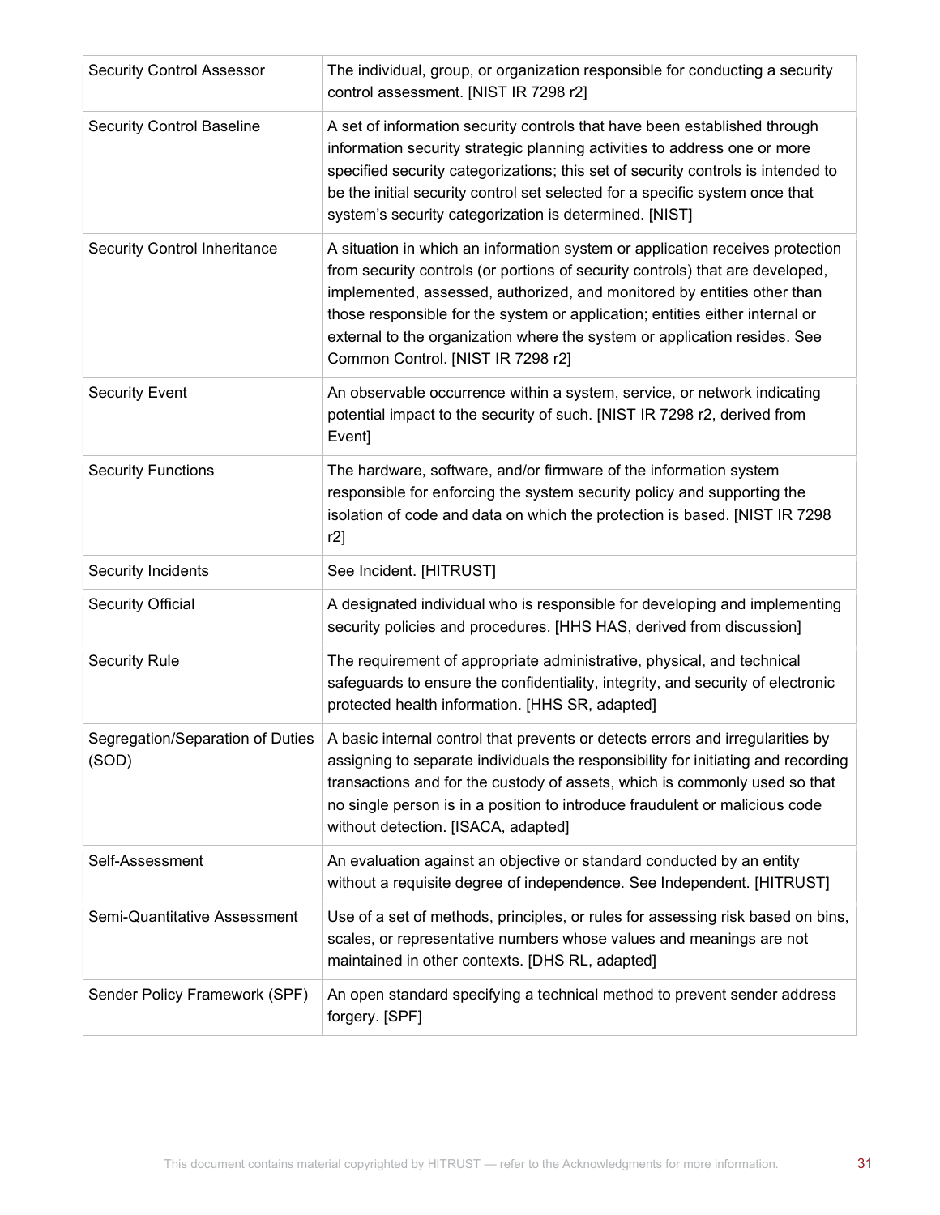| <b>Security Control Assessor</b>          | The individual, group, or organization responsible for conducting a security<br>control assessment. [NIST IR 7298 r2]                                                                                                                                                                                                                                                                                                                       |
|-------------------------------------------|---------------------------------------------------------------------------------------------------------------------------------------------------------------------------------------------------------------------------------------------------------------------------------------------------------------------------------------------------------------------------------------------------------------------------------------------|
| <b>Security Control Baseline</b>          | A set of information security controls that have been established through<br>information security strategic planning activities to address one or more<br>specified security categorizations; this set of security controls is intended to<br>be the initial security control set selected for a specific system once that<br>system's security categorization is determined. [NIST]                                                        |
| <b>Security Control Inheritance</b>       | A situation in which an information system or application receives protection<br>from security controls (or portions of security controls) that are developed,<br>implemented, assessed, authorized, and monitored by entities other than<br>those responsible for the system or application; entities either internal or<br>external to the organization where the system or application resides. See<br>Common Control. [NIST IR 7298 r2] |
| <b>Security Event</b>                     | An observable occurrence within a system, service, or network indicating<br>potential impact to the security of such. [NIST IR 7298 r2, derived from<br>Event]                                                                                                                                                                                                                                                                              |
| <b>Security Functions</b>                 | The hardware, software, and/or firmware of the information system<br>responsible for enforcing the system security policy and supporting the<br>isolation of code and data on which the protection is based. [NIST IR 7298<br>r2]                                                                                                                                                                                                           |
| Security Incidents                        | See Incident. [HITRUST]                                                                                                                                                                                                                                                                                                                                                                                                                     |
| <b>Security Official</b>                  | A designated individual who is responsible for developing and implementing<br>security policies and procedures. [HHS HAS, derived from discussion]                                                                                                                                                                                                                                                                                          |
| <b>Security Rule</b>                      | The requirement of appropriate administrative, physical, and technical<br>safeguards to ensure the confidentiality, integrity, and security of electronic<br>protected health information. [HHS SR, adapted]                                                                                                                                                                                                                                |
| Segregation/Separation of Duties<br>(SOD) | A basic internal control that prevents or detects errors and irregularities by<br>assigning to separate individuals the responsibility for initiating and recording<br>transactions and for the custody of assets, which is commonly used so that<br>no single person is in a position to introduce fraudulent or malicious code<br>without detection. [ISACA, adapted]                                                                     |
| Self-Assessment                           | An evaluation against an objective or standard conducted by an entity<br>without a requisite degree of independence. See Independent. [HITRUST]                                                                                                                                                                                                                                                                                             |
| Semi-Quantitative Assessment              | Use of a set of methods, principles, or rules for assessing risk based on bins,<br>scales, or representative numbers whose values and meanings are not<br>maintained in other contexts. [DHS RL, adapted]                                                                                                                                                                                                                                   |
| Sender Policy Framework (SPF)             | An open standard specifying a technical method to prevent sender address<br>forgery. [SPF]                                                                                                                                                                                                                                                                                                                                                  |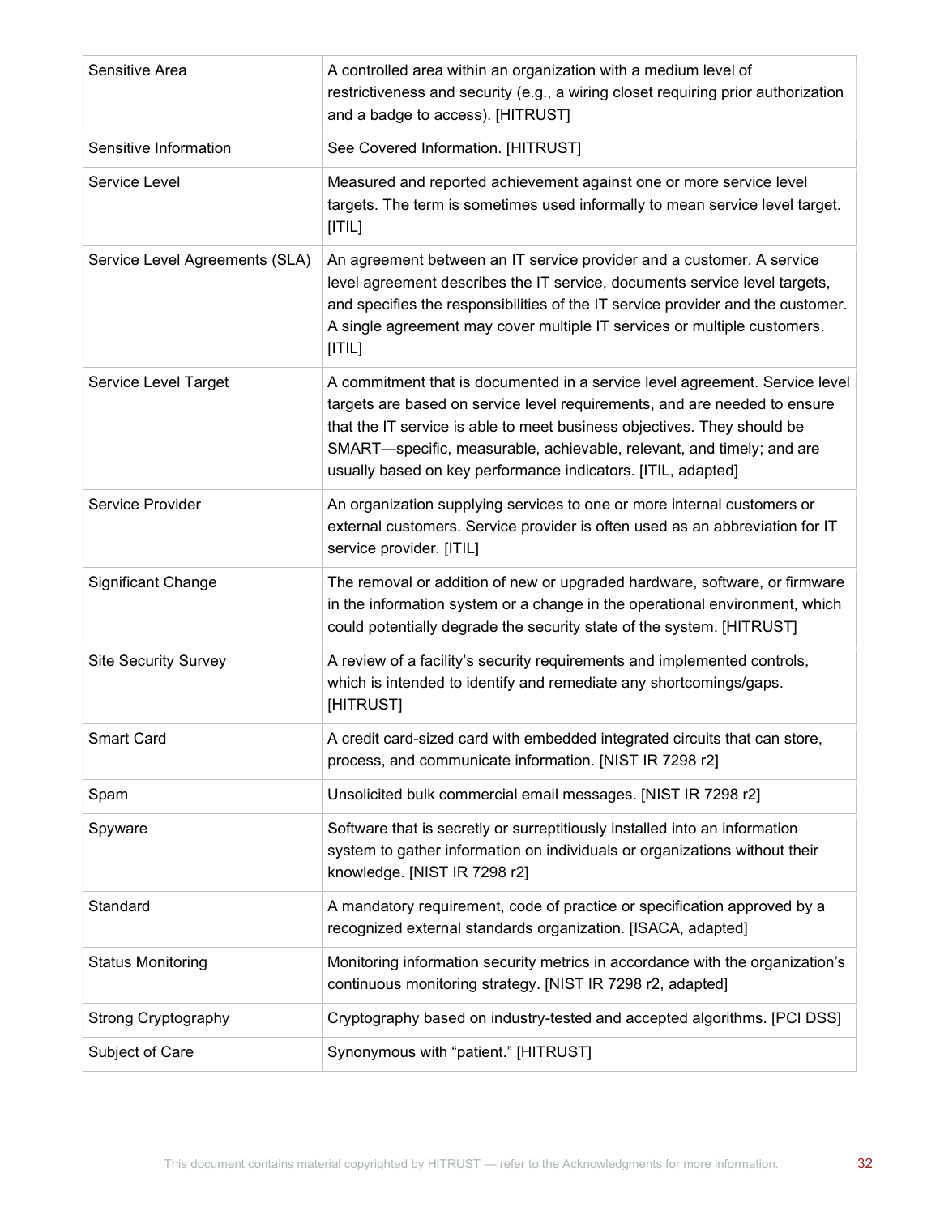| Sensitive Area                 | A controlled area within an organization with a medium level of<br>restrictiveness and security (e.g., a wiring closet requiring prior authorization<br>and a badge to access). [HITRUST]                                                                                                                                                                                    |
|--------------------------------|------------------------------------------------------------------------------------------------------------------------------------------------------------------------------------------------------------------------------------------------------------------------------------------------------------------------------------------------------------------------------|
| Sensitive Information          | See Covered Information. [HITRUST]                                                                                                                                                                                                                                                                                                                                           |
| Service Level                  | Measured and reported achievement against one or more service level<br>targets. The term is sometimes used informally to mean service level target.<br>[ T L]                                                                                                                                                                                                                |
| Service Level Agreements (SLA) | An agreement between an IT service provider and a customer. A service<br>level agreement describes the IT service, documents service level targets,<br>and specifies the responsibilities of the IT service provider and the customer.<br>A single agreement may cover multiple IT services or multiple customers.<br>[ T L]                                                 |
| Service Level Target           | A commitment that is documented in a service level agreement. Service level<br>targets are based on service level requirements, and are needed to ensure<br>that the IT service is able to meet business objectives. They should be<br>SMART-specific, measurable, achievable, relevant, and timely; and are<br>usually based on key performance indicators. [ITIL, adapted] |
| Service Provider               | An organization supplying services to one or more internal customers or<br>external customers. Service provider is often used as an abbreviation for IT<br>service provider. [ITIL]                                                                                                                                                                                          |
| <b>Significant Change</b>      | The removal or addition of new or upgraded hardware, software, or firmware<br>in the information system or a change in the operational environment, which<br>could potentially degrade the security state of the system. [HITRUST]                                                                                                                                           |
| <b>Site Security Survey</b>    | A review of a facility's security requirements and implemented controls,<br>which is intended to identify and remediate any shortcomings/gaps.<br>[HITRUST]                                                                                                                                                                                                                  |
| <b>Smart Card</b>              | A credit card-sized card with embedded integrated circuits that can store,<br>process, and communicate information. [NIST IR 7298 r2]                                                                                                                                                                                                                                        |
| Spam                           | Unsolicited bulk commercial email messages. [NIST IR 7298 r2]                                                                                                                                                                                                                                                                                                                |
| Spyware                        | Software that is secretly or surreptitiously installed into an information<br>system to gather information on individuals or organizations without their<br>knowledge. [NIST IR 7298 r2]                                                                                                                                                                                     |
| Standard                       | A mandatory requirement, code of practice or specification approved by a<br>recognized external standards organization. [ISACA, adapted]                                                                                                                                                                                                                                     |
| <b>Status Monitoring</b>       | Monitoring information security metrics in accordance with the organization's<br>continuous monitoring strategy. [NIST IR 7298 r2, adapted]                                                                                                                                                                                                                                  |
| <b>Strong Cryptography</b>     | Cryptography based on industry-tested and accepted algorithms. [PCI DSS]                                                                                                                                                                                                                                                                                                     |
| Subject of Care                | Synonymous with "patient." [HITRUST]                                                                                                                                                                                                                                                                                                                                         |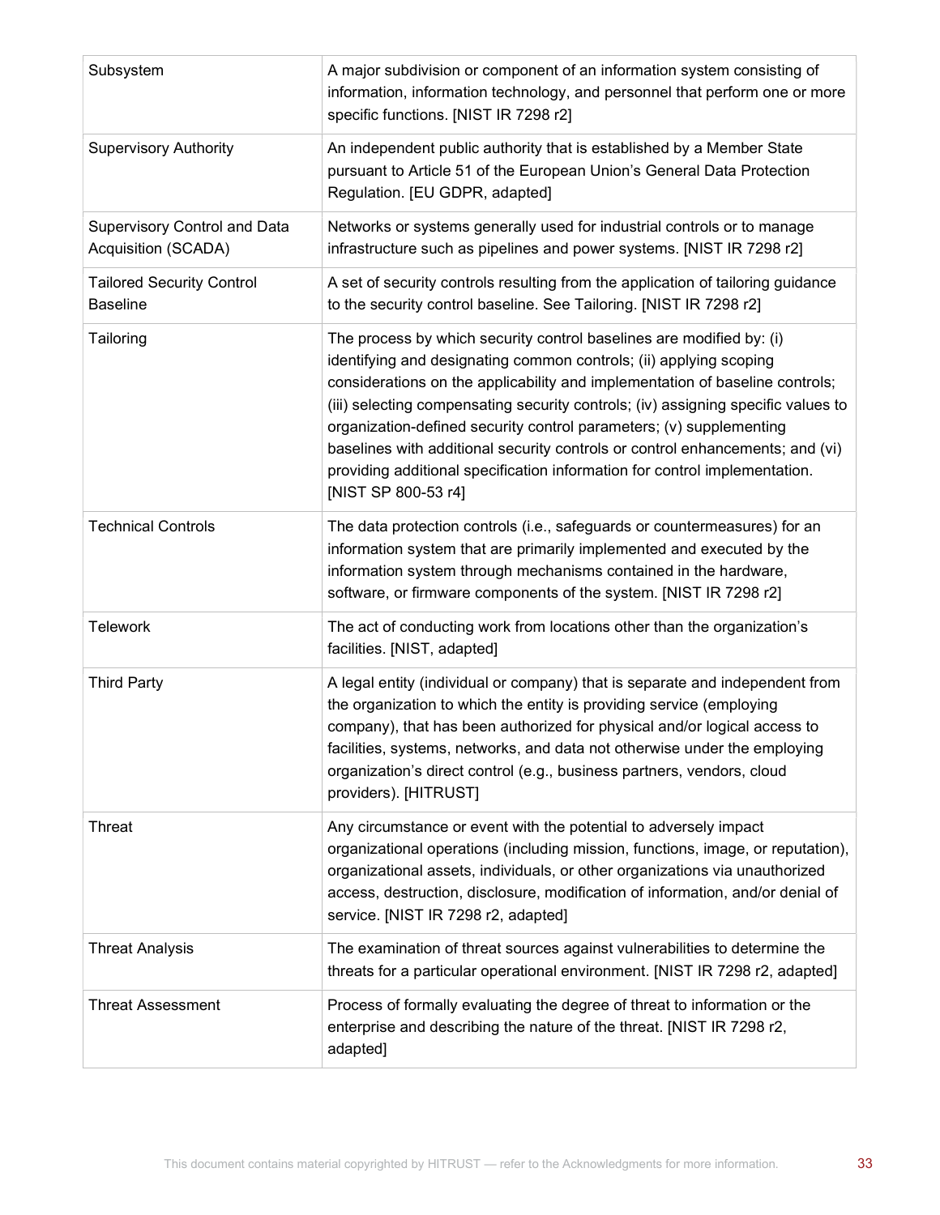| Subsystem                                           | A major subdivision or component of an information system consisting of<br>information, information technology, and personnel that perform one or more<br>specific functions. [NIST IR 7298 r2]                                                                                                                                                                                                                                                                                                                                                                              |
|-----------------------------------------------------|------------------------------------------------------------------------------------------------------------------------------------------------------------------------------------------------------------------------------------------------------------------------------------------------------------------------------------------------------------------------------------------------------------------------------------------------------------------------------------------------------------------------------------------------------------------------------|
| <b>Supervisory Authority</b>                        | An independent public authority that is established by a Member State<br>pursuant to Article 51 of the European Union's General Data Protection<br>Regulation. [EU GDPR, adapted]                                                                                                                                                                                                                                                                                                                                                                                            |
| Supervisory Control and Data<br>Acquisition (SCADA) | Networks or systems generally used for industrial controls or to manage<br>infrastructure such as pipelines and power systems. [NIST IR 7298 r2]                                                                                                                                                                                                                                                                                                                                                                                                                             |
| <b>Tailored Security Control</b><br><b>Baseline</b> | A set of security controls resulting from the application of tailoring guidance<br>to the security control baseline. See Tailoring. [NIST IR 7298 r2]                                                                                                                                                                                                                                                                                                                                                                                                                        |
| Tailoring                                           | The process by which security control baselines are modified by: (i)<br>identifying and designating common controls; (ii) applying scoping<br>considerations on the applicability and implementation of baseline controls;<br>(iii) selecting compensating security controls; (iv) assigning specific values to<br>organization-defined security control parameters; (v) supplementing<br>baselines with additional security controls or control enhancements; and (vi)<br>providing additional specification information for control implementation.<br>[NIST SP 800-53 r4] |
| <b>Technical Controls</b>                           | The data protection controls (i.e., safeguards or countermeasures) for an<br>information system that are primarily implemented and executed by the<br>information system through mechanisms contained in the hardware,<br>software, or firmware components of the system. [NIST IR 7298 r2]                                                                                                                                                                                                                                                                                  |
| <b>Telework</b>                                     | The act of conducting work from locations other than the organization's<br>facilities. [NIST, adapted]                                                                                                                                                                                                                                                                                                                                                                                                                                                                       |
| <b>Third Party</b>                                  | A legal entity (individual or company) that is separate and independent from<br>the organization to which the entity is providing service (employing<br>company), that has been authorized for physical and/or logical access to<br>facilities, systems, networks, and data not otherwise under the employing<br>organization's direct control (e.g., business partners, vendors, cloud<br>providers). [HITRUST]                                                                                                                                                             |
| Threat                                              | Any circumstance or event with the potential to adversely impact<br>organizational operations (including mission, functions, image, or reputation),<br>organizational assets, individuals, or other organizations via unauthorized<br>access, destruction, disclosure, modification of information, and/or denial of<br>service. [NIST IR 7298 r2, adapted]                                                                                                                                                                                                                  |
| <b>Threat Analysis</b>                              | The examination of threat sources against vulnerabilities to determine the<br>threats for a particular operational environment. [NIST IR 7298 r2, adapted]                                                                                                                                                                                                                                                                                                                                                                                                                   |
| <b>Threat Assessment</b>                            | Process of formally evaluating the degree of threat to information or the<br>enterprise and describing the nature of the threat. [NIST IR 7298 r2,<br>adapted]                                                                                                                                                                                                                                                                                                                                                                                                               |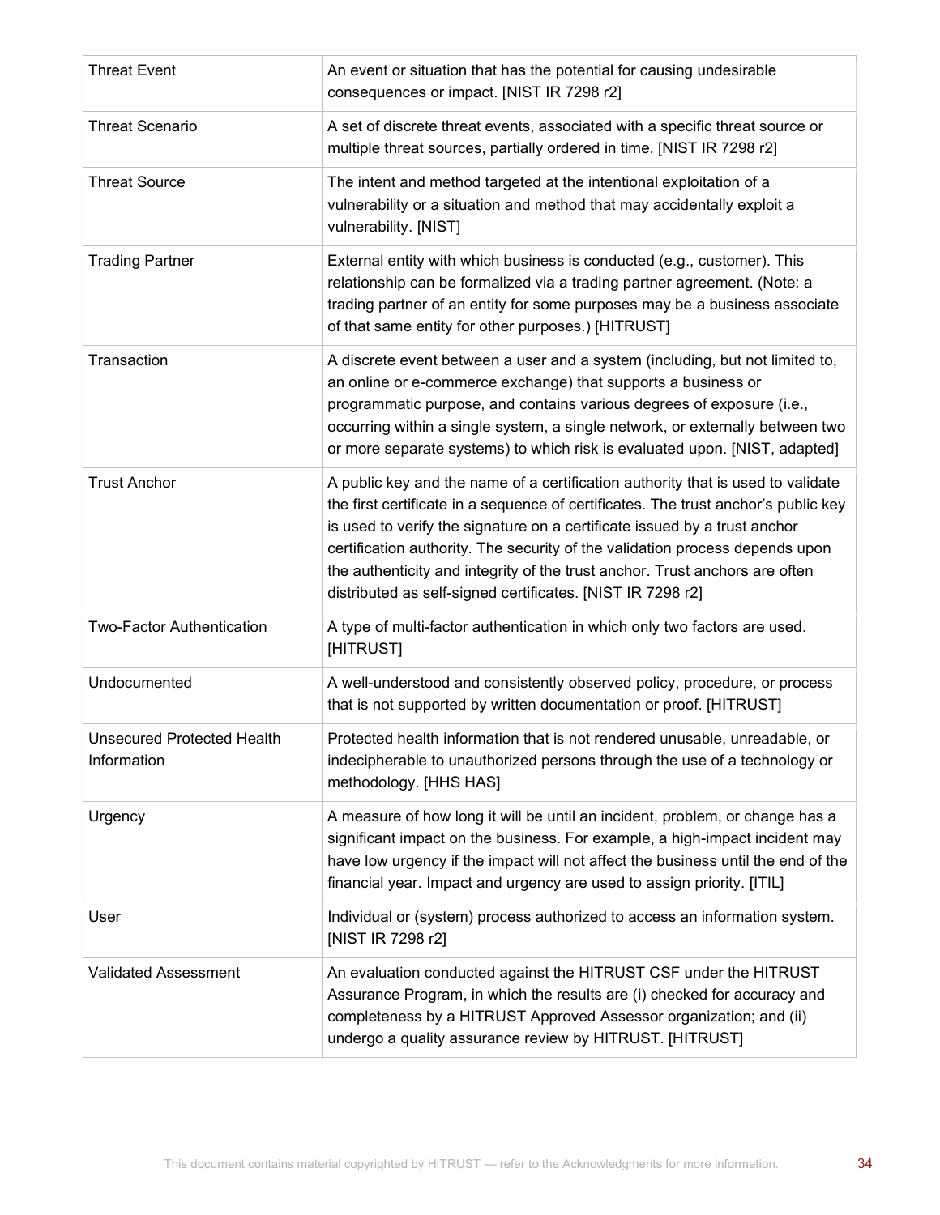| <b>Threat Event</b>                              | An event or situation that has the potential for causing undesirable<br>consequences or impact. [NIST IR 7298 r2]                                                                                                                                                                                                                                                                                                                                                               |
|--------------------------------------------------|---------------------------------------------------------------------------------------------------------------------------------------------------------------------------------------------------------------------------------------------------------------------------------------------------------------------------------------------------------------------------------------------------------------------------------------------------------------------------------|
| <b>Threat Scenario</b>                           | A set of discrete threat events, associated with a specific threat source or<br>multiple threat sources, partially ordered in time. [NIST IR 7298 r2]                                                                                                                                                                                                                                                                                                                           |
| <b>Threat Source</b>                             | The intent and method targeted at the intentional exploitation of a<br>vulnerability or a situation and method that may accidentally exploit a<br>vulnerability. [NIST]                                                                                                                                                                                                                                                                                                         |
| <b>Trading Partner</b>                           | External entity with which business is conducted (e.g., customer). This<br>relationship can be formalized via a trading partner agreement. (Note: a<br>trading partner of an entity for some purposes may be a business associate<br>of that same entity for other purposes.) [HITRUST]                                                                                                                                                                                         |
| Transaction                                      | A discrete event between a user and a system (including, but not limited to,<br>an online or e-commerce exchange) that supports a business or<br>programmatic purpose, and contains various degrees of exposure (i.e.,<br>occurring within a single system, a single network, or externally between two<br>or more separate systems) to which risk is evaluated upon. [NIST, adapted]                                                                                           |
| <b>Trust Anchor</b>                              | A public key and the name of a certification authority that is used to validate<br>the first certificate in a sequence of certificates. The trust anchor's public key<br>is used to verify the signature on a certificate issued by a trust anchor<br>certification authority. The security of the validation process depends upon<br>the authenticity and integrity of the trust anchor. Trust anchors are often<br>distributed as self-signed certificates. [NIST IR 7298 r2] |
| <b>Two-Factor Authentication</b>                 | A type of multi-factor authentication in which only two factors are used.<br>[HITRUST]                                                                                                                                                                                                                                                                                                                                                                                          |
| Undocumented                                     | A well-understood and consistently observed policy, procedure, or process<br>that is not supported by written documentation or proof. [HITRUST]                                                                                                                                                                                                                                                                                                                                 |
| <b>Unsecured Protected Health</b><br>Information | Protected health information that is not rendered unusable, unreadable, or<br>indecipherable to unauthorized persons through the use of a technology or<br>methodology. [HHS HAS]                                                                                                                                                                                                                                                                                               |
| Urgency                                          | A measure of how long it will be until an incident, problem, or change has a<br>significant impact on the business. For example, a high-impact incident may<br>have low urgency if the impact will not affect the business until the end of the<br>financial year. Impact and urgency are used to assign priority. [ITIL]                                                                                                                                                       |
| User                                             | Individual or (system) process authorized to access an information system.<br>[NIST IR 7298 r2]                                                                                                                                                                                                                                                                                                                                                                                 |
| <b>Validated Assessment</b>                      | An evaluation conducted against the HITRUST CSF under the HITRUST<br>Assurance Program, in which the results are (i) checked for accuracy and<br>completeness by a HITRUST Approved Assessor organization; and (ii)<br>undergo a quality assurance review by HITRUST. [HITRUST]                                                                                                                                                                                                 |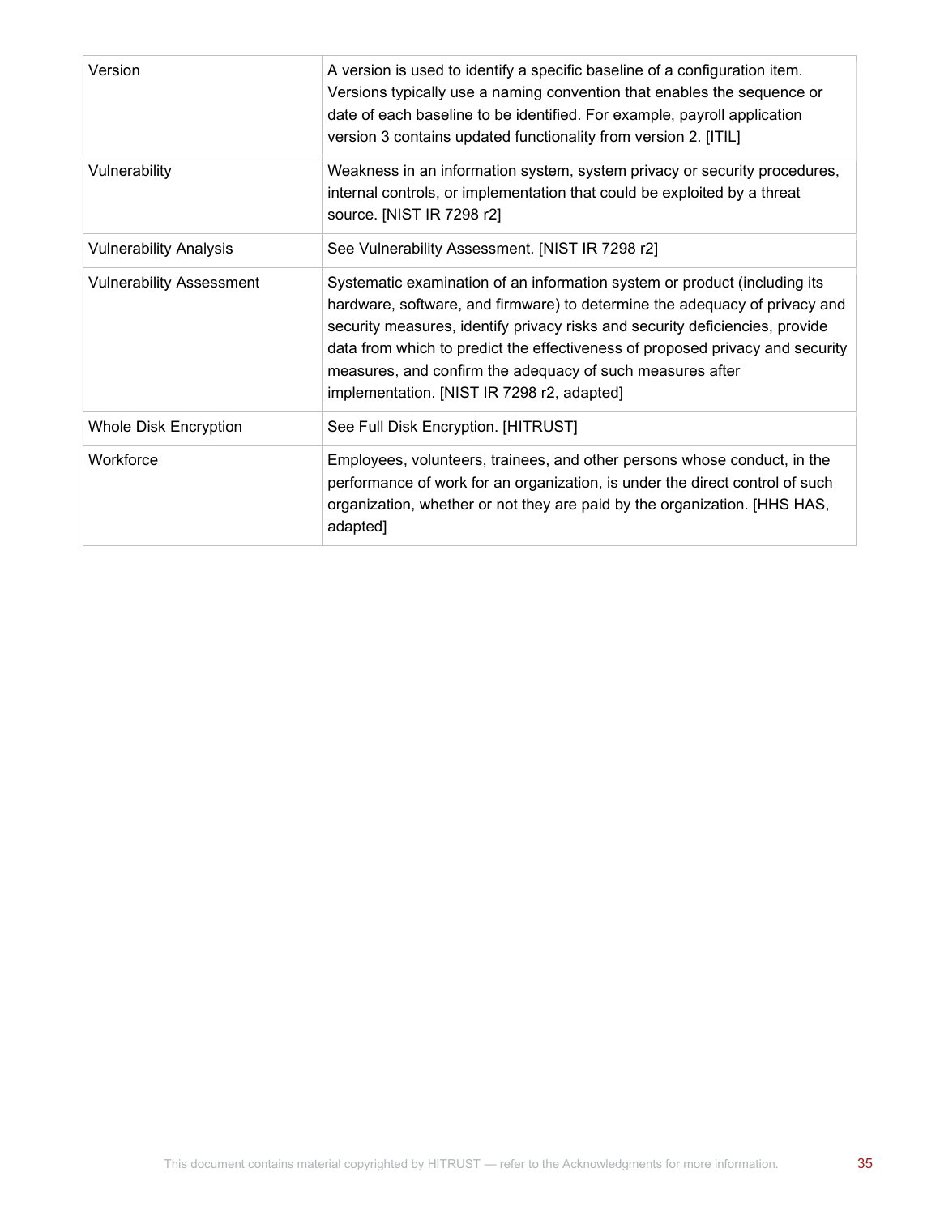| Version                         | A version is used to identify a specific baseline of a configuration item.<br>Versions typically use a naming convention that enables the sequence or<br>date of each baseline to be identified. For example, payroll application<br>version 3 contains updated functionality from version 2. [ITIL]                                                                                                                                |
|---------------------------------|-------------------------------------------------------------------------------------------------------------------------------------------------------------------------------------------------------------------------------------------------------------------------------------------------------------------------------------------------------------------------------------------------------------------------------------|
| Vulnerability                   | Weakness in an information system, system privacy or security procedures,<br>internal controls, or implementation that could be exploited by a threat<br>source. [NIST IR 7298 r2]                                                                                                                                                                                                                                                  |
| <b>Vulnerability Analysis</b>   | See Vulnerability Assessment. [NIST IR 7298 r2]                                                                                                                                                                                                                                                                                                                                                                                     |
| <b>Vulnerability Assessment</b> | Systematic examination of an information system or product (including its<br>hardware, software, and firmware) to determine the adequacy of privacy and<br>security measures, identify privacy risks and security deficiencies, provide<br>data from which to predict the effectiveness of proposed privacy and security<br>measures, and confirm the adequacy of such measures after<br>implementation. [NIST IR 7298 r2, adapted] |
| <b>Whole Disk Encryption</b>    | See Full Disk Encryption. [HITRUST]                                                                                                                                                                                                                                                                                                                                                                                                 |
| Workforce                       | Employees, volunteers, trainees, and other persons whose conduct, in the<br>performance of work for an organization, is under the direct control of such<br>organization, whether or not they are paid by the organization. [HHS HAS,<br>adapted]                                                                                                                                                                                   |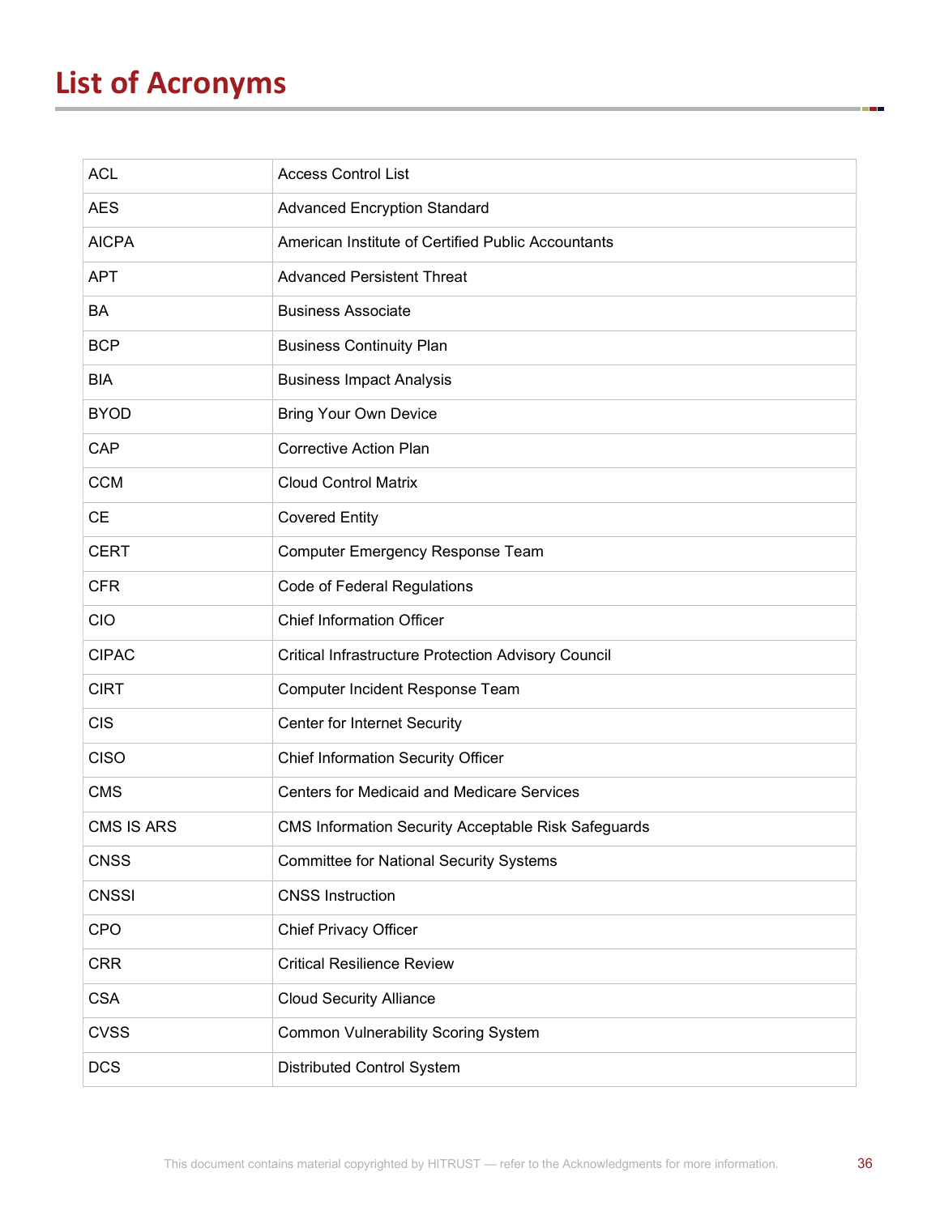# List of Acronyms

| <b>ACL</b>        | <b>Access Control List</b>                                 |
|-------------------|------------------------------------------------------------|
| <b>AES</b>        | <b>Advanced Encryption Standard</b>                        |
| <b>AICPA</b>      | American Institute of Certified Public Accountants         |
| <b>APT</b>        | <b>Advanced Persistent Threat</b>                          |
| BA                | <b>Business Associate</b>                                  |
| <b>BCP</b>        | <b>Business Continuity Plan</b>                            |
| <b>BIA</b>        | <b>Business Impact Analysis</b>                            |
| <b>BYOD</b>       | <b>Bring Your Own Device</b>                               |
| CAP               | <b>Corrective Action Plan</b>                              |
| <b>CCM</b>        | <b>Cloud Control Matrix</b>                                |
| CЕ                | <b>Covered Entity</b>                                      |
| <b>CERT</b>       | Computer Emergency Response Team                           |
| <b>CFR</b>        | <b>Code of Federal Regulations</b>                         |
| <b>CIO</b>        | <b>Chief Information Officer</b>                           |
| <b>CIPAC</b>      | <b>Critical Infrastructure Protection Advisory Council</b> |
| <b>CIRT</b>       | <b>Computer Incident Response Team</b>                     |
| <b>CIS</b>        | Center for Internet Security                               |
| <b>CISO</b>       | <b>Chief Information Security Officer</b>                  |
| <b>CMS</b>        | <b>Centers for Medicaid and Medicare Services</b>          |
| <b>CMS IS ARS</b> | <b>CMS Information Security Acceptable Risk Safeguards</b> |
| <b>CNSS</b>       | <b>Committee for National Security Systems</b>             |
| <b>CNSSI</b>      | <b>CNSS Instruction</b>                                    |
| CPO               | <b>Chief Privacy Officer</b>                               |
| <b>CRR</b>        | <b>Critical Resilience Review</b>                          |
| <b>CSA</b>        | <b>Cloud Security Alliance</b>                             |
| <b>CVSS</b>       | <b>Common Vulnerability Scoring System</b>                 |
| <b>DCS</b>        | Distributed Control System                                 |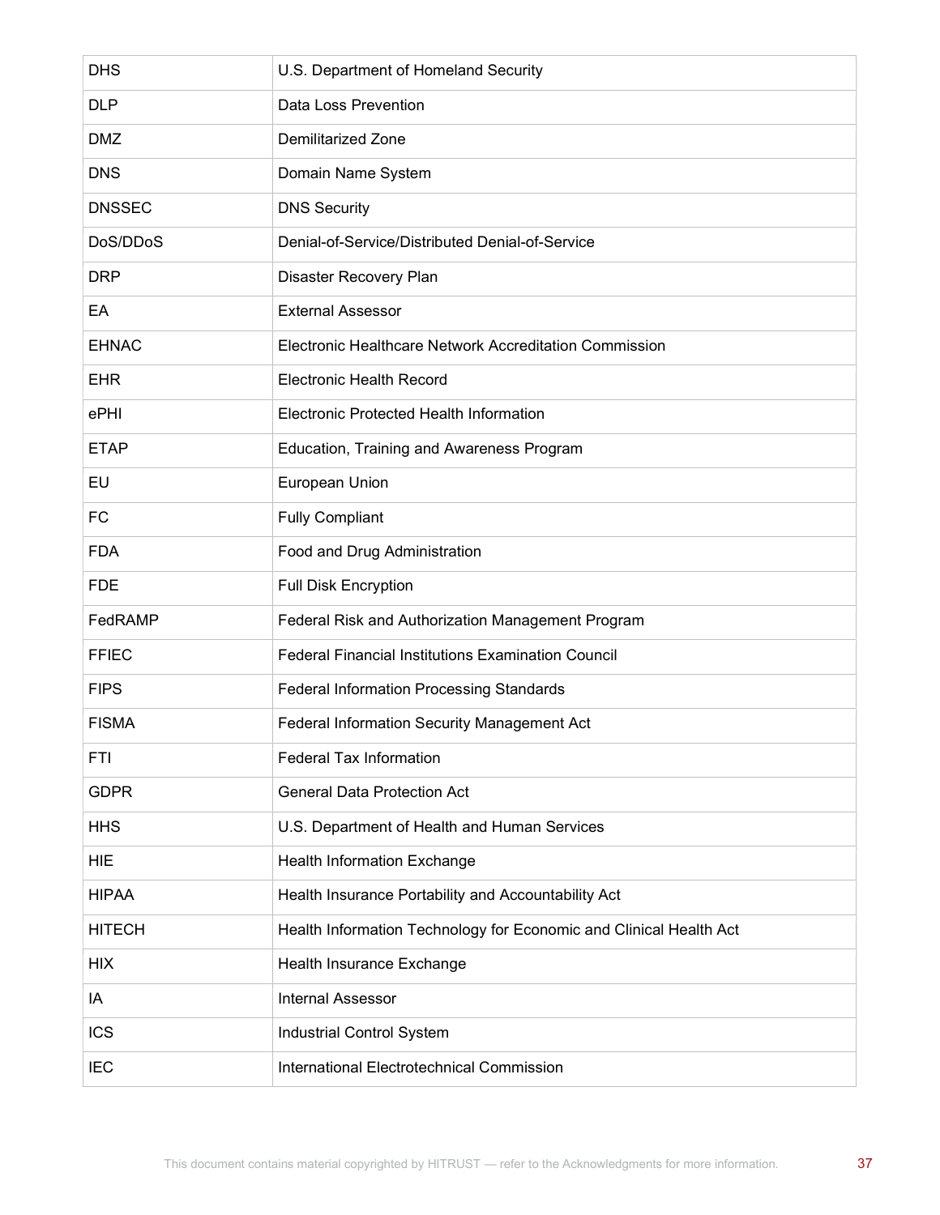| <b>DHS</b>    | U.S. Department of Homeland Security                               |
|---------------|--------------------------------------------------------------------|
| <b>DLP</b>    | Data Loss Prevention                                               |
| <b>DMZ</b>    | <b>Demilitarized Zone</b>                                          |
| <b>DNS</b>    | Domain Name System                                                 |
| <b>DNSSEC</b> | <b>DNS Security</b>                                                |
| DoS/DDoS      | Denial-of-Service/Distributed Denial-of-Service                    |
| <b>DRP</b>    | Disaster Recovery Plan                                             |
| EA            | <b>External Assessor</b>                                           |
| <b>EHNAC</b>  | Electronic Healthcare Network Accreditation Commission             |
| <b>EHR</b>    | <b>Electronic Health Record</b>                                    |
| ePHI          | Electronic Protected Health Information                            |
| <b>ETAP</b>   | Education, Training and Awareness Program                          |
| EU            | European Union                                                     |
| <b>FC</b>     | <b>Fully Compliant</b>                                             |
| <b>FDA</b>    | Food and Drug Administration                                       |
| <b>FDE</b>    | <b>Full Disk Encryption</b>                                        |
| FedRAMP       | Federal Risk and Authorization Management Program                  |
| <b>FFIEC</b>  | <b>Federal Financial Institutions Examination Council</b>          |
| <b>FIPS</b>   | <b>Federal Information Processing Standards</b>                    |
| <b>FISMA</b>  | Federal Information Security Management Act                        |
| FTI           | <b>Federal Tax Information</b>                                     |
| <b>GDPR</b>   | <b>General Data Protection Act</b>                                 |
| <b>HHS</b>    | U.S. Department of Health and Human Services                       |
| <b>HIE</b>    | <b>Health Information Exchange</b>                                 |
| <b>HIPAA</b>  | Health Insurance Portability and Accountability Act                |
| <b>HITECH</b> | Health Information Technology for Economic and Clinical Health Act |
| <b>HIX</b>    | Health Insurance Exchange                                          |
| IA            | <b>Internal Assessor</b>                                           |
| <b>ICS</b>    | Industrial Control System                                          |
| <b>IEC</b>    | International Electrotechnical Commission                          |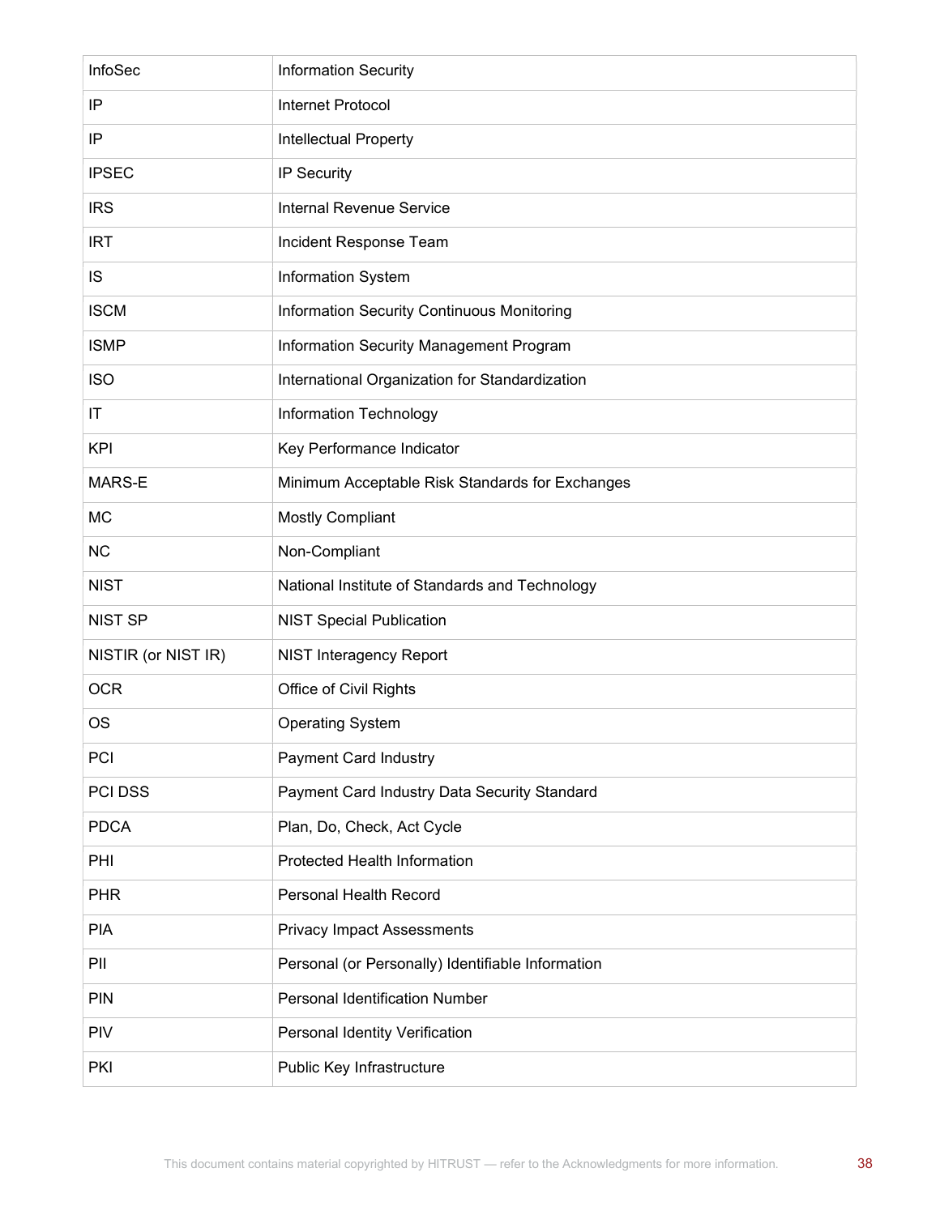| InfoSec             | <b>Information Security</b>                       |
|---------------------|---------------------------------------------------|
| IP                  | <b>Internet Protocol</b>                          |
| IP                  | Intellectual Property                             |
| <b>IPSEC</b>        | IP Security                                       |
| <b>IRS</b>          | <b>Internal Revenue Service</b>                   |
| <b>IRT</b>          | Incident Response Team                            |
| IS                  | Information System                                |
| <b>ISCM</b>         | Information Security Continuous Monitoring        |
| <b>ISMP</b>         | Information Security Management Program           |
| <b>ISO</b>          | International Organization for Standardization    |
| ΙT                  | Information Technology                            |
| <b>KPI</b>          | Key Performance Indicator                         |
| MARS-E              | Minimum Acceptable Risk Standards for Exchanges   |
| MC                  | <b>Mostly Compliant</b>                           |
| <b>NC</b>           | Non-Compliant                                     |
| <b>NIST</b>         | National Institute of Standards and Technology    |
| <b>NIST SP</b>      | <b>NIST Special Publication</b>                   |
| NISTIR (or NIST IR) | <b>NIST Interagency Report</b>                    |
| <b>OCR</b>          | Office of Civil Rights                            |
| OS                  | <b>Operating System</b>                           |
| PCI                 | <b>Payment Card Industry</b>                      |
| PCI DSS             | Payment Card Industry Data Security Standard      |
| <b>PDCA</b>         | Plan, Do, Check, Act Cycle                        |
| PHI                 | Protected Health Information                      |
| <b>PHR</b>          | Personal Health Record                            |
| <b>PIA</b>          | <b>Privacy Impact Assessments</b>                 |
| PII                 | Personal (or Personally) Identifiable Information |
| <b>PIN</b>          | <b>Personal Identification Number</b>             |
| <b>PIV</b>          | Personal Identity Verification                    |
| PKI                 | Public Key Infrastructure                         |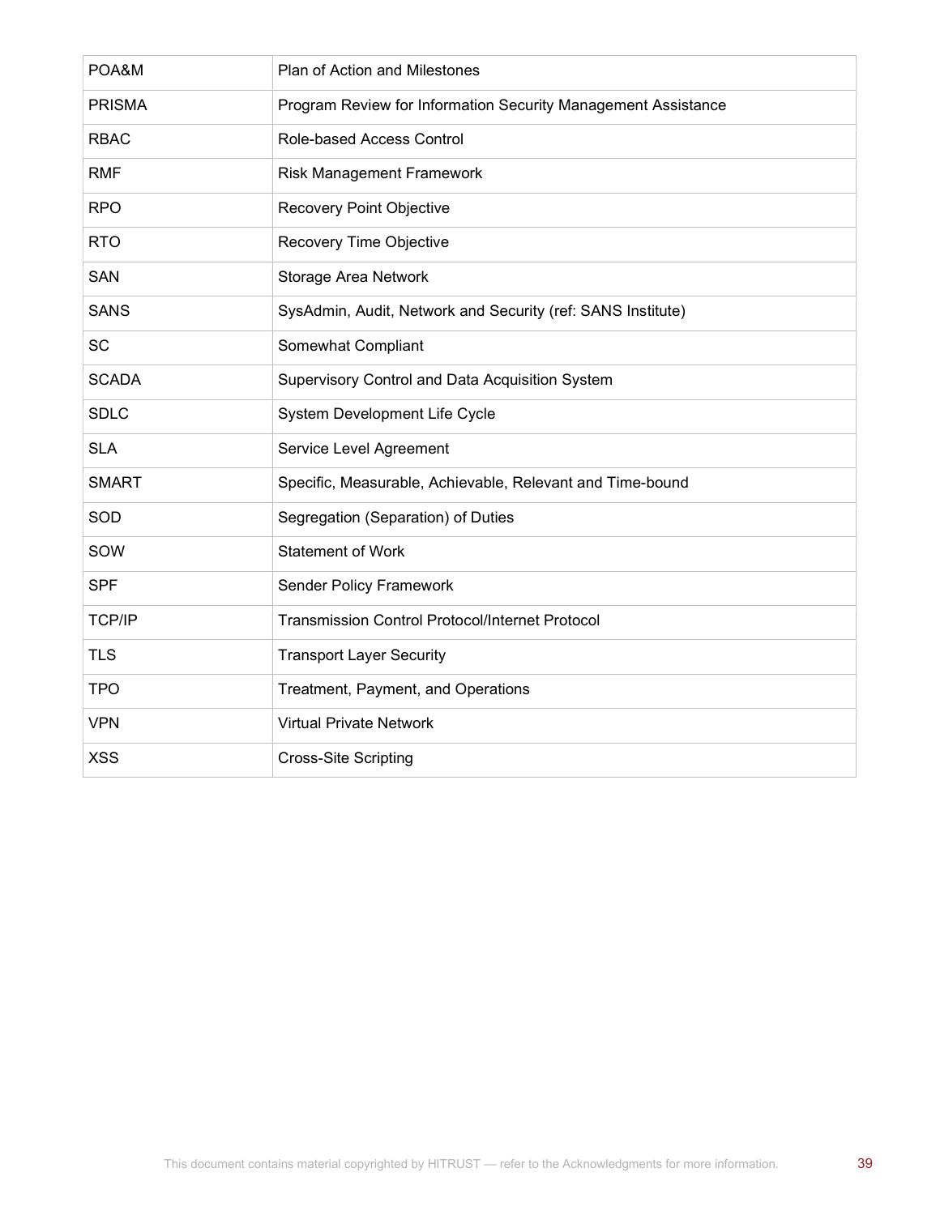| POA&M         | Plan of Action and Milestones                                 |
|---------------|---------------------------------------------------------------|
| <b>PRISMA</b> | Program Review for Information Security Management Assistance |
| <b>RBAC</b>   | Role-based Access Control                                     |
| <b>RMF</b>    | <b>Risk Management Framework</b>                              |
| <b>RPO</b>    | <b>Recovery Point Objective</b>                               |
| <b>RTO</b>    | Recovery Time Objective                                       |
| <b>SAN</b>    | Storage Area Network                                          |
| <b>SANS</b>   | SysAdmin, Audit, Network and Security (ref: SANS Institute)   |
| <b>SC</b>     | Somewhat Compliant                                            |
| <b>SCADA</b>  | Supervisory Control and Data Acquisition System               |
| <b>SDLC</b>   | System Development Life Cycle                                 |
| <b>SLA</b>    | Service Level Agreement                                       |
| <b>SMART</b>  | Specific, Measurable, Achievable, Relevant and Time-bound     |
| SOD           | Segregation (Separation) of Duties                            |
| SOW           | <b>Statement of Work</b>                                      |
| <b>SPF</b>    | <b>Sender Policy Framework</b>                                |
| TCP/IP        | Transmission Control Protocol/Internet Protocol               |
| <b>TLS</b>    | <b>Transport Layer Security</b>                               |
| <b>TPO</b>    | Treatment, Payment, and Operations                            |
| <b>VPN</b>    | <b>Virtual Private Network</b>                                |
| <b>XSS</b>    | <b>Cross-Site Scripting</b>                                   |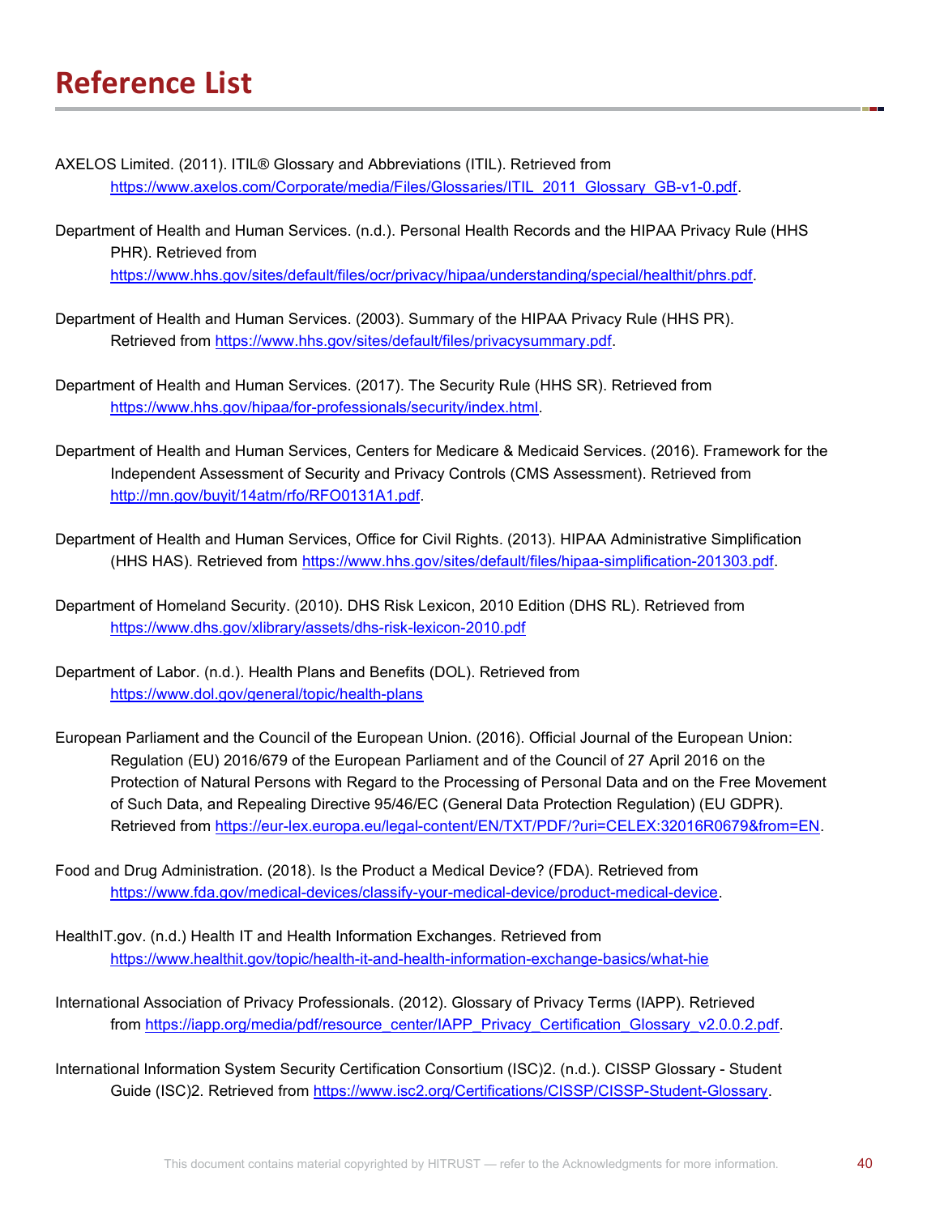- AXELOS Limited. (2011). ITIL® Glossary and Abbreviations (ITIL). Retrieved from https://www.axelos.com/Corporate/media/Files/Glossaries/ITIL\_2011\_Glossary\_GB-v1-0.pdf.
- Department of Health and Human Services. (n.d.). Personal Health Records and the HIPAA Privacy Rule (HHS PHR). Retrieved from https://www.hhs.gov/sites/default/files/ocr/privacy/hipaa/understanding/special/healthit/phrs.pdf.
- Department of Health and Human Services. (2003). Summary of the HIPAA Privacy Rule (HHS PR). Retrieved from https://www.hhs.gov/sites/default/files/privacysummary.pdf.
- Department of Health and Human Services. (2017). The Security Rule (HHS SR). Retrieved from https://www.hhs.gov/hipaa/for-professionals/security/index.html.
- Department of Health and Human Services, Centers for Medicare & Medicaid Services. (2016). Framework for the Independent Assessment of Security and Privacy Controls (CMS Assessment). Retrieved from http://mn.gov/buyit/14atm/rfo/RFO0131A1.pdf.
- Department of Health and Human Services, Office for Civil Rights. (2013). HIPAA Administrative Simplification (HHS HAS). Retrieved from https://www.hhs.gov/sites/default/files/hipaa-simplification-201303.pdf.
- Department of Homeland Security. (2010). DHS Risk Lexicon, 2010 Edition (DHS RL). Retrieved from https://www.dhs.gov/xlibrary/assets/dhs-risk-lexicon-2010.pdf
- Department of Labor. (n.d.). Health Plans and Benefits (DOL). Retrieved from https://www.dol.gov/general/topic/health-plans
- European Parliament and the Council of the European Union. (2016). Official Journal of the European Union: Regulation (EU) 2016/679 of the European Parliament and of the Council of 27 April 2016 on the Protection of Natural Persons with Regard to the Processing of Personal Data and on the Free Movement of Such Data, and Repealing Directive 95/46/EC (General Data Protection Regulation) (EU GDPR). Retrieved from https://eur-lex.europa.eu/legal-content/EN/TXT/PDF/?uri=CELEX:32016R0679&from=EN.
- Food and Drug Administration. (2018). Is the Product a Medical Device? (FDA). Retrieved from https://www.fda.gov/medical-devices/classify-your-medical-device/product-medical-device.
- HealthIT.gov. (n.d.) Health IT and Health Information Exchanges. Retrieved from https://www.healthit.gov/topic/health-it-and-health-information-exchange-basics/what-hie
- International Association of Privacy Professionals. (2012). Glossary of Privacy Terms (IAPP). Retrieved from https://iapp.org/media/pdf/resource\_center/IAPP\_Privacy\_Certification\_Glossary\_v2.0.0.2.pdf.
- International Information System Security Certification Consortium (ISC)2. (n.d.). CISSP Glossary Student Guide (ISC)2. Retrieved from https://www.isc2.org/Certifications/CISSP/CISSP-Student-Glossary.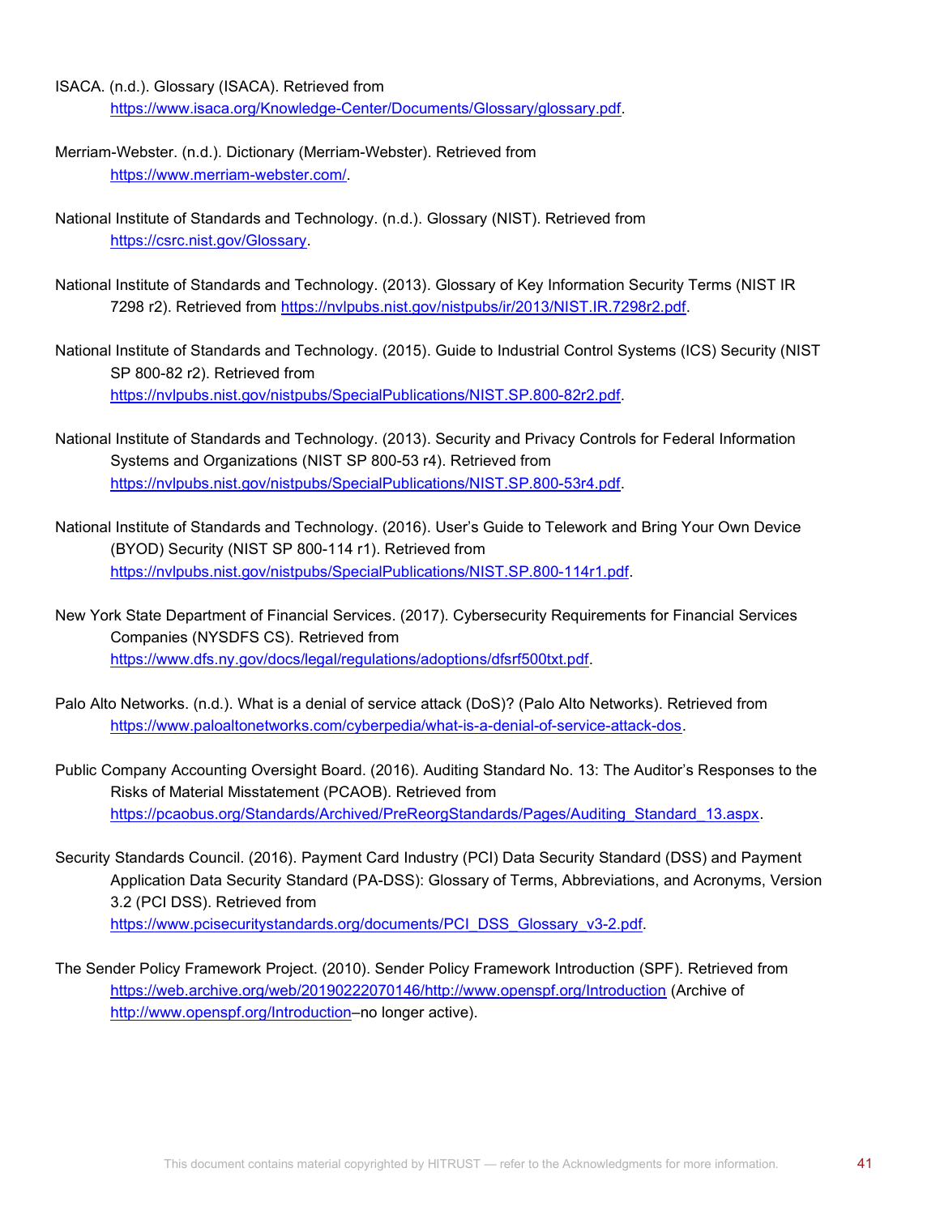- ISACA. (n.d.). Glossary (ISACA). Retrieved from https://www.isaca.org/Knowledge-Center/Documents/Glossary/glossary.pdf.
- Merriam-Webster. (n.d.). Dictionary (Merriam-Webster). Retrieved from https://www.merriam-webster.com/.
- National Institute of Standards and Technology. (n.d.). Glossary (NIST). Retrieved from https://csrc.nist.gov/Glossary.
- National Institute of Standards and Technology. (2013). Glossary of Key Information Security Terms (NIST IR 7298 r2). Retrieved from https://nvlpubs.nist.gov/nistpubs/ir/2013/NIST.IR.7298r2.pdf.
- National Institute of Standards and Technology. (2015). Guide to Industrial Control Systems (ICS) Security (NIST SP 800-82 r2). Retrieved from https://nvlpubs.nist.gov/nistpubs/SpecialPublications/NIST.SP.800-82r2.pdf.
- National Institute of Standards and Technology. (2013). Security and Privacy Controls for Federal Information Systems and Organizations (NIST SP 800-53 r4). Retrieved from https://nvlpubs.nist.gov/nistpubs/SpecialPublications/NIST.SP.800-53r4.pdf.
- National Institute of Standards and Technology. (2016). User's Guide to Telework and Bring Your Own Device (BYOD) Security (NIST SP 800-114 r1). Retrieved from https://nvlpubs.nist.gov/nistpubs/SpecialPublications/NIST.SP.800-114r1.pdf.
- New York State Department of Financial Services. (2017). Cybersecurity Requirements for Financial Services Companies (NYSDFS CS). Retrieved from https://www.dfs.ny.gov/docs/legal/regulations/adoptions/dfsrf500txt.pdf.
- Palo Alto Networks. (n.d.). What is a denial of service attack (DoS)? (Palo Alto Networks). Retrieved from https://www.paloaltonetworks.com/cyberpedia/what-is-a-denial-of-service-attack-dos.
- Public Company Accounting Oversight Board. (2016). Auditing Standard No. 13: The Auditor's Responses to the Risks of Material Misstatement (PCAOB). Retrieved from https://pcaobus.org/Standards/Archived/PreReorgStandards/Pages/Auditing\_Standard\_13.aspx.
- Security Standards Council. (2016). Payment Card Industry (PCI) Data Security Standard (DSS) and Payment Application Data Security Standard (PA-DSS): Glossary of Terms, Abbreviations, and Acronyms, Version 3.2 (PCI DSS). Retrieved from https://www.pcisecuritystandards.org/documents/PCI\_DSS\_Glossary\_v3-2.pdf.
- The Sender Policy Framework Project. (2010). Sender Policy Framework Introduction (SPF). Retrieved from https://web.archive.org/web/20190222070146/http://www.openspf.org/Introduction (Archive of http://www.openspf.org/Introduction–no longer active).